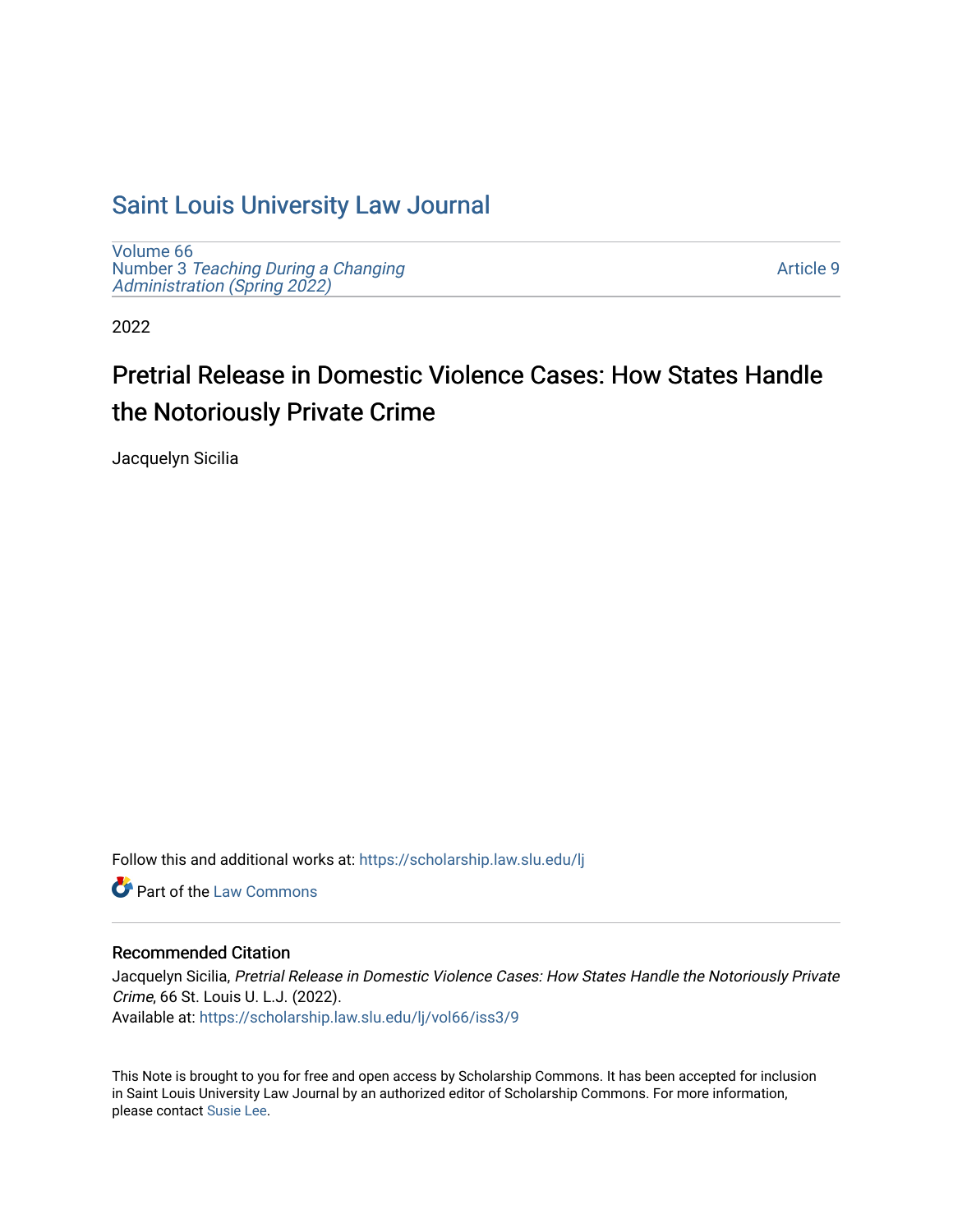# [Saint Louis University Law Journal](https://scholarship.law.slu.edu/lj)

[Volume 66](https://scholarship.law.slu.edu/lj/vol66) Number 3 [Teaching During a Changing](https://scholarship.law.slu.edu/lj/vol66/iss3)  Administration (Spring 2022)

[Article 9](https://scholarship.law.slu.edu/lj/vol66/iss3/9) 

2022

# Pretrial Release in Domestic Violence Cases: How States Handle the Notoriously Private Crime

Jacquelyn Sicilia

Follow this and additional works at: [https://scholarship.law.slu.edu/lj](https://scholarship.law.slu.edu/lj?utm_source=scholarship.law.slu.edu%2Flj%2Fvol66%2Fiss3%2F9&utm_medium=PDF&utm_campaign=PDFCoverPages) 

**C** Part of the [Law Commons](https://network.bepress.com/hgg/discipline/578?utm_source=scholarship.law.slu.edu%2Flj%2Fvol66%2Fiss3%2F9&utm_medium=PDF&utm_campaign=PDFCoverPages)

# Recommended Citation

Jacquelyn Sicilia, Pretrial Release in Domestic Violence Cases: How States Handle the Notoriously Private Crime, 66 St. Louis U. L.J. (2022). Available at: [https://scholarship.law.slu.edu/lj/vol66/iss3/9](https://scholarship.law.slu.edu/lj/vol66/iss3/9?utm_source=scholarship.law.slu.edu%2Flj%2Fvol66%2Fiss3%2F9&utm_medium=PDF&utm_campaign=PDFCoverPages) 

This Note is brought to you for free and open access by Scholarship Commons. It has been accepted for inclusion in Saint Louis University Law Journal by an authorized editor of Scholarship Commons. For more information, please contact [Susie Lee.](mailto:susie.lee@slu.edu)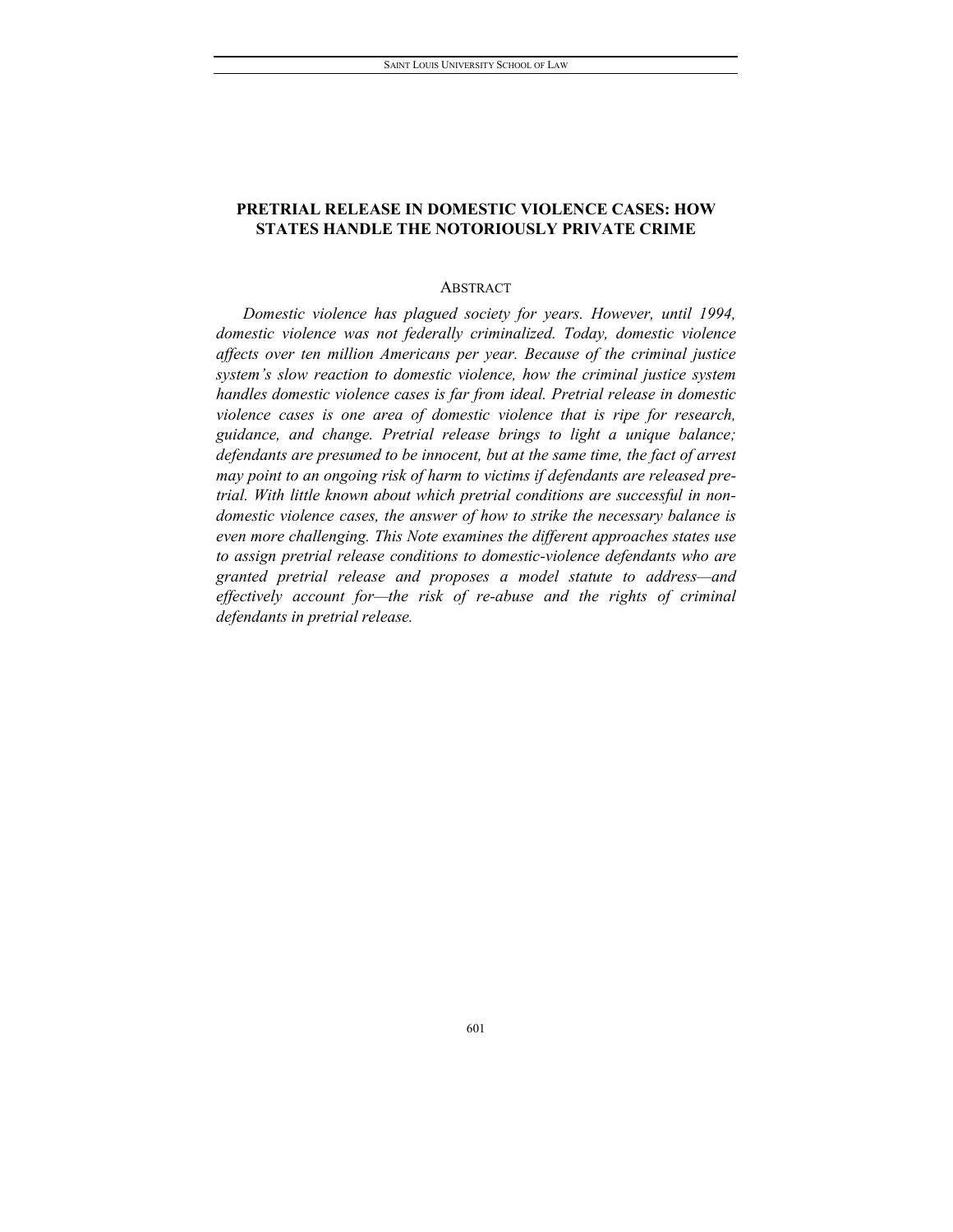# **PRETRIAL RELEASE IN DOMESTIC VIOLENCE CASES: HOW STATES HANDLE THE NOTORIOUSLY PRIVATE CRIME**

### ABSTRACT

*Domestic violence has plagued society for years. However, until 1994, domestic violence was not federally criminalized. Today, domestic violence affects over ten million Americans per year. Because of the criminal justice system's slow reaction to domestic violence, how the criminal justice system handles domestic violence cases is far from ideal. Pretrial release in domestic violence cases is one area of domestic violence that is ripe for research, guidance, and change. Pretrial release brings to light a unique balance; defendants are presumed to be innocent, but at the same time, the fact of arrest may point to an ongoing risk of harm to victims if defendants are released pretrial. With little known about which pretrial conditions are successful in nondomestic violence cases, the answer of how to strike the necessary balance is even more challenging. This Note examines the different approaches states use to assign pretrial release conditions to domestic-violence defendants who are granted pretrial release and proposes a model statute to address—and effectively account for—the risk of re-abuse and the rights of criminal defendants in pretrial release.*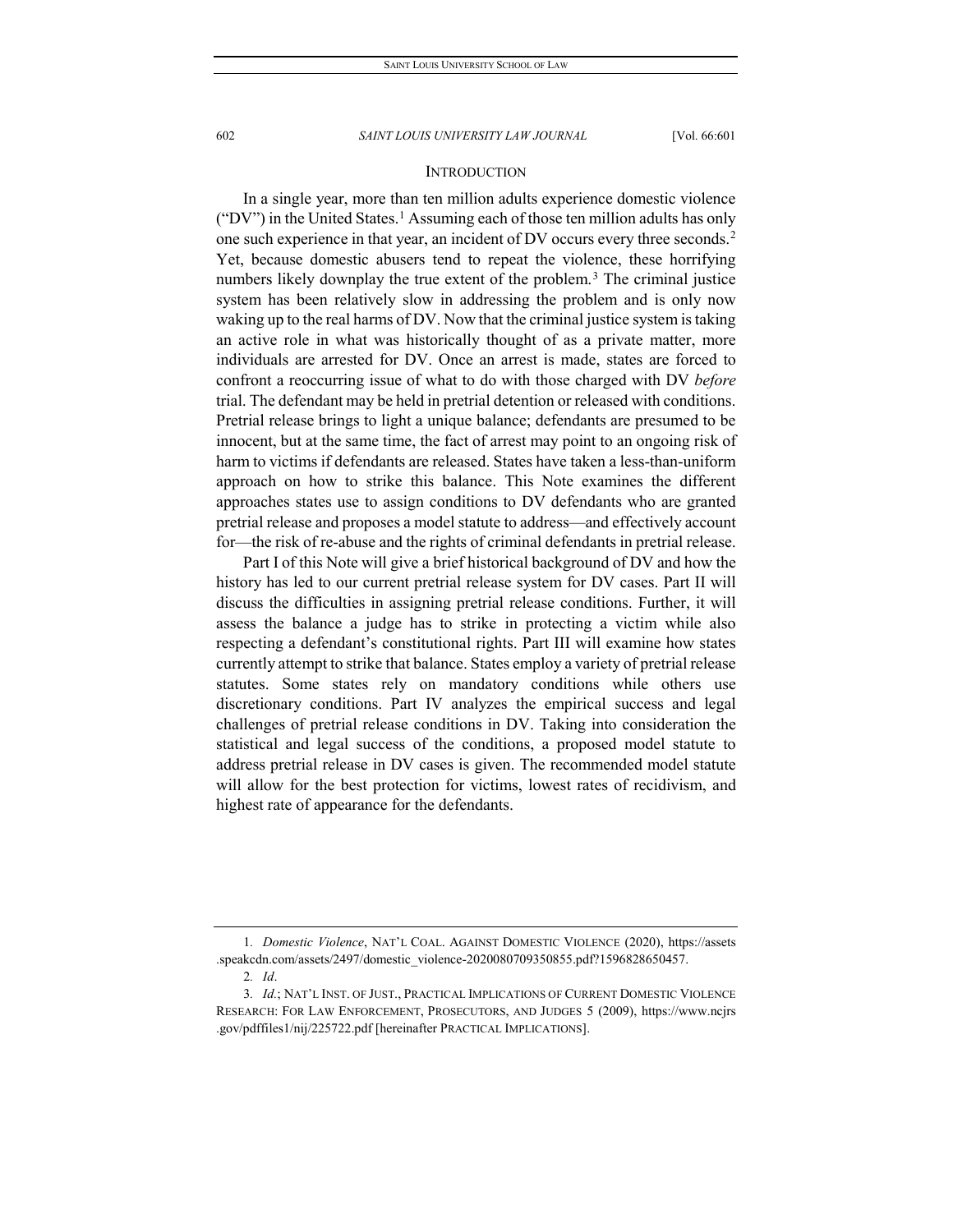### **INTRODUCTION**

In a single year, more than ten million adults experience domestic violence ("DV") in the United States.<sup>[1](#page-2-0)</sup> Assuming each of those ten million adults has only one such experience in that year, an incident of DV occurs every three seconds[.2](#page-2-1) Yet, because domestic abusers tend to repeat the violence, these horrifying numbers likely downplay the true extent of the problem.<sup>[3](#page-2-2)</sup> The criminal justice system has been relatively slow in addressing the problem and is only now waking up to the real harms of DV. Now that the criminal justice system is taking an active role in what was historically thought of as a private matter, more individuals are arrested for DV. Once an arrest is made, states are forced to confront a reoccurring issue of what to do with those charged with DV *before*  trial. The defendant may be held in pretrial detention or released with conditions. Pretrial release brings to light a unique balance; defendants are presumed to be innocent, but at the same time, the fact of arrest may point to an ongoing risk of harm to victims if defendants are released. States have taken a less-than-uniform approach on how to strike this balance. This Note examines the different approaches states use to assign conditions to DV defendants who are granted pretrial release and proposes a model statute to address—and effectively account for—the risk of re-abuse and the rights of criminal defendants in pretrial release.

Part I of this Note will give a brief historical background of DV and how the history has led to our current pretrial release system for DV cases. Part II will discuss the difficulties in assigning pretrial release conditions. Further, it will assess the balance a judge has to strike in protecting a victim while also respecting a defendant's constitutional rights. Part III will examine how states currently attempt to strike that balance. States employ a variety of pretrial release statutes. Some states rely on mandatory conditions while others use discretionary conditions. Part IV analyzes the empirical success and legal challenges of pretrial release conditions in DV. Taking into consideration the statistical and legal success of the conditions, a proposed model statute to address pretrial release in DV cases is given. The recommended model statute will allow for the best protection for victims, lowest rates of recidivism, and highest rate of appearance for the defendants.

<span id="page-2-0"></span><sup>1</sup>*. Domestic Violence*, NAT'L COAL. AGAINST DOMESTIC VIOLENCE (2020), https://assets .speakcdn.com/assets/2497/domestic\_violence-2020080709350855.pdf?1596828650457.

<sup>2</sup>*. Id*.

<span id="page-2-2"></span><span id="page-2-1"></span><sup>3</sup>*. Id.*; NAT'L INST. OF JUST., PRACTICAL IMPLICATIONS OF CURRENT DOMESTIC VIOLENCE RESEARCH: FOR LAW ENFORCEMENT, PROSECUTORS, AND JUDGES 5 (2009), https://www.ncjrs .gov/pdffiles1/nij/225722.pdf [hereinafter PRACTICAL IMPLICATIONS].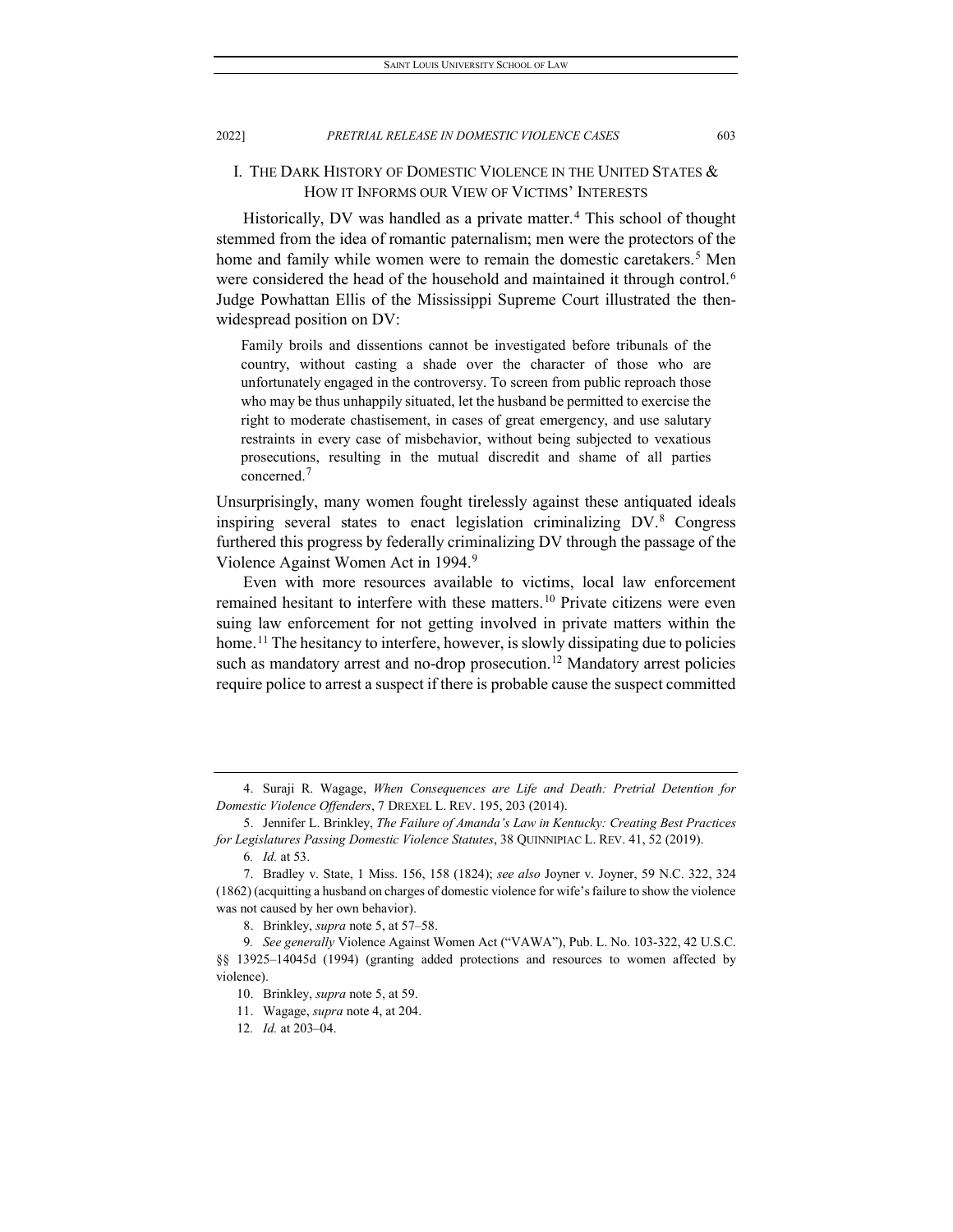# I. THE DARK HISTORY OF DOMESTIC VIOLENCE IN THE UNITED STATES & HOW IT INFORMS OUR VIEW OF VICTIMS' INTERESTS

Historically, DV was handled as a private matter.<sup>[4](#page-3-0)</sup> This school of thought stemmed from the idea of romantic paternalism; men were the protectors of the home and family while women were to remain the domestic caretakers.<sup>[5](#page-3-1)</sup> Men were considered the head of the household and maintained it through control.<sup>[6](#page-3-2)</sup> Judge Powhattan Ellis of the Mississippi Supreme Court illustrated the thenwidespread position on DV:

Family broils and dissentions cannot be investigated before tribunals of the country, without casting a shade over the character of those who are unfortunately engaged in the controversy. To screen from public reproach those who may be thus unhappily situated, let the husband be permitted to exercise the right to moderate chastisement, in cases of great emergency, and use salutary restraints in every case of misbehavior, without being subjected to vexatious prosecutions, resulting in the mutual discredit and shame of all parties concerned. $<sup>7</sup>$  $<sup>7</sup>$  $<sup>7</sup>$ </sup>

Unsurprisingly, many women fought tirelessly against these antiquated ideals inspiring several states to enact legislation criminalizing DV.[8](#page-3-4) Congress furthered this progress by federally criminalizing DV through the passage of the Violence Against Women Act in 1994[.9](#page-3-5)

Even with more resources available to victims, local law enforcement remained hesitant to interfere with these matters.<sup>[10](#page-3-6)</sup> Private citizens were even suing law enforcement for not getting involved in private matters within the home.<sup>[11](#page-3-7)</sup> The hesitancy to interfere, however, is slowly dissipating due to policies such as mandatory arrest and no-drop prosecution.<sup>12</sup> Mandatory arrest policies require police to arrest a suspect if there is probable cause the suspect committed

<span id="page-3-0"></span><sup>4.</sup> Suraji R. Wagage, *When Consequences are Life and Death: Pretrial Detention for Domestic Violence Offenders*, 7 DREXEL L. REV. 195, 203 (2014).

<span id="page-3-1"></span><sup>5.</sup> Jennifer L. Brinkley, *The Failure of Amanda's Law in Kentucky: Creating Best Practices for Legislatures Passing Domestic Violence Statutes*, 38 QUINNIPIAC L. REV. 41, 52 (2019).

<sup>6</sup>*. Id.* at 53.

<span id="page-3-3"></span><span id="page-3-2"></span><sup>7.</sup> Bradley v. State, 1 Miss. 156, 158 (1824); *see also* Joyner v. Joyner, 59 N.C. 322, 324 (1862) (acquitting a husband on charges of domestic violence for wife's failure to show the violence was not caused by her own behavior).

<sup>8.</sup> Brinkley, *supra* note 5, at 57–58.

<span id="page-3-8"></span><span id="page-3-7"></span><span id="page-3-6"></span><span id="page-3-5"></span><span id="page-3-4"></span><sup>9</sup>*. See generally* Violence Against Women Act ("VAWA"), Pub. L. No. 103-322, 42 U.S.C. §§ 13925–14045d (1994) (granting added protections and resources to women affected by violence).

<sup>10.</sup> Brinkley, *supra* note 5, at 59.

<sup>11.</sup> Wagage, *supra* note 4, at 204.

<sup>12</sup>*. Id.* at 203–04.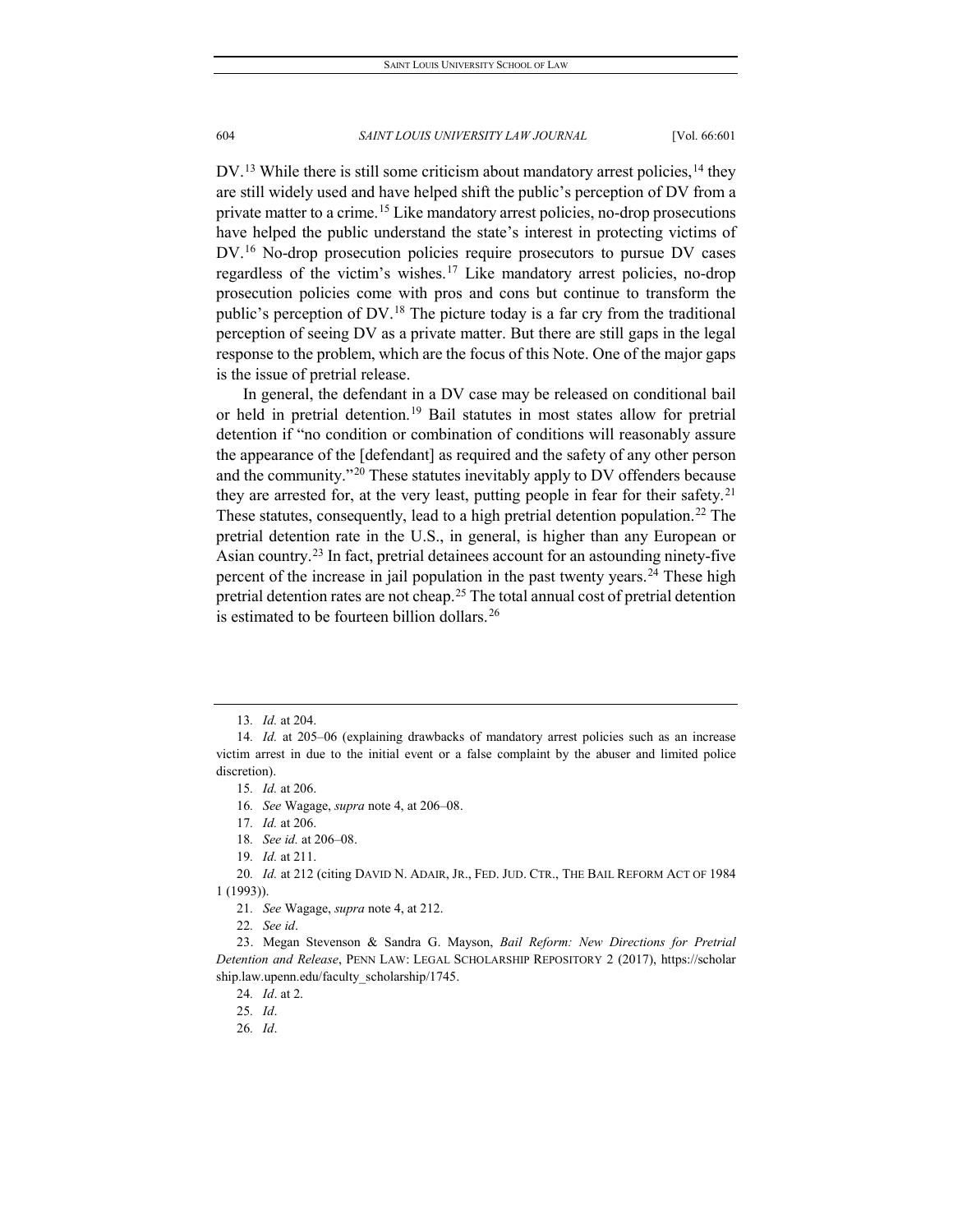$DV$ <sup>[13](#page-4-0)</sup> While there is still some criticism about mandatory arrest policies,  $14$  they are still widely used and have helped shift the public's perception of DV from a private matter to a crime. [15](#page-4-2) Like mandatory arrest policies, no-drop prosecutions have helped the public understand the state's interest in protecting victims of DV.<sup>[16](#page-4-3)</sup> No-drop prosecution policies require prosecutors to pursue DV cases regardless of the victim's wishes.[17](#page-4-4) Like mandatory arrest policies, no-drop prosecution policies come with pros and cons but continue to transform the public's perception of  $DV^{18}$  $DV^{18}$  $DV^{18}$ . The picture today is a far cry from the traditional perception of seeing DV as a private matter. But there are still gaps in the legal response to the problem, which are the focus of this Note. One of the major gaps is the issue of pretrial release.

In general, the defendant in a DV case may be released on conditional bail or held in pretrial detention.<sup>[19](#page-4-6)</sup> Bail statutes in most states allow for pretrial detention if "no condition or combination of conditions will reasonably assure the appearance of the [defendant] as required and the safety of any other person and the community."[20](#page-4-7) These statutes inevitably apply to DV offenders because they are arrested for, at the very least, putting people in fear for their safety.<sup>[21](#page-4-8)</sup> These statutes, consequently, lead to a high pretrial detention population.<sup>[22](#page-4-9)</sup> The pretrial detention rate in the U.S., in general, is higher than any European or Asian country.[23](#page-4-10) In fact, pretrial detainees account for an astounding ninety-five percent of the increase in jail population in the past twenty years. [24](#page-4-11) These high pretrial detention rates are not cheap.[25](#page-4-12) The total annual cost of pretrial detention is estimated to be fourteen billion dollars.<sup>[26](#page-4-13)</sup>

<span id="page-4-7"></span><span id="page-4-6"></span><span id="page-4-5"></span><span id="page-4-4"></span>20*. Id.* at 212 (citing DAVID N. ADAIR, JR., FED. JUD. CTR., THE BAIL REFORM ACT OF 1984 1 (1993)).

<sup>13</sup>*. Id.* at 204.

<span id="page-4-3"></span><span id="page-4-2"></span><span id="page-4-1"></span><span id="page-4-0"></span><sup>14</sup>*. Id.* at 205–06 (explaining drawbacks of mandatory arrest policies such as an increase victim arrest in due to the initial event or a false complaint by the abuser and limited police discretion).

<sup>15</sup>*. Id.* at 206.

<sup>16</sup>*. See* Wagage, *supra* note 4, at 206–08.

<sup>17</sup>*. Id.* at 206.

<sup>18</sup>*. See id.* at 206–08.

<sup>19</sup>*. Id.* at 211.

<sup>21</sup>*. See* Wagage, *supra* note 4, at 212.

<sup>22</sup>*. See id*.

<span id="page-4-13"></span><span id="page-4-12"></span><span id="page-4-11"></span><span id="page-4-10"></span><span id="page-4-9"></span><span id="page-4-8"></span><sup>23.</sup> Megan Stevenson & Sandra G. Mayson, *Bail Reform: New Directions for Pretrial Detention and Release*, PENN LAW: LEGAL SCHOLARSHIP REPOSITORY 2 (2017), https://scholar ship.law.upenn.edu/faculty\_scholarship/1745.

<sup>24</sup>*. Id*. at 2.

<sup>25</sup>*. Id*.

<sup>26</sup>*. Id*.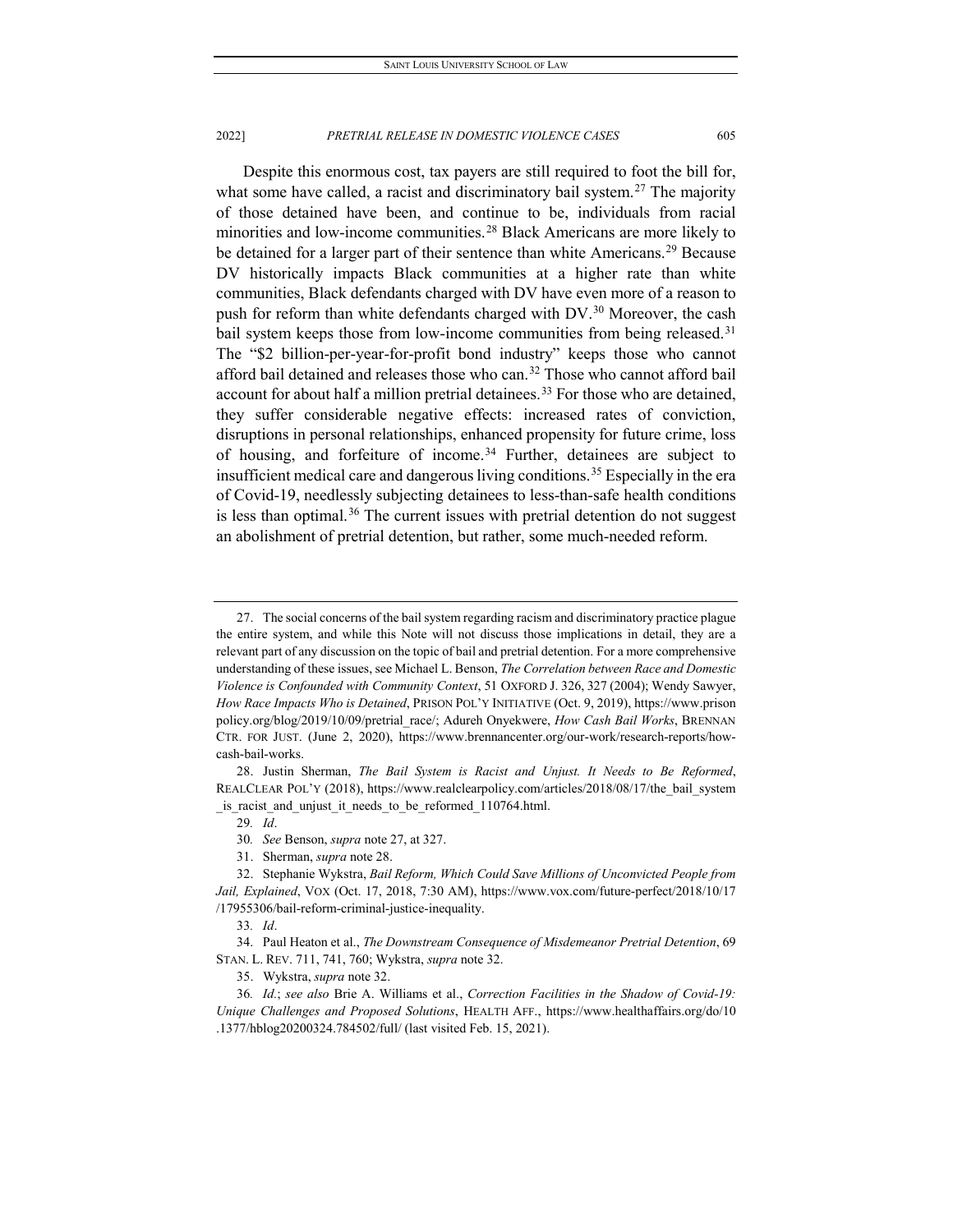Despite this enormous cost, tax payers are still required to foot the bill for, what some have called, a racist and discriminatory bail system.<sup>[27](#page-5-0)</sup> The majority of those detained have been, and continue to be, individuals from racial minorities and low-income communities.<sup>[28](#page-5-1)</sup> Black Americans are more likely to be detained for a larger part of their sentence than white Americans.<sup>[29](#page-5-2)</sup> Because DV historically impacts Black communities at a higher rate than white communities, Black defendants charged with DV have even more of a reason to push for reform than white defendants charged with DV.<sup>[30](#page-5-3)</sup> Moreover, the cash bail system keeps those from low-income communities from being released.<sup>[31](#page-5-4)</sup> The "\$2 billion-per-year-for-profit bond industry" keeps those who cannot afford bail detained and releases those who can.<sup>[32](#page-5-5)</sup> Those who cannot afford bail account for about half a million pretrial detainees.<sup>[33](#page-5-6)</sup> For those who are detained, they suffer considerable negative effects: increased rates of conviction, disruptions in personal relationships, enhanced propensity for future crime, loss of housing, and forfeiture of income.<sup>[34](#page-5-7)</sup> Further, detainees are subject to insufficient medical care and dangerous living conditions. [35](#page-5-8) Especially in the era of Covid-19, needlessly subjecting detainees to less-than-safe health conditions is less than optimal.<sup>[36](#page-5-9)</sup> The current issues with pretrial detention do not suggest an abolishment of pretrial detention, but rather, some much-needed reform.

31. Sherman, *supra* note 28.

33*. Id*.

<span id="page-5-7"></span><span id="page-5-6"></span>34. Paul Heaton et al., *The Downstream Consequence of Misdemeanor Pretrial Detention*, 69 STAN. L. REV. 711, 741, 760; Wykstra, *supra* note 32.

35. Wykstra, *supra* note 32.

<span id="page-5-0"></span><sup>27.</sup> The social concerns of the bail system regarding racism and discriminatory practice plague the entire system, and while this Note will not discuss those implications in detail, they are a relevant part of any discussion on the topic of bail and pretrial detention. For a more comprehensive understanding of these issues, see Michael L. Benson, *The Correlation between Race and Domestic Violence is Confounded with Community Context*, 51 OXFORD J. 326, 327 (2004); Wendy Sawyer, *How Race Impacts Who is Detained*, PRISON POL'Y INITIATIVE (Oct. 9, 2019), https://www.prison policy.org/blog/2019/10/09/pretrial\_race/; Adureh Onyekwere, *How Cash Bail Works*, BRENNAN CTR. FOR JUST. (June 2, 2020), https://www.brennancenter.org/our-work/research-reports/howcash-bail-works.

<span id="page-5-2"></span><span id="page-5-1"></span><sup>28.</sup> Justin Sherman, *The Bail System is Racist and Unjust. It Needs to Be Reformed*, REALCLEAR POL'Y (2018), https://www.realclearpolicy.com/articles/2018/08/17/the\_bail\_system is racist and unjust it needs to be reformed 110764.html.

<sup>29</sup>*. Id*.

<sup>30</sup>*. See* Benson, *supra* note 27, at 327.

<span id="page-5-5"></span><span id="page-5-4"></span><span id="page-5-3"></span><sup>32.</sup> Stephanie Wykstra, *Bail Reform, Which Could Save Millions of Unconvicted People from Jail, Explained*, VOX (Oct. 17, 2018, 7:30 AM), https://www.vox.com/future-perfect/2018/10/17 /17955306/bail-reform-criminal-justice-inequality.

<span id="page-5-9"></span><span id="page-5-8"></span><sup>36</sup>*. Id.*; *see also* Brie A. Williams et al., *Correction Facilities in the Shadow of Covid-19: Unique Challenges and Proposed Solutions*, HEALTH AFF., https://www.healthaffairs.org/do/10 .1377/hblog20200324.784502/full/ (last visited Feb. 15, 2021).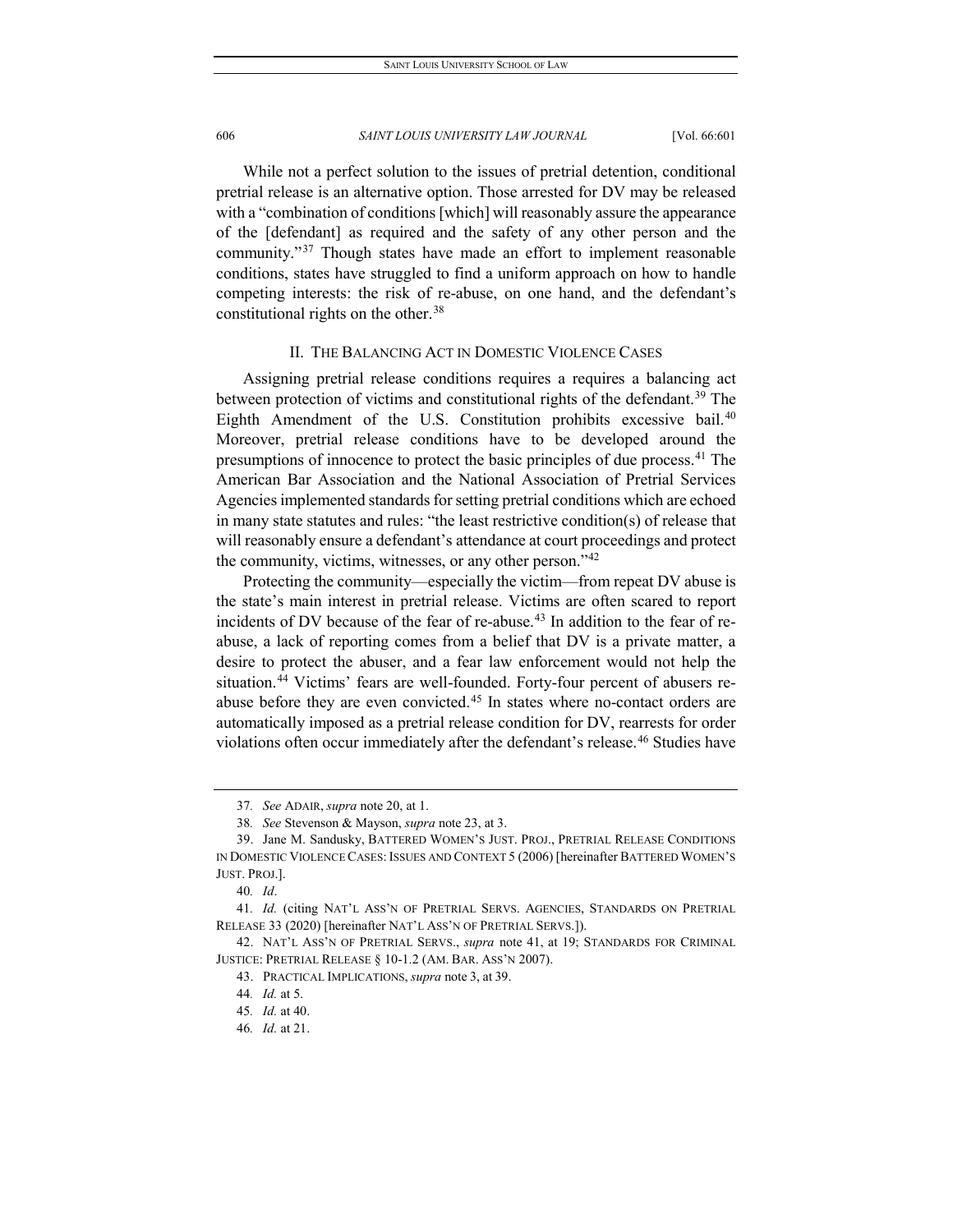While not a perfect solution to the issues of pretrial detention, conditional pretrial release is an alternative option. Those arrested for DV may be released with a "combination of conditions [which] will reasonably assure the appearance of the [defendant] as required and the safety of any other person and the community."[37](#page-6-0) Though states have made an effort to implement reasonable conditions, states have struggled to find a uniform approach on how to handle competing interests: the risk of re-abuse, on one hand, and the defendant's constitutional rights on the other.<sup>[38](#page-6-1)</sup>

#### II. THE BALANCING ACT IN DOMESTIC VIOLENCE CASES

Assigning pretrial release conditions requires a requires a balancing act between protection of victims and constitutional rights of the defendant.<sup>[39](#page-6-2)</sup> The Eighth Amendment of the U.S. Constitution prohibits excessive bail.<sup>[40](#page-6-3)</sup> Moreover, pretrial release conditions have to be developed around the presumptions of innocence to protect the basic principles of due process.<sup>[41](#page-6-4)</sup> The American Bar Association and the National Association of Pretrial Services Agencies implemented standards for setting pretrial conditions which are echoed in many state statutes and rules: "the least restrictive condition(s) of release that will reasonably ensure a defendant's attendance at court proceedings and protect the community, victims, witnesses, or any other person."[42](#page-6-5)

Protecting the community—especially the victim—from repeat DV abuse is the state's main interest in pretrial release. Victims are often scared to report incidents of DV because of the fear of re-abuse.<sup>[43](#page-6-6)</sup> In addition to the fear of reabuse, a lack of reporting comes from a belief that DV is a private matter, a desire to protect the abuser, and a fear law enforcement would not help the situation.<sup>[44](#page-6-7)</sup> Victims' fears are well-founded. Forty-four percent of abusers re-abuse before they are even convicted.<sup>[45](#page-6-8)</sup> In states where no-contact orders are automatically imposed as a pretrial release condition for DV, rearrests for order violations often occur immediately after the defendant's release.<sup>[46](#page-6-9)</sup> Studies have

<sup>37</sup>*. See* ADAIR, *supra* note 20, at 1.

<sup>38</sup>*. See* Stevenson & Mayson, *supra* note 23, at 3.

<span id="page-6-2"></span><span id="page-6-1"></span><span id="page-6-0"></span><sup>39.</sup> Jane M. Sandusky, BATTERED WOMEN'S JUST. PROJ., PRETRIAL RELEASE CONDITIONS IN DOMESTIC VIOLENCE CASES: ISSUES AND CONTEXT 5 (2006) [hereinafter BATTERED WOMEN'S JUST. PROJ.].

<sup>40</sup>*. Id*.

<span id="page-6-4"></span><span id="page-6-3"></span><sup>41</sup>*. Id.* (citing NAT'L ASS'N OF PRETRIAL SERVS. AGENCIES, STANDARDS ON PRETRIAL RELEASE 33 (2020) [hereinafter NAT'L ASS'N OF PRETRIAL SERVS.]).

<span id="page-6-9"></span><span id="page-6-8"></span><span id="page-6-7"></span><span id="page-6-6"></span><span id="page-6-5"></span><sup>42.</sup> NAT'L ASS'N OF PRETRIAL SERVS., *supra* note 41, at 19; STANDARDS FOR CRIMINAL JUSTICE: PRETRIAL RELEASE § 10-1.2 (AM. BAR. ASS'N 2007).

<sup>43.</sup> PRACTICAL IMPLICATIONS, *supra* note 3, at 39.

<sup>44</sup>*. Id.* at 5.

<sup>45</sup>*. Id.* at 40.

<sup>46</sup>*. Id.* at 21.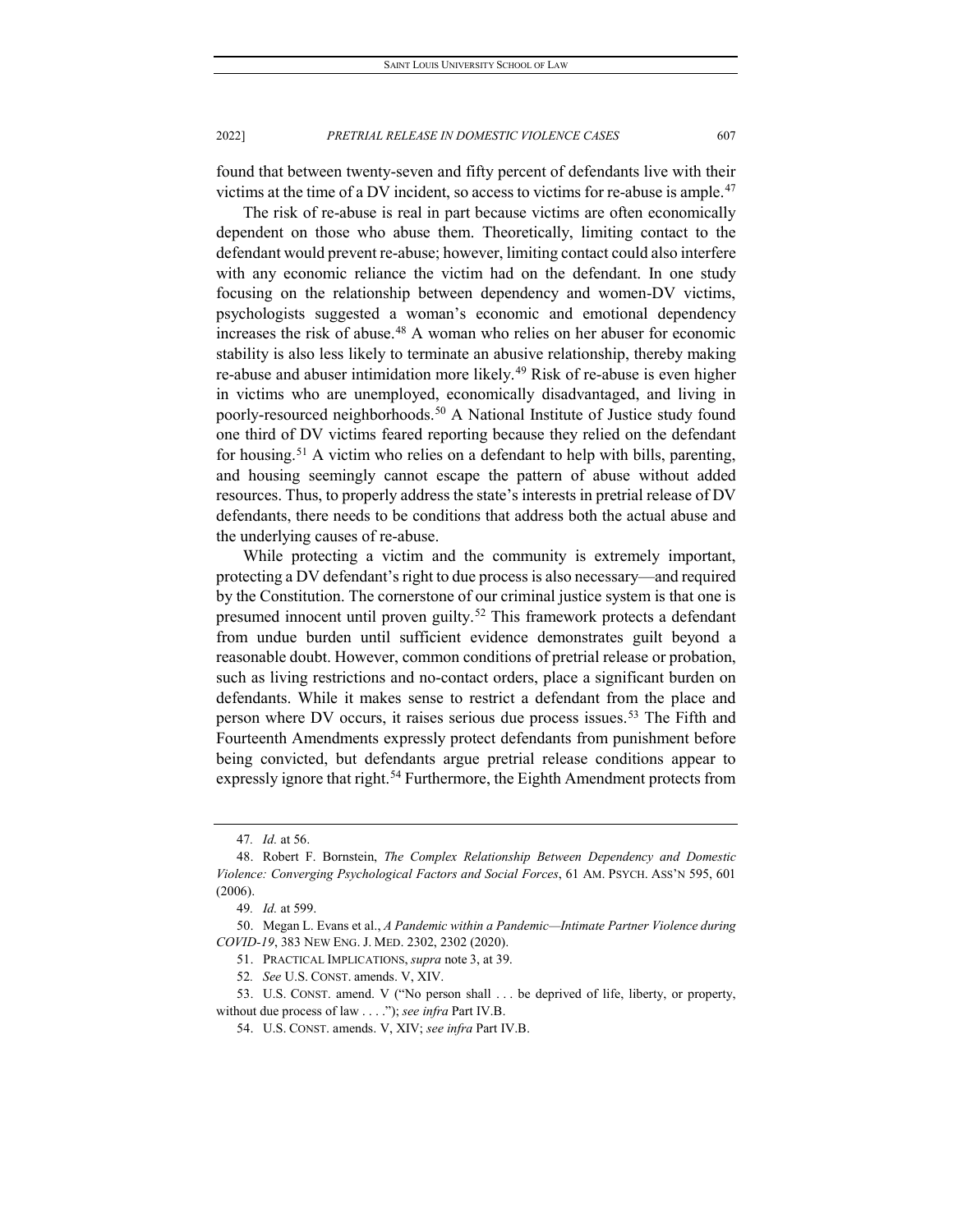found that between twenty-seven and fifty percent of defendants live with their victims at the time of a DV incident, so access to victims for re-abuse is ample.<sup>[47](#page-7-0)</sup>

The risk of re-abuse is real in part because victims are often economically dependent on those who abuse them. Theoretically, limiting contact to the defendant would prevent re-abuse; however, limiting contact could also interfere with any economic reliance the victim had on the defendant. In one study focusing on the relationship between dependency and women-DV victims, psychologists suggested a woman's economic and emotional dependency increases the risk of abuse.<sup>[48](#page-7-1)</sup> A woman who relies on her abuser for economic stability is also less likely to terminate an abusive relationship, thereby making re-abuse and abuser intimidation more likely.<sup>[49](#page-7-2)</sup> Risk of re-abuse is even higher in victims who are unemployed, economically disadvantaged, and living in poorly-resourced neighborhoods.<sup>[50](#page-7-3)</sup> A National Institute of Justice study found one third of DV victims feared reporting because they relied on the defendant for housing.<sup>[51](#page-7-4)</sup> A victim who relies on a defendant to help with bills, parenting, and housing seemingly cannot escape the pattern of abuse without added resources. Thus, to properly address the state's interests in pretrial release of DV defendants, there needs to be conditions that address both the actual abuse and the underlying causes of re-abuse.

While protecting a victim and the community is extremely important, protecting a DV defendant's right to due process is also necessary—and required by the Constitution. The cornerstone of our criminal justice system is that one is presumed innocent until proven guilty.<sup>[52](#page-7-5)</sup> This framework protects a defendant from undue burden until sufficient evidence demonstrates guilt beyond a reasonable doubt. However, common conditions of pretrial release or probation, such as living restrictions and no-contact orders, place a significant burden on defendants. While it makes sense to restrict a defendant from the place and person where DV occurs, it raises serious due process issues.<sup>[53](#page-7-6)</sup> The Fifth and Fourteenth Amendments expressly protect defendants from punishment before being convicted, but defendants argue pretrial release conditions appear to expressly ignore that right.<sup>[54](#page-7-7)</sup> Furthermore, the Eighth Amendment protects from

<sup>47</sup>*. Id.* at 56.

<span id="page-7-1"></span><span id="page-7-0"></span><sup>48.</sup> Robert F. Bornstein, *The Complex Relationship Between Dependency and Domestic Violence: Converging Psychological Factors and Social Forces*, 61 AM. PSYCH. ASS'N 595, 601 (2006).

<sup>49</sup>*. Id.* at 599.

<span id="page-7-4"></span><span id="page-7-3"></span><span id="page-7-2"></span><sup>50.</sup> Megan L. Evans et al., *A Pandemic within a Pandemic—Intimate Partner Violence during COVID-19*, 383 NEW ENG. J. MED. 2302, 2302 (2020).

<sup>51.</sup> PRACTICAL IMPLICATIONS, *supra* note 3, at 39.

<sup>52</sup>*. See* U.S. CONST. amends. V, XIV.

<span id="page-7-7"></span><span id="page-7-6"></span><span id="page-7-5"></span><sup>53.</sup> U.S. CONST. amend. V ("No person shall . . . be deprived of life, liberty, or property, without due process of law . . . ."); *see infra* Part IV.B.

<sup>54.</sup> U.S. CONST. amends. V, XIV; *see infra* Part IV.B.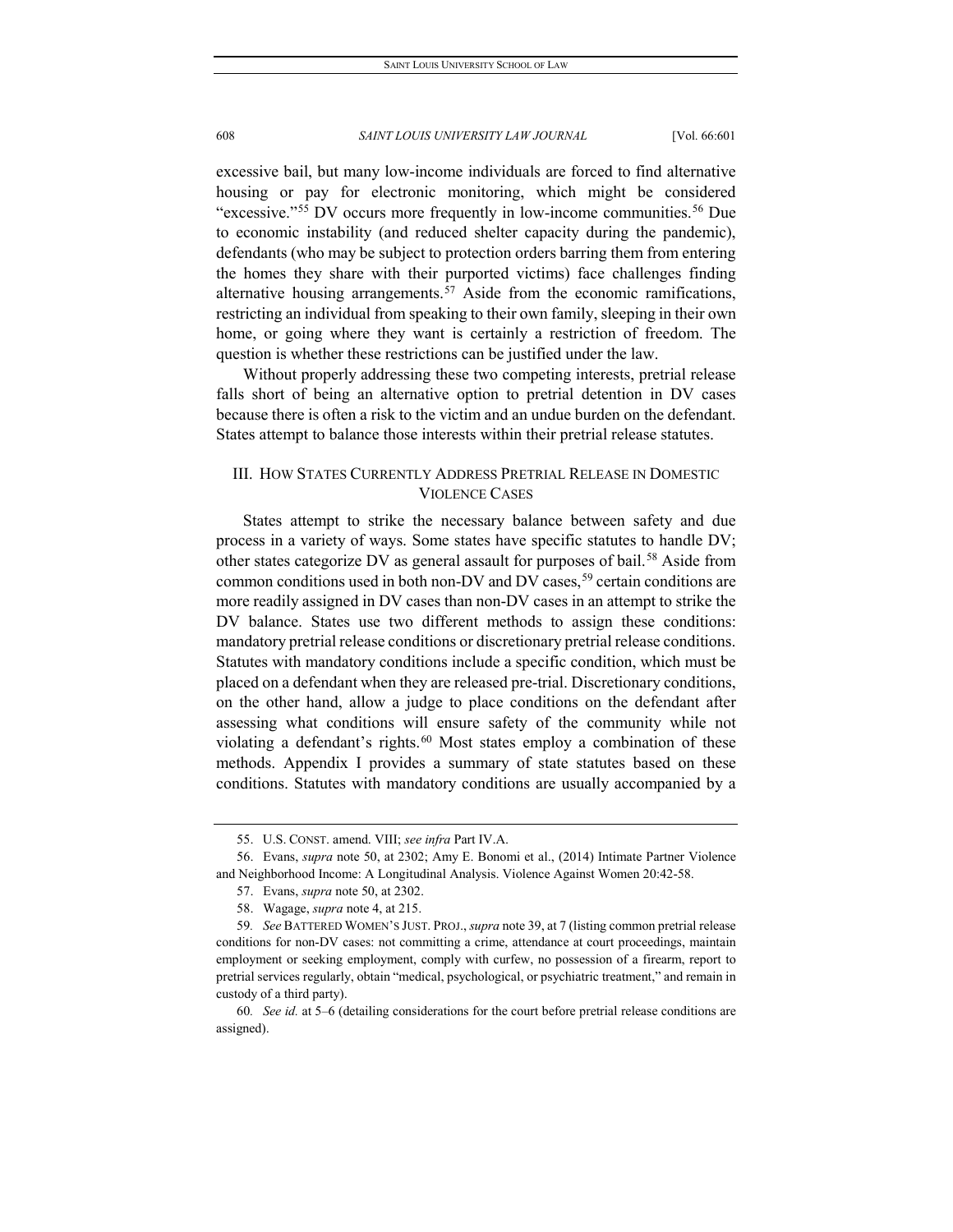excessive bail, but many low-income individuals are forced to find alternative housing or pay for electronic monitoring, which might be considered "excessive."<sup>[55](#page-8-0)</sup> DV occurs more frequently in low-income communities.<sup>[56](#page-8-1)</sup> Due to economic instability (and reduced shelter capacity during the pandemic), defendants (who may be subject to protection orders barring them from entering the homes they share with their purported victims) face challenges finding alternative housing arrangements.<sup>[57](#page-8-2)</sup> Aside from the economic ramifications, restricting an individual from speaking to their own family, sleeping in their own home, or going where they want is certainly a restriction of freedom. The question is whether these restrictions can be justified under the law.

Without properly addressing these two competing interests, pretrial release falls short of being an alternative option to pretrial detention in DV cases because there is often a risk to the victim and an undue burden on the defendant. States attempt to balance those interests within their pretrial release statutes.

# III. HOW STATES CURRENTLY ADDRESS PRETRIAL RELEASE IN DOMESTIC VIOLENCE CASES

States attempt to strike the necessary balance between safety and due process in a variety of ways. Some states have specific statutes to handle DV; other states categorize DV as general assault for purposes of bail.<sup>[58](#page-8-3)</sup> Aside from common conditions used in both non-DV and DV cases,  $59$  certain conditions are more readily assigned in DV cases than non-DV cases in an attempt to strike the DV balance. States use two different methods to assign these conditions: mandatory pretrial release conditions or discretionary pretrial release conditions. Statutes with mandatory conditions include a specific condition, which must be placed on a defendant when they are released pre-trial. Discretionary conditions, on the other hand, allow a judge to place conditions on the defendant after assessing what conditions will ensure safety of the community while not violating a defendant's rights.<sup>[60](#page-8-5)</sup> Most states employ a combination of these methods. Appendix I provides a summary of state statutes based on these conditions. Statutes with mandatory conditions are usually accompanied by a

<sup>55.</sup> U.S. CONST. amend. VIII; *see infra* Part IV.A.

<span id="page-8-2"></span><span id="page-8-1"></span><span id="page-8-0"></span><sup>56.</sup> Evans, *supra* note 50, at 2302; Amy E. Bonomi et al., (2014) Intimate Partner Violence and Neighborhood Income: A Longitudinal Analysis. Violence Against Women 20:42-58.

<sup>57.</sup> Evans, *supra* note 50, at 2302.

<sup>58.</sup> Wagage, *supra* note 4, at 215.

<span id="page-8-4"></span><span id="page-8-3"></span><sup>59</sup>*. See* BATTERED WOMEN'S JUST. PROJ., *supra* note 39, at 7 (listing common pretrial release conditions for non-DV cases: not committing a crime, attendance at court proceedings, maintain employment or seeking employment, comply with curfew, no possession of a firearm, report to pretrial services regularly, obtain "medical, psychological, or psychiatric treatment," and remain in custody of a third party).

<span id="page-8-5"></span><sup>60</sup>*. See id.* at 5–6 (detailing considerations for the court before pretrial release conditions are assigned).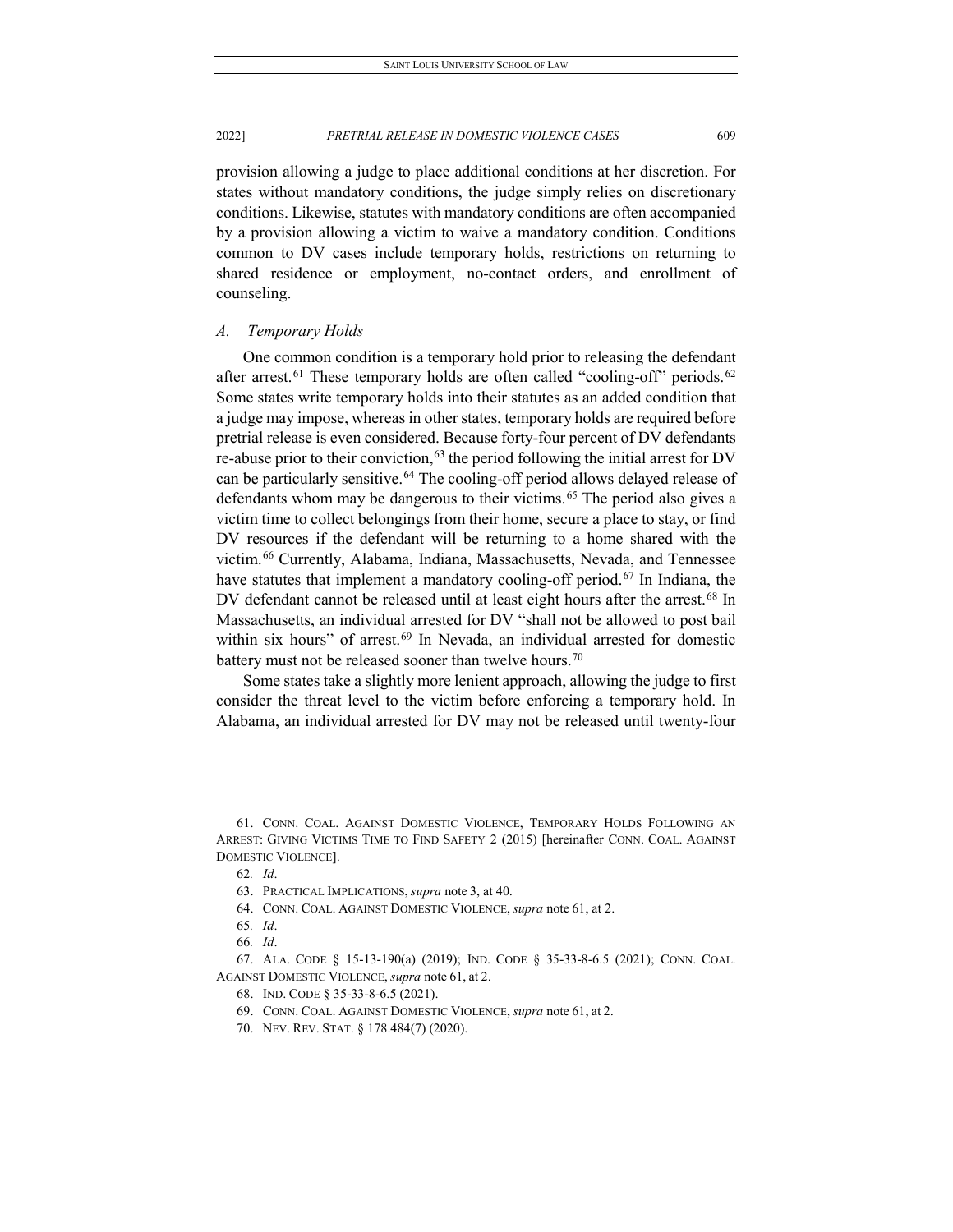provision allowing a judge to place additional conditions at her discretion. For states without mandatory conditions, the judge simply relies on discretionary conditions. Likewise, statutes with mandatory conditions are often accompanied by a provision allowing a victim to waive a mandatory condition. Conditions common to DV cases include temporary holds, restrictions on returning to shared residence or employment, no-contact orders, and enrollment of counseling.

#### *A. Temporary Holds*

One common condition is a temporary hold prior to releasing the defendant after arrest.<sup>[61](#page-9-0)</sup> These temporary holds are often called "cooling-off" periods.<sup>[62](#page-9-1)</sup> Some states write temporary holds into their statutes as an added condition that a judge may impose, whereas in other states, temporary holds are required before pretrial release is even considered. Because forty-four percent of DV defendants re-abuse prior to their conviction,<sup>[63](#page-9-2)</sup> the period following the initial arrest for DV can be particularly sensitive.<sup>[64](#page-9-3)</sup> The cooling-off period allows delayed release of defendants whom may be dangerous to their victims.<sup>[65](#page-9-4)</sup> The period also gives a victim time to collect belongings from their home, secure a place to stay, or find DV resources if the defendant will be returning to a home shared with the victim.[66](#page-9-5) Currently, Alabama, Indiana, Massachusetts, Nevada, and Tennessee have statutes that implement a mandatory cooling-off period.<sup>[67](#page-9-6)</sup> In Indiana, the DV defendant cannot be released until at least eight hours after the arrest.<sup>[68](#page-9-7)</sup> In Massachusetts, an individual arrested for DV "shall not be allowed to post bail within six hours" of arrest.<sup>[69](#page-9-8)</sup> In Nevada, an individual arrested for domestic battery must not be released sooner than twelve hours.<sup>[70](#page-9-9)</sup>

Some states take a slightly more lenient approach, allowing the judge to first consider the threat level to the victim before enforcing a temporary hold. In Alabama, an individual arrested for DV may not be released until twenty-four

<span id="page-9-2"></span><span id="page-9-1"></span><span id="page-9-0"></span><sup>61.</sup> CONN. COAL. AGAINST DOMESTIC VIOLENCE, TEMPORARY HOLDS FOLLOWING AN ARREST: GIVING VICTIMS TIME TO FIND SAFETY 2 (2015) [hereinafter CONN. COAL. AGAINST DOMESTIC VIOLENCE].

<sup>62</sup>*. Id*.

<sup>63.</sup> PRACTICAL IMPLICATIONS, *supra* note 3, at 40.

<sup>64.</sup> CONN. COAL. AGAINST DOMESTIC VIOLENCE, *supra* note 61, at 2.

<sup>65</sup>*. Id*.

<sup>66</sup>*. Id*.

<span id="page-9-9"></span><span id="page-9-8"></span><span id="page-9-7"></span><span id="page-9-6"></span><span id="page-9-5"></span><span id="page-9-4"></span><span id="page-9-3"></span><sup>67.</sup> ALA. CODE § 15-13-190(a) (2019); IND. CODE § 35-33-8-6.5 (2021); CONN. COAL. AGAINST DOMESTIC VIOLENCE, *supra* note 61, at 2.

<sup>68.</sup> IND. CODE § 35-33-8-6.5 (2021).

<sup>69.</sup> CONN. COAL. AGAINST DOMESTIC VIOLENCE, *supra* note 61, at 2.

<sup>70.</sup> NEV. REV. STAT. § 178.484(7) (2020).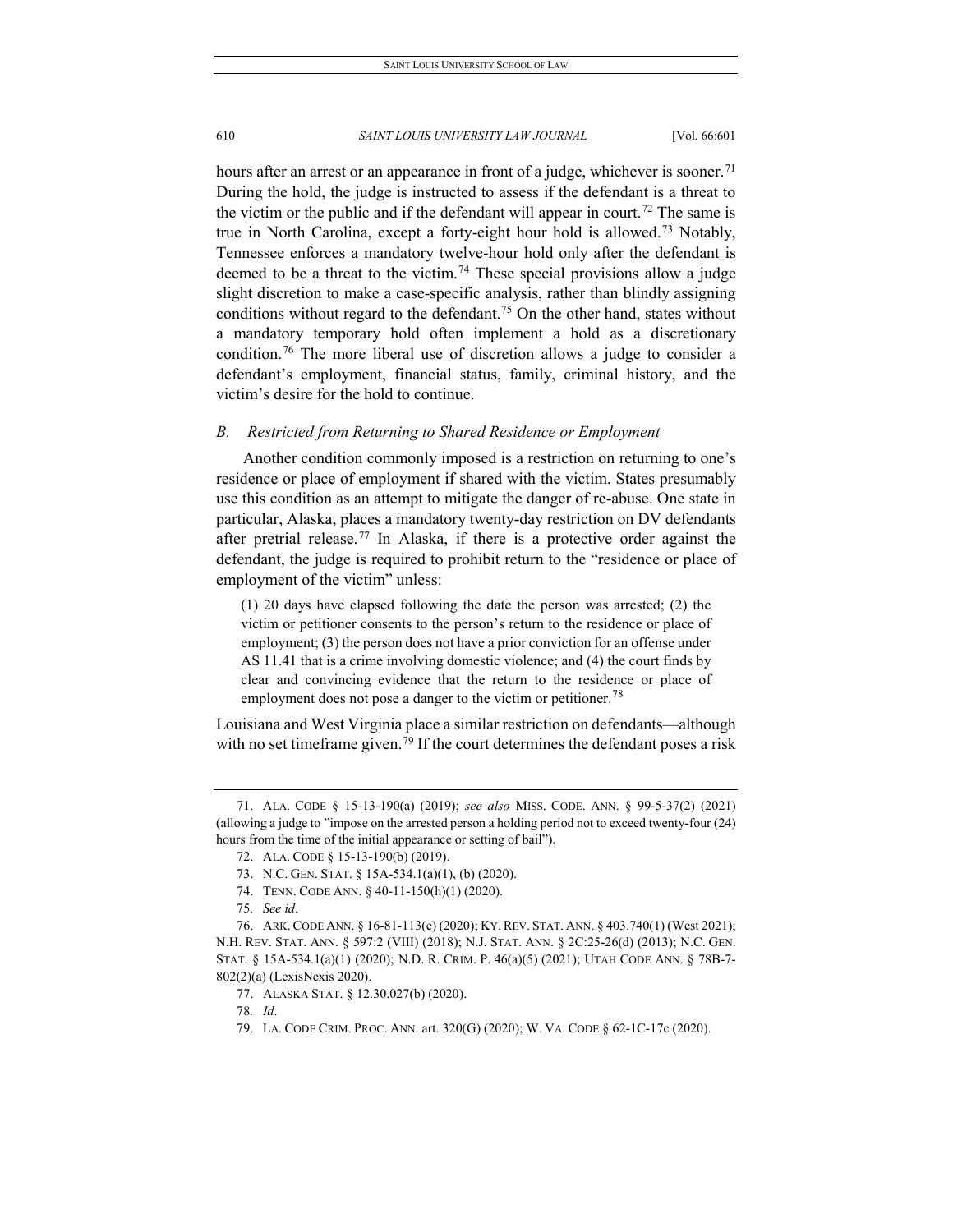hours after an arrest or an appearance in front of a judge, whichever is sooner.<sup>[71](#page-10-0)</sup> During the hold, the judge is instructed to assess if the defendant is a threat to the victim or the public and if the defendant will appear in court.<sup>[72](#page-10-1)</sup> The same is true in North Carolina, except a forty-eight hour hold is allowed.[73](#page-10-2) Notably, Tennessee enforces a mandatory twelve-hour hold only after the defendant is deemed to be a threat to the victim.<sup>[74](#page-10-3)</sup> These special provisions allow a judge slight discretion to make a case-specific analysis, rather than blindly assigning conditions without regard to the defendant.<sup>[75](#page-10-4)</sup> On the other hand, states without a mandatory temporary hold often implement a hold as a discretionary condition.[76](#page-10-5) The more liberal use of discretion allows a judge to consider a defendant's employment, financial status, family, criminal history, and the victim's desire for the hold to continue.

#### *B. Restricted from Returning to Shared Residence or Employment*

Another condition commonly imposed is a restriction on returning to one's residence or place of employment if shared with the victim. States presumably use this condition as an attempt to mitigate the danger of re-abuse. One state in particular, Alaska, places a mandatory twenty-day restriction on DV defendants after pretrial release.<sup>[77](#page-10-6)</sup> In Alaska, if there is a protective order against the defendant, the judge is required to prohibit return to the "residence or place of employment of the victim" unless:

(1) 20 days have elapsed following the date the person was arrested; (2) the victim or petitioner consents to the person's return to the residence or place of employment; (3) the person does not have a prior conviction for an offense under AS 11.41 that is a crime involving domestic violence; and (4) the court finds by clear and convincing evidence that the return to the residence or place of employment does not pose a danger to the victim or petitioner.<sup>[78](#page-10-7)</sup>

Louisiana and West Virginia place a similar restriction on defendants—although with no set timeframe given.<sup>[79](#page-10-8)</sup> If the court determines the defendant poses a risk

78*. Id*.

<span id="page-10-1"></span><span id="page-10-0"></span><sup>71.</sup> ALA. CODE § 15-13-190(a) (2019); *see also* MISS. CODE. ANN. § 99-5-37(2) (2021) (allowing a judge to "impose on the arrested person a holding period not to exceed twenty-four (24) hours from the time of the initial appearance or setting of bail").

<sup>72.</sup> ALA. CODE § 15-13-190(b) (2019).

<sup>73.</sup> N.C. GEN. STAT. § 15A-534.1(a)(1), (b) (2020).

<sup>74.</sup> TENN. CODE ANN. § 40-11-150(h)(1) (2020).

<sup>75</sup>*. See id*.

<span id="page-10-7"></span><span id="page-10-6"></span><span id="page-10-5"></span><span id="page-10-4"></span><span id="page-10-3"></span><span id="page-10-2"></span><sup>76.</sup> ARK. CODE ANN. § 16-81-113(e) (2020); KY. REV. STAT. ANN. § 403.740(1) (West 2021); N.H. REV. STAT. ANN. § 597:2 (VIII) (2018); N.J. STAT. ANN. § 2C:25-26(d) (2013); N.C. GEN. STAT. § 15A-534.1(a)(1) (2020); N.D. R. CRIM. P. 46(a)(5) (2021); UTAH CODE ANN. § 78B-7- 802(2)(a) (LexisNexis 2020).

<sup>77.</sup> ALASKA STAT. § 12.30.027(b) (2020).

<span id="page-10-8"></span><sup>79.</sup> LA. CODE CRIM. PROC. ANN. art. 320(G) (2020); W. VA. CODE § 62-1C-17c (2020).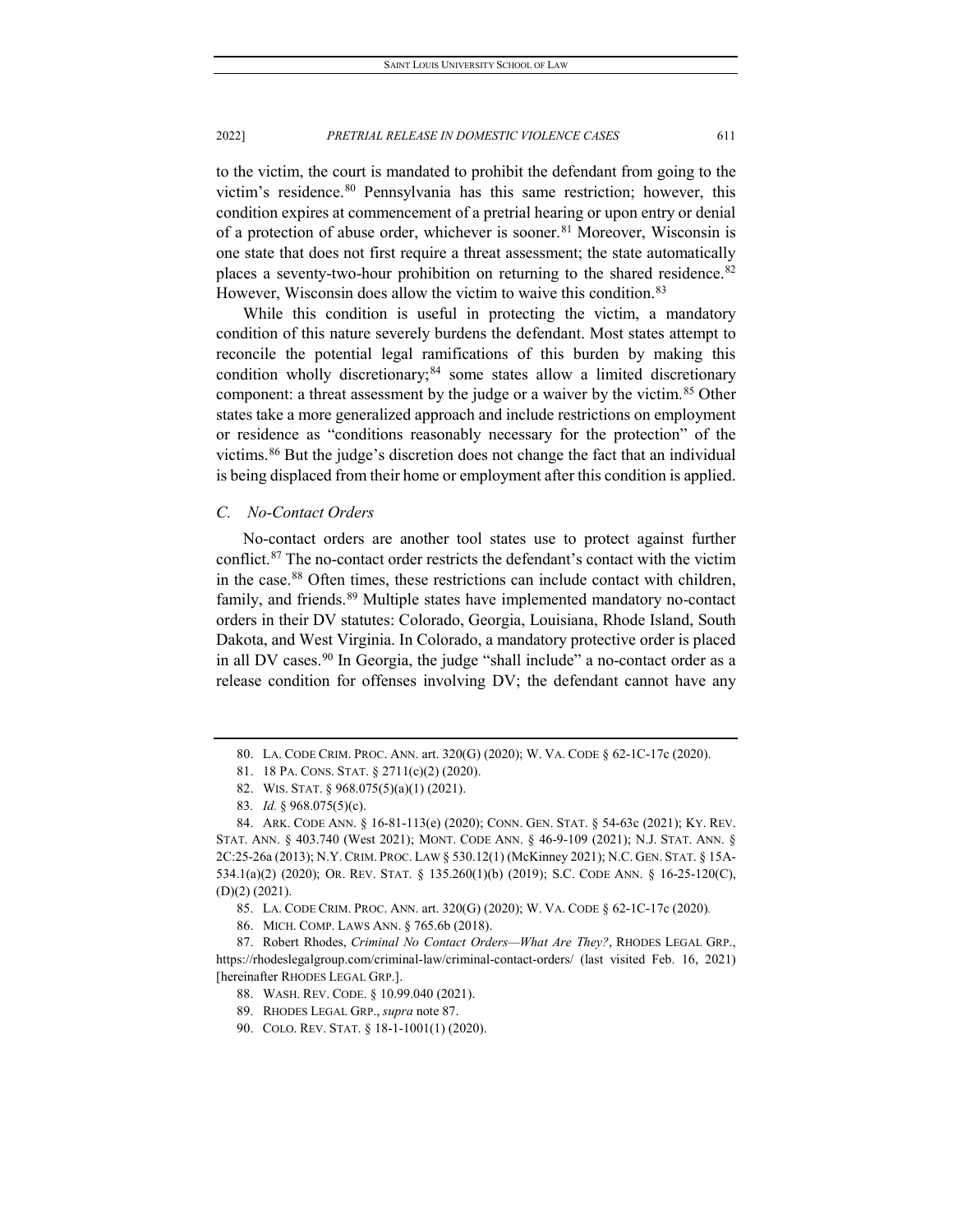to the victim, the court is mandated to prohibit the defendant from going to the victim's residence.<sup>[80](#page-11-0)</sup> Pennsylvania has this same restriction; however, this condition expires at commencement of a pretrial hearing or upon entry or denial of a protection of abuse order, whichever is sooner.<sup>[81](#page-11-1)</sup> Moreover, Wisconsin is one state that does not first require a threat assessment; the state automatically places a seventy-two-hour prohibition on returning to the shared residence.<sup>[82](#page-11-2)</sup> However, Wisconsin does allow the victim to waive this condition.<sup>[83](#page-11-3)</sup>

While this condition is useful in protecting the victim, a mandatory condition of this nature severely burdens the defendant. Most states attempt to reconcile the potential legal ramifications of this burden by making this condition wholly discretionary; $84$  some states allow a limited discretionary component: a threat assessment by the judge or a waiver by the victim.<sup>[85](#page-11-5)</sup> Other states take a more generalized approach and include restrictions on employment or residence as "conditions reasonably necessary for the protection" of the victims.[86](#page-11-6) But the judge's discretion does not change the fact that an individual is being displaced from their home or employment after this condition is applied.

#### *C. No-Contact Orders*

No-contact orders are another tool states use to protect against further conflict.[87](#page-11-7) The no-contact order restricts the defendant's contact with the victim in the case.[88](#page-11-8) Often times, these restrictions can include contact with children, family, and friends.<sup>[89](#page-11-9)</sup> Multiple states have implemented mandatory no-contact orders in their DV statutes: Colorado, Georgia, Louisiana, Rhode Island, South Dakota, and West Virginia. In Colorado, a mandatory protective order is placed in all DV cases.<sup>[90](#page-11-10)</sup> In Georgia, the judge "shall include" a no-contact order as a release condition for offenses involving DV; the defendant cannot have any

<sup>80.</sup> LA. CODE CRIM. PROC. ANN. art. 320(G) (2020); W. VA. CODE § 62-1C-17c (2020).

<sup>81.</sup> 18 PA. CONS. STAT. § 2711(c)(2) (2020).

<sup>82.</sup> WIS. STAT. § 968.075(5)(a)(1) (2021).

<sup>83</sup>*. Id.* § 968.075(5)(c).

<span id="page-11-4"></span><span id="page-11-3"></span><span id="page-11-2"></span><span id="page-11-1"></span><span id="page-11-0"></span><sup>84.</sup> ARK. CODE ANN. § 16-81-113(e) (2020); CONN. GEN. STAT. § 54-63c (2021); KY. REV. STAT. ANN. § 403.740 (West 2021); MONT. CODE ANN. § 46-9-109 (2021); N.J. STAT. ANN. § 2C:25-26a (2013); N.Y. CRIM. PROC. LAW § 530.12(1) (McKinney 2021); N.C. GEN. STAT. § 15A-534.1(a)(2) (2020); OR. REV. STAT. § 135.260(1)(b) (2019); S.C. CODE ANN. § 16-25-120(C), (D)(2) (2021).

<sup>85.</sup> LA. CODE CRIM. PROC. ANN. art. 320(G) (2020); W. VA. CODE § 62-1C-17c (2020)*.*

<sup>86.</sup> MICH. COMP. LAWS ANN. § 765.6b (2018).

<span id="page-11-10"></span><span id="page-11-9"></span><span id="page-11-8"></span><span id="page-11-7"></span><span id="page-11-6"></span><span id="page-11-5"></span><sup>87.</sup> Robert Rhodes, *Criminal No Contact Orders—What Are They?*, RHODES LEGAL GRP., https://rhodeslegalgroup.com/criminal-law/criminal-contact-orders/ (last visited Feb. 16, 2021) [hereinafter RHODES LEGAL GRP.].

<sup>88.</sup> WASH. REV. CODE. § 10.99.040 (2021).

<sup>89.</sup> RHODES LEGAL GRP., *supra* note 87.

<sup>90.</sup> COLO. REV. STAT. § 18-1-1001(1) (2020).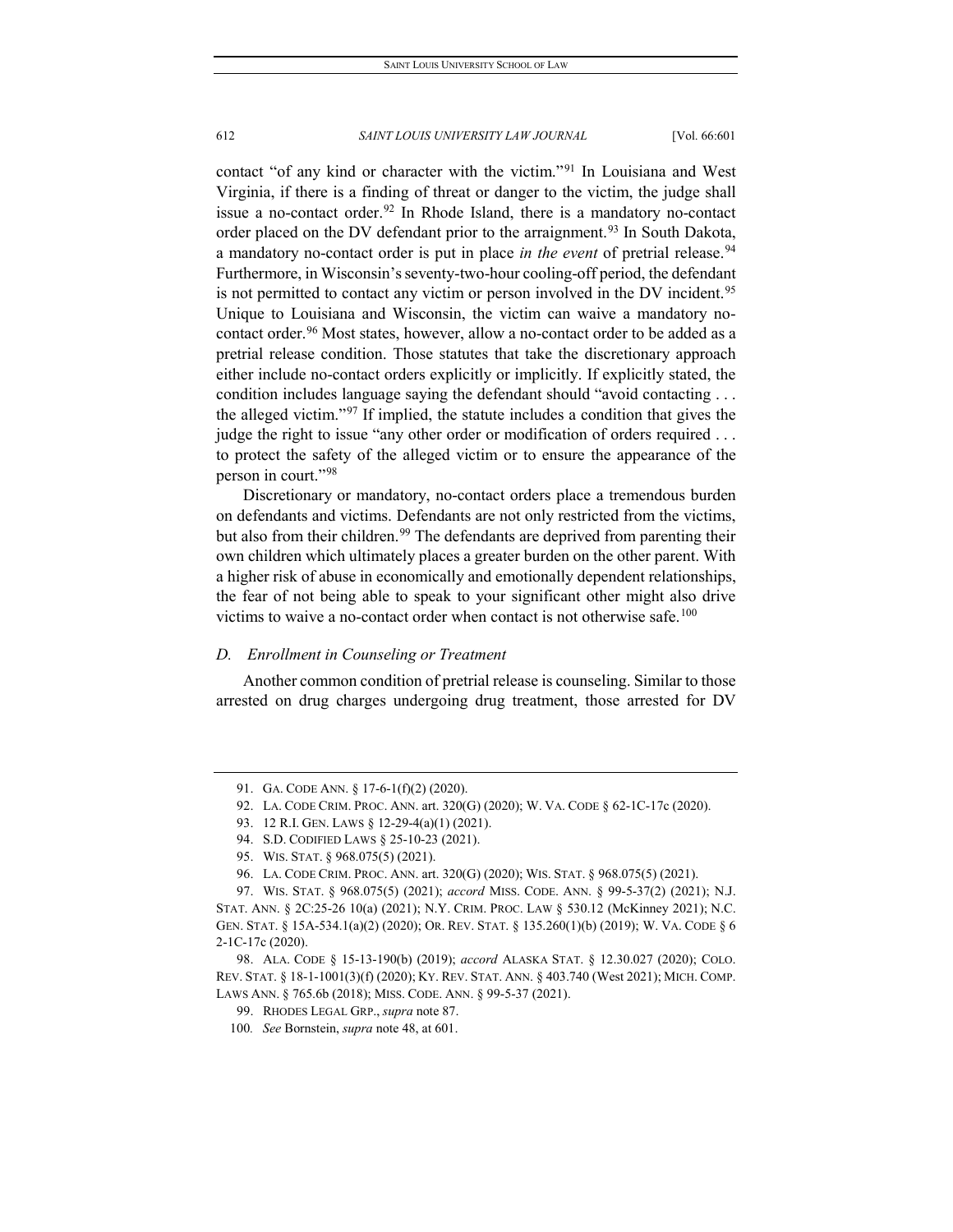contact "of any kind or character with the victim."[91](#page-12-0) In Louisiana and West Virginia, if there is a finding of threat or danger to the victim, the judge shall issue a no-contact order. $92$  In Rhode Island, there is a mandatory no-contact order placed on the DV defendant prior to the arraignment.<sup>[93](#page-12-2)</sup> In South Dakota, a mandatory no-contact order is put in place *in the event* of pretrial release.<sup>[94](#page-12-3)</sup> Furthermore, in Wisconsin's seventy-two-hour cooling-off period, the defendant is not permitted to contact any victim or person involved in the DV incident.<sup>[95](#page-12-4)</sup> Unique to Louisiana and Wisconsin, the victim can waive a mandatory no-contact order.<sup>[96](#page-12-5)</sup> Most states, however, allow a no-contact order to be added as a pretrial release condition. Those statutes that take the discretionary approach either include no-contact orders explicitly or implicitly. If explicitly stated, the condition includes language saying the defendant should "avoid contacting . . . the alleged victim."[97](#page-12-6) If implied, the statute includes a condition that gives the judge the right to issue "any other order or modification of orders required ... to protect the safety of the alleged victim or to ensure the appearance of the person in court."[98](#page-12-7)

Discretionary or mandatory, no-contact orders place a tremendous burden on defendants and victims. Defendants are not only restricted from the victims, but also from their children.<sup>[99](#page-12-8)</sup> The defendants are deprived from parenting their own children which ultimately places a greater burden on the other parent. With a higher risk of abuse in economically and emotionally dependent relationships, the fear of not being able to speak to your significant other might also drive victims to waive a no-contact order when contact is not otherwise safe.<sup>[100](#page-12-9)</sup>

#### *D. Enrollment in Counseling or Treatment*

Another common condition of pretrial release is counseling. Similar to those arrested on drug charges undergoing drug treatment, those arrested for DV

<sup>91.</sup> GA. CODE ANN. § 17-6-1(f)(2) (2020).

<span id="page-12-0"></span><sup>92.</sup> LA. CODE CRIM. PROC. ANN. art. 320(G) (2020); W. VA. CODE § 62-1C-17c (2020).

<sup>93.</sup> 12 R.I. GEN. LAWS § 12-29-4(a)(1) (2021).

<sup>94.</sup> S.D. CODIFIED LAWS § 25-10-23 (2021).

<sup>95.</sup> WIS. STAT. § 968.075(5) (2021).

<sup>96.</sup> LA. CODE CRIM. PROC. ANN. art. 320(G) (2020); WIS. STAT. § 968.075(5) (2021).

<span id="page-12-6"></span><span id="page-12-5"></span><span id="page-12-4"></span><span id="page-12-3"></span><span id="page-12-2"></span><span id="page-12-1"></span><sup>97.</sup> WIS. STAT. § 968.075(5) (2021); *accord* MISS. CODE. ANN. § 99-5-37(2) (2021); N.J. STAT. ANN. § 2C:25-26 10(a) (2021); N.Y. CRIM. PROC. LAW § 530.12 (McKinney 2021); N.C. GEN. STAT. § 15A-534.1(a)(2) (2020); OR. REV. STAT. § 135.260(1)(b) (2019); W. VA. CODE § 6 2-1C-17c (2020).

<span id="page-12-9"></span><span id="page-12-8"></span><span id="page-12-7"></span><sup>98.</sup> ALA. CODE § 15-13-190(b) (2019); *accord* ALASKA STAT. § 12.30.027 (2020); COLO. REV. STAT. § 18-1-1001(3)(f) (2020); KY. REV. STAT. ANN. § 403.740 (West 2021); MICH. COMP. LAWS ANN. § 765.6b (2018); MISS. CODE. ANN. § 99-5-37 (2021).

<sup>99.</sup> RHODES LEGAL GRP., *supra* note 87.

<sup>100</sup>*. See* Bornstein, *supra* note 48, at 601.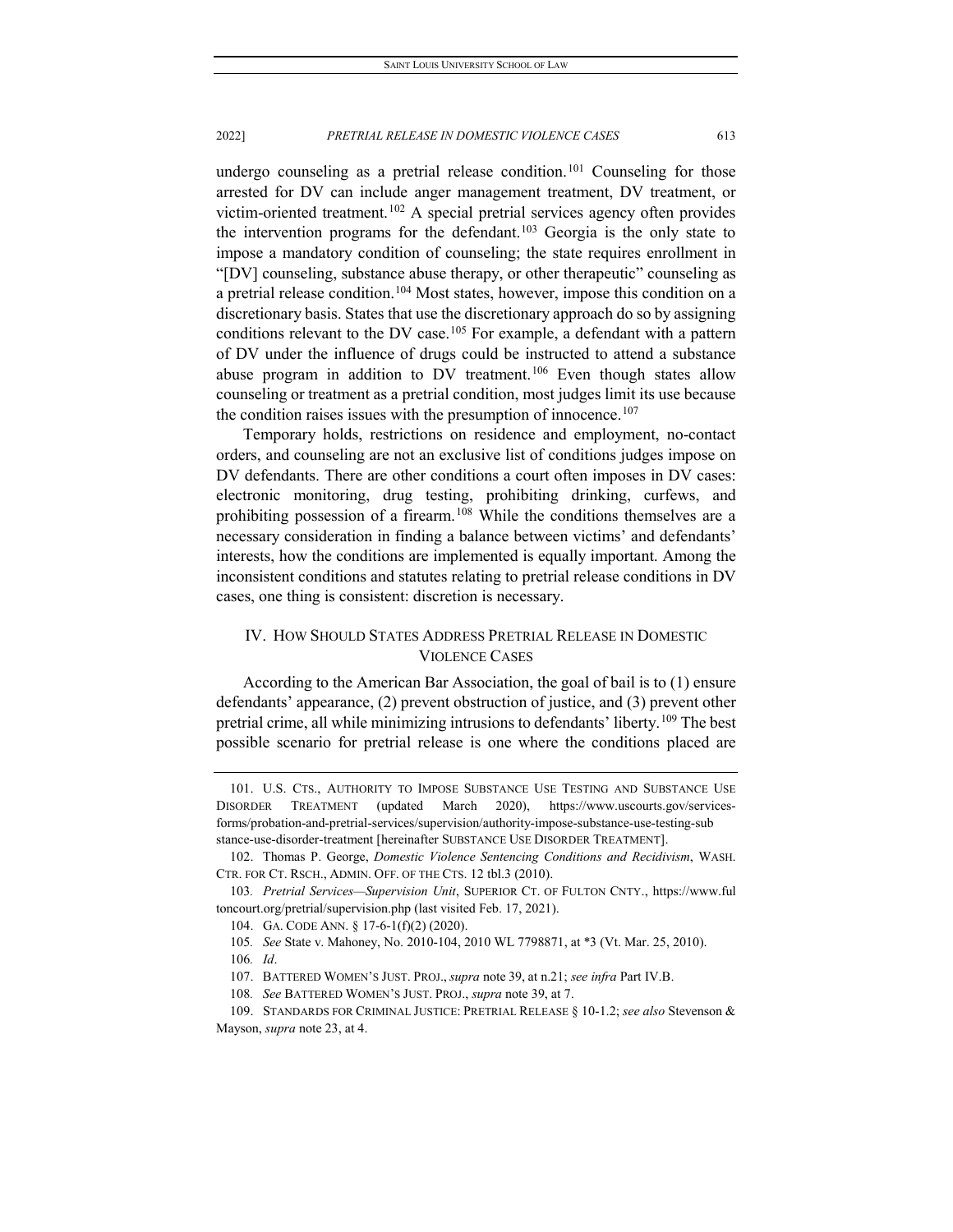undergo counseling as a pretrial release condition.<sup>[101](#page-13-0)</sup> Counseling for those arrested for DV can include anger management treatment, DV treatment, or victim-oriented treatment.<sup>[102](#page-13-1)</sup> A special pretrial services agency often provides the intervention programs for the defendant.<sup>[103](#page-13-2)</sup> Georgia is the only state to impose a mandatory condition of counseling; the state requires enrollment in "[DV] counseling, substance abuse therapy, or other therapeutic" counseling as a pretrial release condition.<sup>[104](#page-13-3)</sup> Most states, however, impose this condition on a discretionary basis. States that use the discretionary approach do so by assigning conditions relevant to the DV case.<sup>105</sup> For example, a defendant with a pattern of DV under the influence of drugs could be instructed to attend a substance abuse program in addition to DV treatment.<sup>[106](#page-13-5)</sup> Even though states allow counseling or treatment as a pretrial condition, most judges limit its use because the condition raises issues with the presumption of innocence.<sup>[107](#page-13-6)</sup>

Temporary holds, restrictions on residence and employment, no-contact orders, and counseling are not an exclusive list of conditions judges impose on DV defendants. There are other conditions a court often imposes in DV cases: electronic monitoring, drug testing, prohibiting drinking, curfews, and prohibiting possession of a firearm.<sup>[108](#page-13-7)</sup> While the conditions themselves are a necessary consideration in finding a balance between victims' and defendants' interests, how the conditions are implemented is equally important. Among the inconsistent conditions and statutes relating to pretrial release conditions in DV cases, one thing is consistent: discretion is necessary.

# IV. HOW SHOULD STATES ADDRESS PRETRIAL RELEASE IN DOMESTIC VIOLENCE CASES

According to the American Bar Association, the goal of bail is to (1) ensure defendants' appearance, (2) prevent obstruction of justice, and (3) prevent other pretrial crime, all while minimizing intrusions to defendants' liberty.[109](#page-13-8) The best possible scenario for pretrial release is one where the conditions placed are

<span id="page-13-0"></span><sup>101.</sup> U.S. CTS., AUTHORITY TO IMPOSE SUBSTANCE USE TESTING AND SUBSTANCE USE DISORDER TREATMENT (updated March 2020), https://www.uscourts.gov/servicesforms/probation-and-pretrial-services/supervision/authority-impose-substance-use-testing-sub stance-use-disorder-treatment [hereinafter SUBSTANCE USE DISORDER TREATMENT].

<span id="page-13-1"></span><sup>102.</sup> Thomas P. George, *Domestic Violence Sentencing Conditions and Recidivism*, WASH. CTR. FOR CT. RSCH., ADMIN. OFF. OF THE CTS. 12 tbl.3 (2010).

<span id="page-13-4"></span><span id="page-13-3"></span><span id="page-13-2"></span><sup>103</sup>*. Pretrial Services—Supervision Unit*, SUPERIOR CT. OF FULTON CNTY., https://www.ful toncourt.org/pretrial/supervision.php (last visited Feb. 17, 2021).

<sup>104.</sup> GA. CODE ANN. § 17-6-1(f)(2) (2020).

<sup>105</sup>*. See* State v. Mahoney, No. 2010-104, 2010 WL 7798871, at \*3 (Vt. Mar. 25, 2010).

<sup>106</sup>*. Id*.

<sup>107.</sup> BATTERED WOMEN'S JUST. PROJ., *supra* note 39, at n.21; *see infra* Part IV.B.

<sup>108</sup>*. See* BATTERED WOMEN'S JUST. PROJ., *supra* note 39, at 7.

<span id="page-13-8"></span><span id="page-13-7"></span><span id="page-13-6"></span><span id="page-13-5"></span><sup>109.</sup> STANDARDS FOR CRIMINAL JUSTICE: PRETRIAL RELEASE § 10-1.2; *see also* Stevenson & Mayson, *supra* note 23, at 4.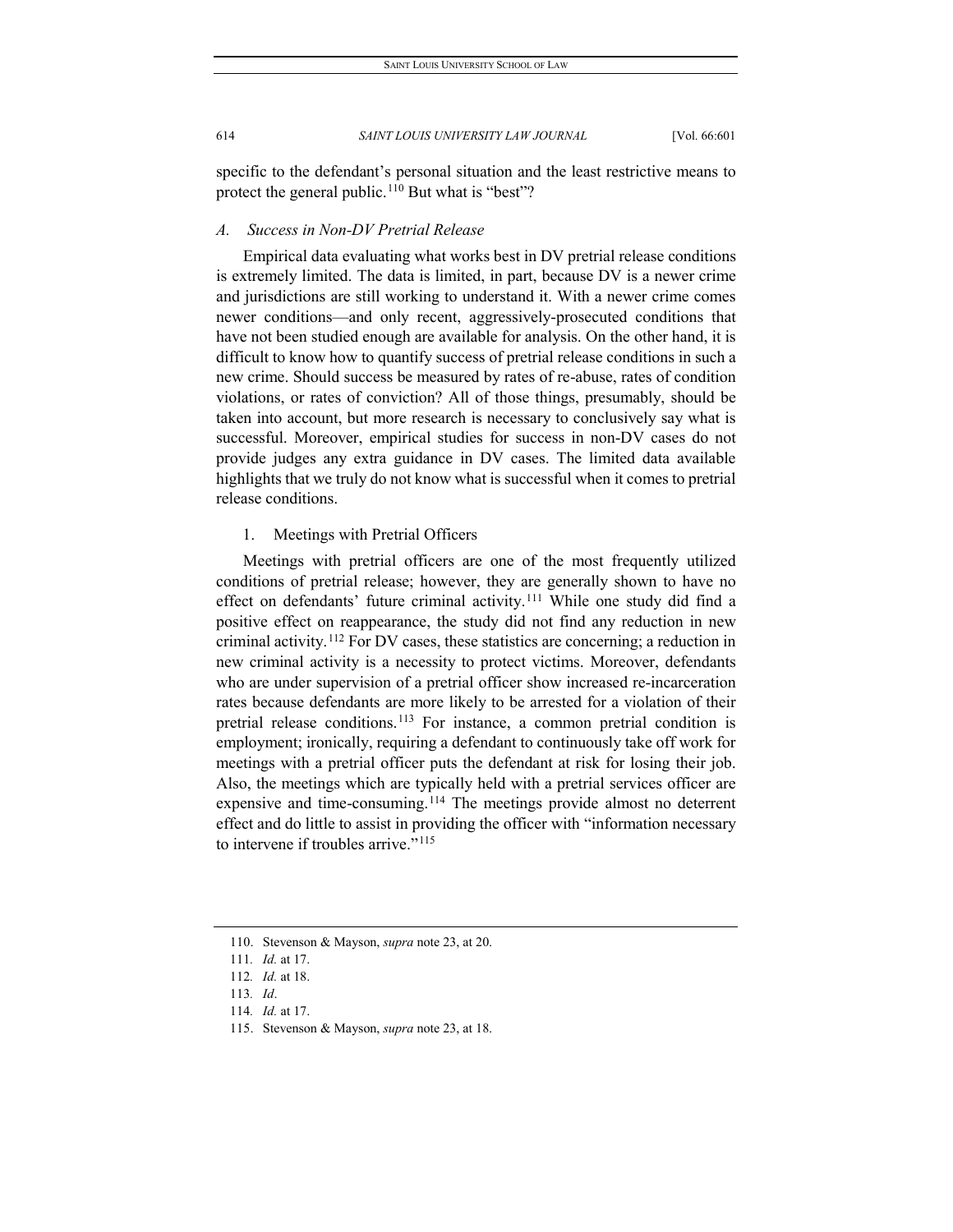specific to the defendant's personal situation and the least restrictive means to protect the general public.<sup>[110](#page-14-0)</sup> But what is "best"?

# *A. Success in Non-DV Pretrial Release*

Empirical data evaluating what works best in DV pretrial release conditions is extremely limited. The data is limited, in part, because DV is a newer crime and jurisdictions are still working to understand it. With a newer crime comes newer conditions—and only recent, aggressively-prosecuted conditions that have not been studied enough are available for analysis. On the other hand, it is difficult to know how to quantify success of pretrial release conditions in such a new crime. Should success be measured by rates of re-abuse, rates of condition violations, or rates of conviction? All of those things, presumably, should be taken into account, but more research is necessary to conclusively say what is successful. Moreover, empirical studies for success in non-DV cases do not provide judges any extra guidance in DV cases. The limited data available highlights that we truly do not know what is successful when it comes to pretrial release conditions.

#### 1. Meetings with Pretrial Officers

Meetings with pretrial officers are one of the most frequently utilized conditions of pretrial release; however, they are generally shown to have no effect on defendants' future criminal activity.<sup>[111](#page-14-1)</sup> While one study did find a positive effect on reappearance, the study did not find any reduction in new criminal activity.[112](#page-14-2) For DV cases, these statistics are concerning; a reduction in new criminal activity is a necessity to protect victims. Moreover, defendants who are under supervision of a pretrial officer show increased re-incarceration rates because defendants are more likely to be arrested for a violation of their pretrial release conditions.<sup>[113](#page-14-3)</sup> For instance, a common pretrial condition is employment; ironically, requiring a defendant to continuously take off work for meetings with a pretrial officer puts the defendant at risk for losing their job. Also, the meetings which are typically held with a pretrial services officer are expensive and time-consuming.<sup>[114](#page-14-4)</sup> The meetings provide almost no deterrent effect and do little to assist in providing the officer with "information necessary to intervene if troubles arrive."[115](#page-14-5)

<span id="page-14-1"></span><span id="page-14-0"></span><sup>110.</sup> Stevenson & Mayson, *supra* note 23, at 20.

<sup>111</sup>*. Id.* at 17.

<span id="page-14-2"></span><sup>112</sup>*. Id.* at 18.

<span id="page-14-3"></span><sup>113</sup>*. Id*.

<span id="page-14-4"></span><sup>114</sup>*. Id.* at 17.

<span id="page-14-5"></span><sup>115.</sup> Stevenson & Mayson, *supra* note 23, at 18.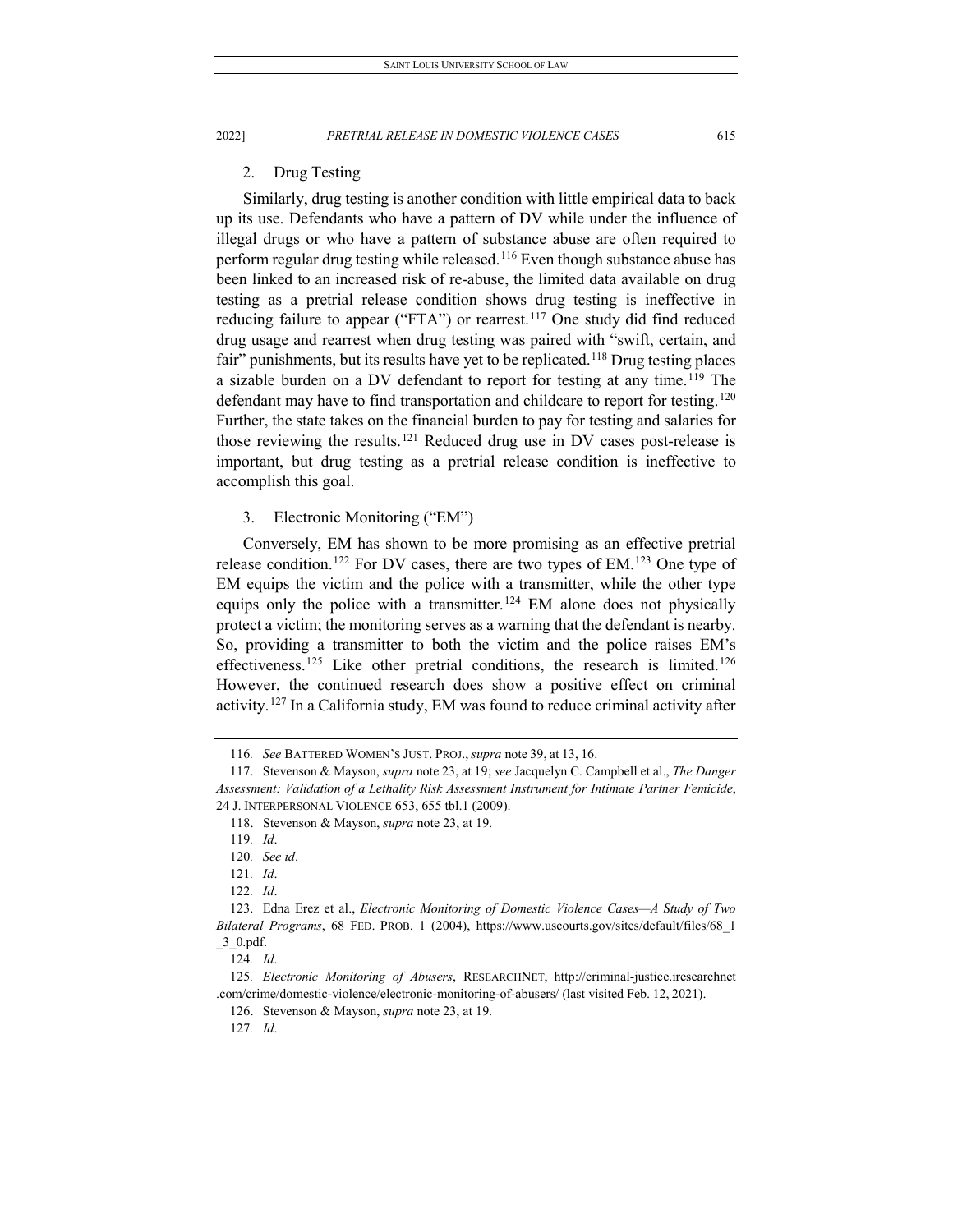2. Drug Testing

Similarly, drug testing is another condition with little empirical data to back up its use. Defendants who have a pattern of DV while under the influence of illegal drugs or who have a pattern of substance abuse are often required to perform regular drug testing while released.<sup>[116](#page-15-0)</sup> Even though substance abuse has been linked to an increased risk of re-abuse, the limited data available on drug testing as a pretrial release condition shows drug testing is ineffective in reducing failure to appear ("FTA") or rearrest.<sup>[117](#page-15-1)</sup> One study did find reduced drug usage and rearrest when drug testing was paired with "swift, certain, and fair" punishments, but its results have yet to be replicated.<sup>[118](#page-15-2)</sup> Drug testing places a sizable burden on a DV defendant to report for testing at any time.<sup>[119](#page-15-3)</sup> The defendant may have to find transportation and childcare to report for testing.<sup>[120](#page-15-4)</sup> Further, the state takes on the financial burden to pay for testing and salaries for those reviewing the results.[121](#page-15-5) Reduced drug use in DV cases post-release is important, but drug testing as a pretrial release condition is ineffective to accomplish this goal.

3. Electronic Monitoring ("EM")

Conversely, EM has shown to be more promising as an effective pretrial release condition.<sup>[122](#page-15-6)</sup> For DV cases, there are two types of EM.<sup>[123](#page-15-7)</sup> One type of EM equips the victim and the police with a transmitter, while the other type equips only the police with a transmitter.<sup>[124](#page-15-8)</sup> EM alone does not physically protect a victim; the monitoring serves as a warning that the defendant is nearby. So, providing a transmitter to both the victim and the police raises EM's effectiveness.<sup>[125](#page-15-9)</sup> Like other pretrial conditions, the research is limited.<sup>[126](#page-15-10)</sup> However, the continued research does show a positive effect on criminal activity.[127](#page-15-11) In a California study, EM was found to reduce criminal activity after

<sup>116</sup>*. See* BATTERED WOMEN'S JUST. PROJ., *supra* note 39, at 13, 16.

<span id="page-15-3"></span><span id="page-15-2"></span><span id="page-15-1"></span><span id="page-15-0"></span><sup>117.</sup> Stevenson & Mayson, *supra* note 23, at 19; *see* Jacquelyn C. Campbell et al., *The Danger Assessment: Validation of a Lethality Risk Assessment Instrument for Intimate Partner Femicide*, 24 J. INTERPERSONAL VIOLENCE 653, 655 tbl.1 (2009).

<sup>118.</sup> Stevenson & Mayson, *supra* note 23, at 19.

<sup>119</sup>*. Id*.

<sup>120</sup>*. See id*.

<sup>121</sup>*. Id*.

<sup>122</sup>*. Id*.

<span id="page-15-7"></span><span id="page-15-6"></span><span id="page-15-5"></span><span id="page-15-4"></span><sup>123.</sup> Edna Erez et al., *Electronic Monitoring of Domestic Violence Cases—A Study of Two Bilateral Programs*, 68 FED. PROB. 1 (2004), https://www.uscourts.gov/sites/default/files/68\_1  $\_3\_0.pdf$ .

<sup>124</sup>*. Id*.

<span id="page-15-11"></span><span id="page-15-10"></span><span id="page-15-9"></span><span id="page-15-8"></span><sup>125</sup>*. Electronic Monitoring of Abusers*, RESEARCHNET, http://criminal-justice.iresearchnet .com/crime/domestic-violence/electronic-monitoring-of-abusers/ (last visited Feb. 12, 2021).

<sup>126.</sup> Stevenson & Mayson, *supra* note 23, at 19.

<sup>127</sup>*. Id*.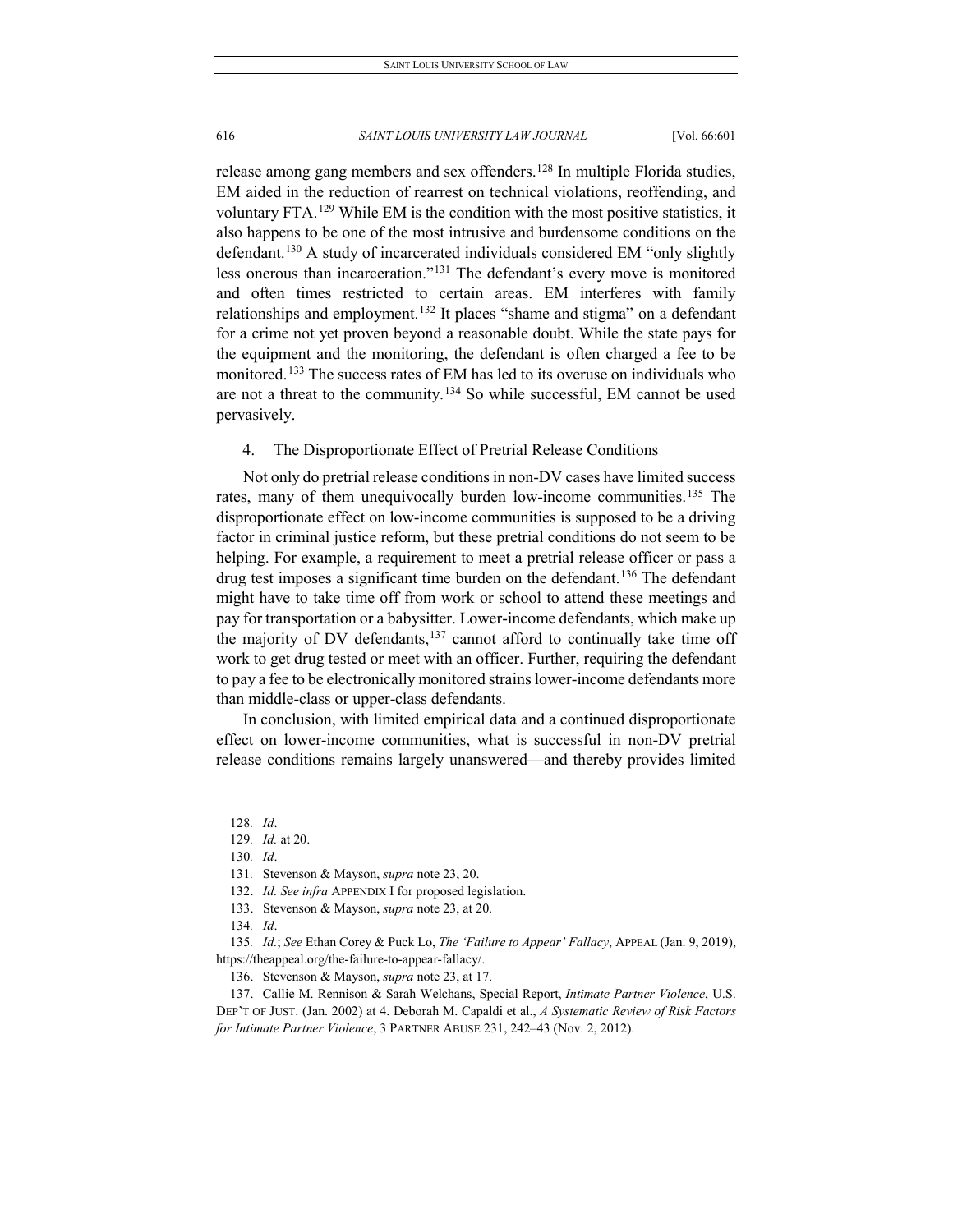release among gang members and sex offenders.<sup>[128](#page-16-0)</sup> In multiple Florida studies, EM aided in the reduction of rearrest on technical violations, reoffending, and voluntary FTA.[129](#page-16-1) While EM is the condition with the most positive statistics, it also happens to be one of the most intrusive and burdensome conditions on the defendant.<sup>130</sup> A study of incarcerated individuals considered EM "only slightly less onerous than incarceration."[131](#page-16-3) The defendant's every move is monitored and often times restricted to certain areas. EM interferes with family relationships and employment.<sup>[132](#page-16-4)</sup> It places "shame and stigma" on a defendant for a crime not yet proven beyond a reasonable doubt. While the state pays for the equipment and the monitoring, the defendant is often charged a fee to be monitored.<sup>[133](#page-16-5)</sup> The success rates of EM has led to its overuse on individuals who are not a threat to the community.[134](#page-16-6) So while successful, EM cannot be used pervasively.

4. The Disproportionate Effect of Pretrial Release Conditions

Not only do pretrial release conditions in non-DV cases have limited success rates, many of them unequivocally burden low-income communities.<sup>[135](#page-16-7)</sup> The disproportionate effect on low-income communities is supposed to be a driving factor in criminal justice reform, but these pretrial conditions do not seem to be helping. For example, a requirement to meet a pretrial release officer or pass a drug test imposes a significant time burden on the defendant.<sup>[136](#page-16-8)</sup> The defendant might have to take time off from work or school to attend these meetings and pay for transportation or a babysitter. Lower-income defendants, which make up the majority of DV defendants, $137$  cannot afford to continually take time off work to get drug tested or meet with an officer. Further, requiring the defendant to pay a fee to be electronically monitored strains lower-income defendants more than middle-class or upper-class defendants.

In conclusion, with limited empirical data and a continued disproportionate effect on lower-income communities, what is successful in non-DV pretrial release conditions remains largely unanswered—and thereby provides limited

<span id="page-16-0"></span><sup>128</sup>*. Id*.

<span id="page-16-1"></span><sup>129</sup>*. Id.* at 20.

<span id="page-16-2"></span><sup>130</sup>*. Id*.

<sup>131</sup>*.* Stevenson & Mayson, *supra* note 23, 20.

<sup>132.</sup> *Id. See infra* APPENDIX I for proposed legislation.

<sup>133.</sup> Stevenson & Mayson, *supra* note 23, at 20.

<sup>134</sup>*. Id*.

<span id="page-16-7"></span><span id="page-16-6"></span><span id="page-16-5"></span><span id="page-16-4"></span><span id="page-16-3"></span><sup>135</sup>*. Id.*; *See* Ethan Corey & Puck Lo, *The 'Failure to Appear' Fallacy*, APPEAL (Jan. 9, 2019), https://theappeal.org/the-failure-to-appear-fallacy/.

<sup>136.</sup> Stevenson & Mayson, *supra* note 23, at 17.

<span id="page-16-9"></span><span id="page-16-8"></span><sup>137.</sup> Callie M. Rennison & Sarah Welchans, Special Report, *Intimate Partner Violence*, U.S. DEP'T OF JUST. (Jan. 2002) at 4. Deborah M. Capaldi et al., *A Systematic Review of Risk Factors for Intimate Partner Violence*, 3 PARTNER ABUSE 231, 242–43 (Nov. 2, 2012).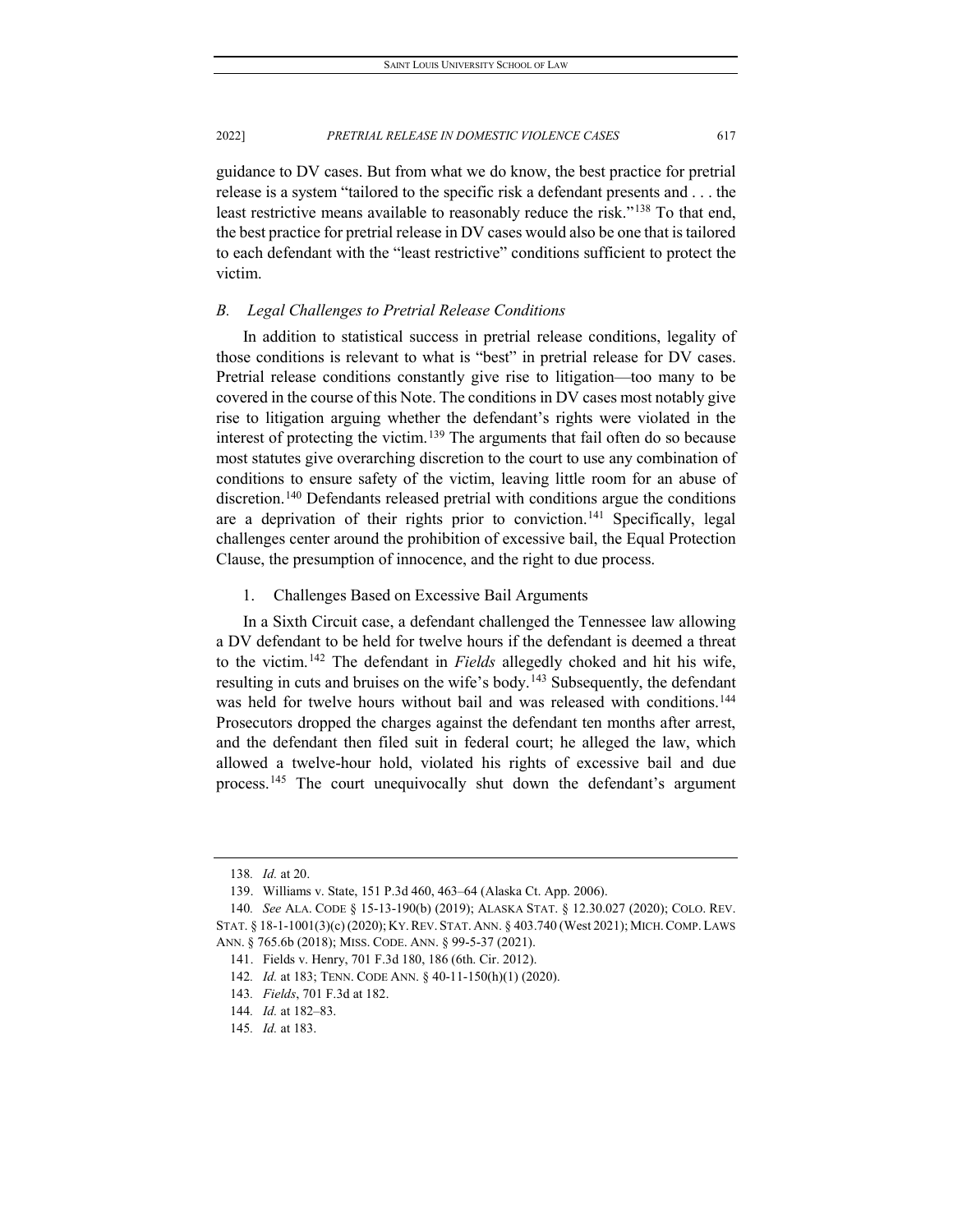guidance to DV cases. But from what we do know, the best practice for pretrial release is a system "tailored to the specific risk a defendant presents and . . . the least restrictive means available to reasonably reduce the risk."<sup>[138](#page-17-0)</sup> To that end, the best practice for pretrial release in DV cases would also be one that is tailored to each defendant with the "least restrictive" conditions sufficient to protect the victim.

#### *B. Legal Challenges to Pretrial Release Conditions*

In addition to statistical success in pretrial release conditions, legality of those conditions is relevant to what is "best" in pretrial release for DV cases. Pretrial release conditions constantly give rise to litigation—too many to be covered in the course of this Note. The conditions in DV cases most notably give rise to litigation arguing whether the defendant's rights were violated in the interest of protecting the victim.[139](#page-17-1) The arguments that fail often do so because most statutes give overarching discretion to the court to use any combination of conditions to ensure safety of the victim, leaving little room for an abuse of discretion[.140](#page-17-2) Defendants released pretrial with conditions argue the conditions are a deprivation of their rights prior to conviction.<sup>[141](#page-17-3)</sup> Specifically, legal challenges center around the prohibition of excessive bail, the Equal Protection Clause, the presumption of innocence, and the right to due process.

1. Challenges Based on Excessive Bail Arguments

In a Sixth Circuit case, a defendant challenged the Tennessee law allowing a DV defendant to be held for twelve hours if the defendant is deemed a threat to the victim.[142](#page-17-4) The defendant in *Fields* allegedly choked and hit his wife, resulting in cuts and bruises on the wife's body.<sup>[143](#page-17-5)</sup> Subsequently, the defendant was held for twelve hours without bail and was released with conditions.<sup>144</sup> Prosecutors dropped the charges against the defendant ten months after arrest, and the defendant then filed suit in federal court; he alleged the law, which allowed a twelve-hour hold, violated his rights of excessive bail and due process.[145](#page-17-7) The court unequivocally shut down the defendant's argument

<sup>138</sup>*. Id.* at 20.

<sup>139.</sup> Williams v. State, 151 P.3d 460, 463–64 (Alaska Ct. App. 2006).

<span id="page-17-4"></span><span id="page-17-3"></span><span id="page-17-2"></span><span id="page-17-1"></span><span id="page-17-0"></span><sup>140</sup>*. See* ALA. CODE § 15-13-190(b) (2019); ALASKA STAT. § 12.30.027 (2020); COLO. REV. STAT. § 18-1-1001(3)(c) (2020); KY.REV. STAT. ANN. § 403.740 (West 2021); MICH.COMP. LAWS ANN. § 765.6b (2018); MISS. CODE. ANN. § 99-5-37 (2021).

<sup>141.</sup> Fields v. Henry, 701 F.3d 180, 186 (6th. Cir. 2012).

<sup>142</sup>*. Id.* at 183; TENN. CODE ANN. § 40-11-150(h)(1) (2020).

<span id="page-17-5"></span><sup>143</sup>*. Fields*, 701 F.3d at 182.

<span id="page-17-6"></span><sup>144</sup>*. Id.* at 182–83.

<span id="page-17-7"></span><sup>145</sup>*. Id.* at 183.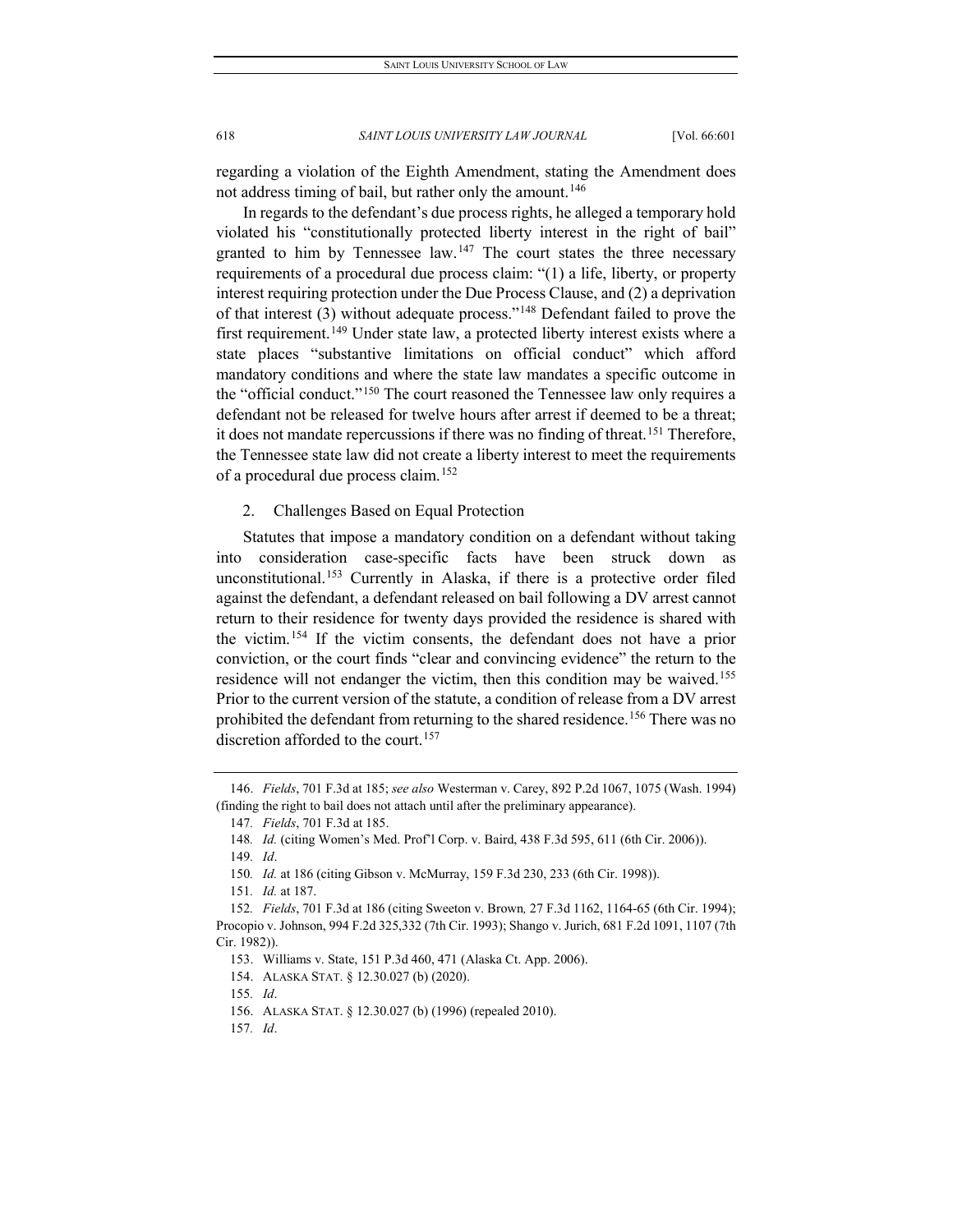regarding a violation of the Eighth Amendment, stating the Amendment does not address timing of bail, but rather only the amount.<sup>[146](#page-18-0)</sup>

In regards to the defendant's due process rights, he alleged a temporary hold violated his "constitutionally protected liberty interest in the right of bail" granted to him by Tennessee law.<sup>[147](#page-18-1)</sup> The court states the three necessary requirements of a procedural due process claim: "(1) a life, liberty, or property interest requiring protection under the Due Process Clause, and (2) a deprivation of that interest (3) without adequate process."[148](#page-18-2) Defendant failed to prove the first requirement.<sup>[149](#page-18-3)</sup> Under state law, a protected liberty interest exists where a state places "substantive limitations on official conduct" which afford mandatory conditions and where the state law mandates a specific outcome in the "official conduct."[150](#page-18-4) The court reasoned the Tennessee law only requires a defendant not be released for twelve hours after arrest if deemed to be a threat; it does not mandate repercussions if there was no finding of threat.<sup>[151](#page-18-5)</sup> Therefore, the Tennessee state law did not create a liberty interest to meet the requirements of a procedural due process claim.<sup>[152](#page-18-6)</sup>

2. Challenges Based on Equal Protection

Statutes that impose a mandatory condition on a defendant without taking into consideration case-specific facts have been struck down as unconstitutional.[153](#page-18-7) Currently in Alaska, if there is a protective order filed against the defendant, a defendant released on bail following a DV arrest cannot return to their residence for twenty days provided the residence is shared with the victim.[154](#page-18-8) If the victim consents, the defendant does not have a prior conviction, or the court finds "clear and convincing evidence" the return to the residence will not endanger the victim, then this condition may be waived.<sup>155</sup> Prior to the current version of the statute, a condition of release from a DV arrest prohibited the defendant from returning to the shared residence.<sup>156</sup> There was no discretion afforded to the court.<sup>[157](#page-18-11)</sup>

151*. Id.* at 187.

<span id="page-18-9"></span>155*. Id*.

<span id="page-18-11"></span>157*. Id*.

<span id="page-18-2"></span><span id="page-18-1"></span><span id="page-18-0"></span><sup>146.</sup> *Fields*, 701 F.3d at 185; *see also* Westerman v. Carey, 892 P.2d 1067, 1075 (Wash. 1994) (finding the right to bail does not attach until after the preliminary appearance).

<sup>147</sup>*. Fields*, 701 F.3d at 185.

<sup>148</sup>*. Id.* (citing Women's Med. Prof'l Corp. v. Baird, 438 F.3d 595, 611 (6th Cir. 2006)).

<sup>149</sup>*. Id*.

<sup>150</sup>*. Id.* at 186 (citing Gibson v. McMurray, 159 F.3d 230, 233 (6th Cir. 1998)).

<span id="page-18-8"></span><span id="page-18-7"></span><span id="page-18-6"></span><span id="page-18-5"></span><span id="page-18-4"></span><span id="page-18-3"></span><sup>152</sup>*. Fields*, 701 F.3d at 186 (citing Sweeton v. Brown*,* 27 F.3d 1162, 1164-65 (6th Cir. 1994); Procopio v. Johnson, 994 F.2d 325,332 (7th Cir. 1993); Shango v. Jurich, 681 F.2d 1091, 1107 (7th Cir. 1982)).

<sup>153.</sup> Williams v. State, 151 P.3d 460, 471 (Alaska Ct. App. 2006).

<sup>154.</sup> ALASKA STAT. § 12.30.027 (b) (2020).

<span id="page-18-10"></span><sup>156.</sup> ALASKA STAT. § 12.30.027 (b) (1996) (repealed 2010).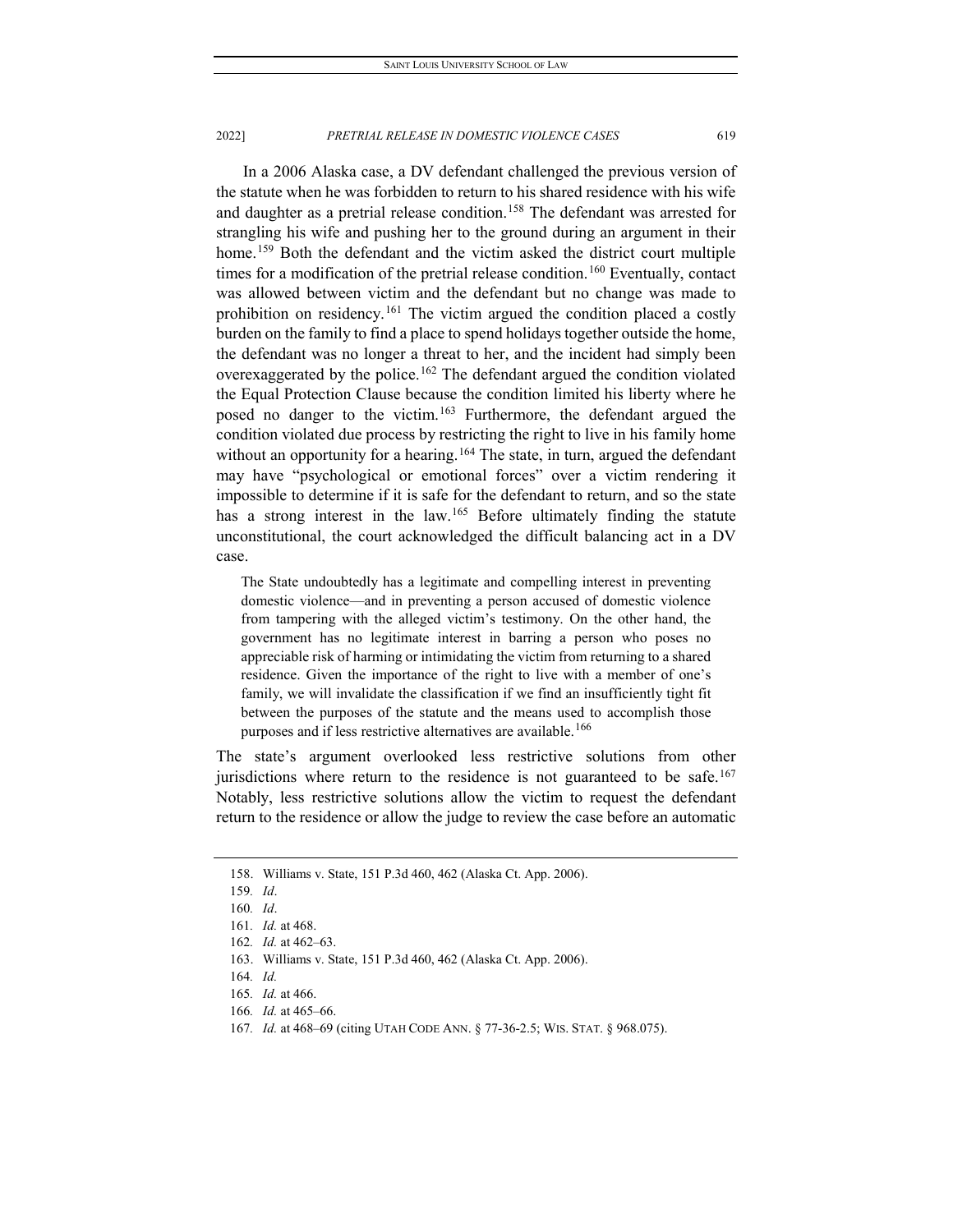In a 2006 Alaska case, a DV defendant challenged the previous version of the statute when he was forbidden to return to his shared residence with his wife and daughter as a pretrial release condition.<sup>158</sup> The defendant was arrested for strangling his wife and pushing her to the ground during an argument in their home.<sup>[159](#page-19-1)</sup> Both the defendant and the victim asked the district court multiple times for a modification of the pretrial release condition. [160](#page-19-2) Eventually, contact was allowed between victim and the defendant but no change was made to prohibition on residency.<sup>[161](#page-19-3)</sup> The victim argued the condition placed a costly burden on the family to find a place to spend holidays together outside the home, the defendant was no longer a threat to her, and the incident had simply been overexaggerated by the police.<sup>[162](#page-19-4)</sup> The defendant argued the condition violated the Equal Protection Clause because the condition limited his liberty where he posed no danger to the victim.[163](#page-19-5) Furthermore, the defendant argued the condition violated due process by restricting the right to live in his family home without an opportunity for a hearing.<sup>[164](#page-19-6)</sup> The state, in turn, argued the defendant may have "psychological or emotional forces" over a victim rendering it impossible to determine if it is safe for the defendant to return, and so the state has a strong interest in the law.<sup>[165](#page-19-7)</sup> Before ultimately finding the statute unconstitutional, the court acknowledged the difficult balancing act in a DV case.

The State undoubtedly has a legitimate and compelling interest in preventing domestic violence—and in preventing a person accused of domestic violence from tampering with the alleged victim's testimony. On the other hand, the government has no legitimate interest in barring a person who poses no appreciable risk of harming or intimidating the victim from returning to a shared residence. Given the importance of the right to live with a member of one's family, we will invalidate the classification if we find an insufficiently tight fit between the purposes of the statute and the means used to accomplish those purposes and if less restrictive alternatives are available.<sup>[166](#page-19-8)</sup>

The state's argument overlooked less restrictive solutions from other jurisdictions where return to the residence is not guaranteed to be safe.<sup>[167](#page-19-9)</sup> Notably, less restrictive solutions allow the victim to request the defendant return to the residence or allow the judge to review the case before an automatic

<span id="page-19-1"></span><span id="page-19-0"></span><sup>158.</sup> Williams v. State, 151 P.3d 460, 462 (Alaska Ct. App. 2006).

<span id="page-19-2"></span><sup>159</sup>*. Id*.

<sup>160</sup>*. Id*.

<span id="page-19-3"></span><sup>161</sup>*. Id.* at 468.

<span id="page-19-4"></span><sup>162</sup>*. Id.* at 462–63.

<span id="page-19-5"></span><sup>163.</sup> Williams v. State, 151 P.3d 460, 462 (Alaska Ct. App. 2006).

<sup>164</sup>*. Id.*

<span id="page-19-7"></span><span id="page-19-6"></span><sup>165</sup>*. Id.* at 466.

<span id="page-19-8"></span><sup>166</sup>*. Id.* at 465–66.

<span id="page-19-9"></span><sup>167</sup>*. Id.* at 468–69 (citing UTAH CODE ANN. § 77-36-2.5; WIS. STAT. § 968.075).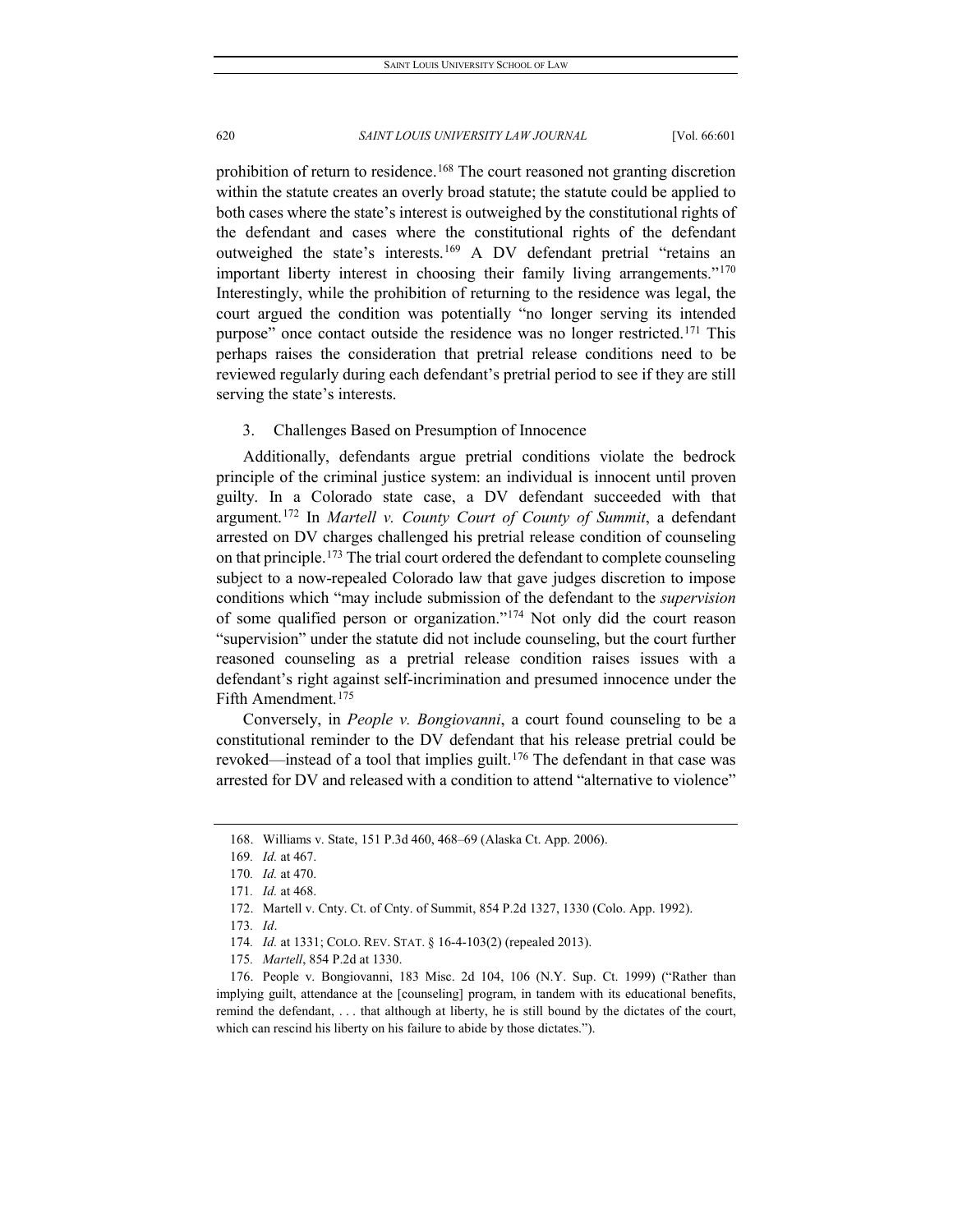prohibition of return to residence.<sup>[168](#page-20-0)</sup> The court reasoned not granting discretion within the statute creates an overly broad statute; the statute could be applied to both cases where the state's interest is outweighed by the constitutional rights of the defendant and cases where the constitutional rights of the defendant outweighed the state's interests.[169](#page-20-1) A DV defendant pretrial "retains an important liberty interest in choosing their family living arrangements."<sup>[170](#page-20-2)</sup> Interestingly, while the prohibition of returning to the residence was legal, the court argued the condition was potentially "no longer serving its intended purpose" once contact outside the residence was no longer restricted.<sup>[171](#page-20-3)</sup> This perhaps raises the consideration that pretrial release conditions need to be reviewed regularly during each defendant's pretrial period to see if they are still serving the state's interests.

#### 3. Challenges Based on Presumption of Innocence

Additionally, defendants argue pretrial conditions violate the bedrock principle of the criminal justice system: an individual is innocent until proven guilty. In a Colorado state case, a DV defendant succeeded with that argument.[172](#page-20-4) In *Martell v. County Court of County of Summit*, a defendant arrested on DV charges challenged his pretrial release condition of counseling on that principle.<sup>[173](#page-20-5)</sup> The trial court ordered the defendant to complete counseling subject to a now-repealed Colorado law that gave judges discretion to impose conditions which "may include submission of the defendant to the *supervision*  of some qualified person or organization."[174](#page-20-6) Not only did the court reason "supervision" under the statute did not include counseling, but the court further reasoned counseling as a pretrial release condition raises issues with a defendant's right against self-incrimination and presumed innocence under the Fifth Amendment.<sup>[175](#page-20-7)</sup>

Conversely, in *People v. Bongiovanni*, a court found counseling to be a constitutional reminder to the DV defendant that his release pretrial could be revoked—instead of a tool that implies guilt.<sup>[176](#page-20-8)</sup> The defendant in that case was arrested for DV and released with a condition to attend "alternative to violence"

<sup>168.</sup> Williams v. State, 151 P.3d 460, 468–69 (Alaska Ct. App. 2006).

<span id="page-20-1"></span><span id="page-20-0"></span><sup>169</sup>*. Id.* at 467.

<span id="page-20-2"></span><sup>170</sup>*. Id.* at 470.

<span id="page-20-3"></span><sup>171</sup>*. Id.* at 468.

<sup>172.</sup> Martell v. Cnty. Ct. of Cnty. of Summit, 854 P.2d 1327, 1330 (Colo. App. 1992).

<sup>173</sup>*. Id*.

<sup>174</sup>*. Id.* at 1331; COLO. REV. STAT. § 16-4-103(2) (repealed 2013).

<sup>175</sup>*. Martell*, 854 P.2d at 1330.

<span id="page-20-8"></span><span id="page-20-7"></span><span id="page-20-6"></span><span id="page-20-5"></span><span id="page-20-4"></span><sup>176.</sup> People v. Bongiovanni, 183 Misc. 2d 104, 106 (N.Y. Sup. Ct. 1999) ("Rather than implying guilt, attendance at the [counseling] program, in tandem with its educational benefits, remind the defendant, . . . that although at liberty, he is still bound by the dictates of the court, which can rescind his liberty on his failure to abide by those dictates.").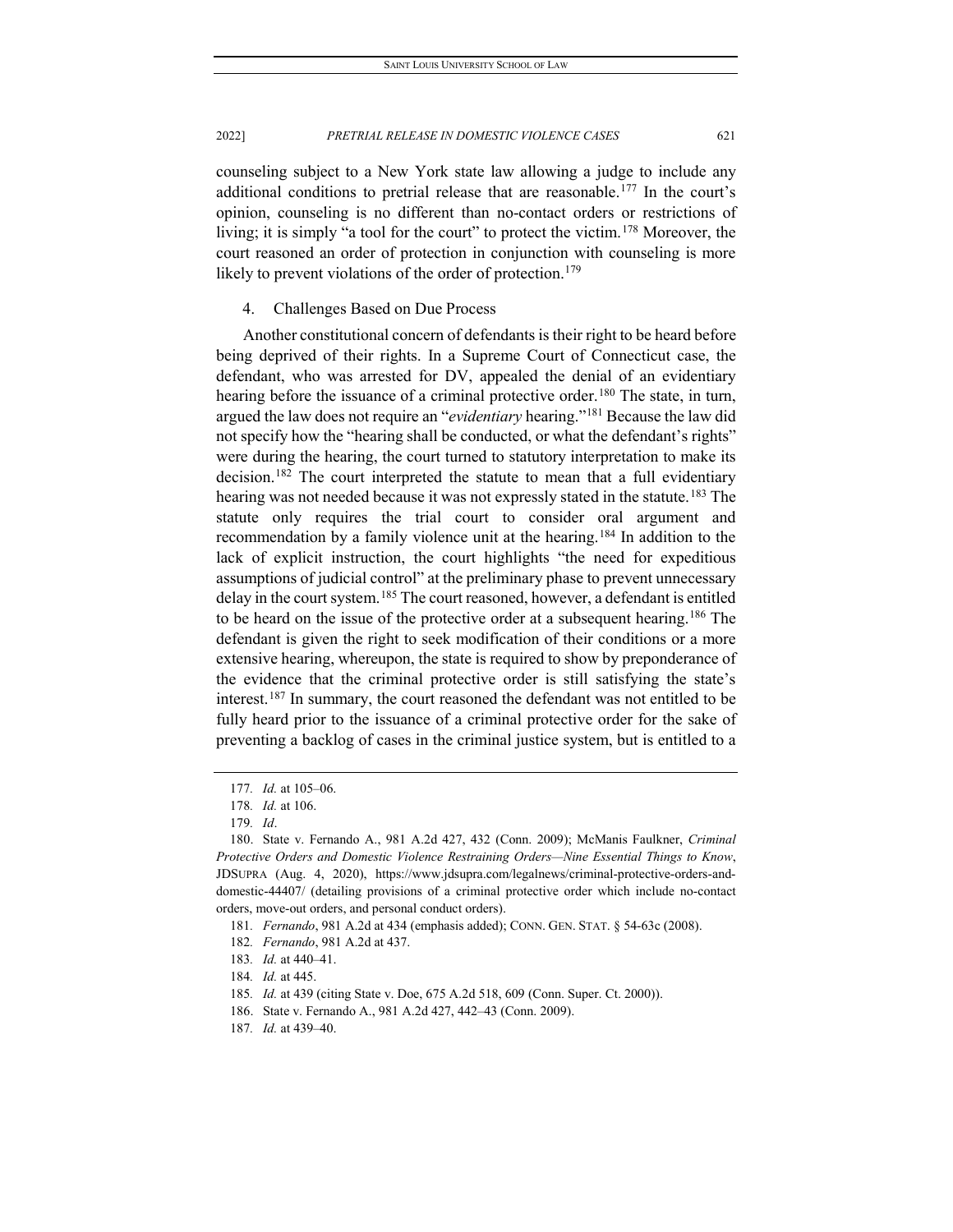counseling subject to a New York state law allowing a judge to include any additional conditions to pretrial release that are reasonable.<sup>[177](#page-21-0)</sup> In the court's opinion, counseling is no different than no-contact orders or restrictions of living; it is simply "a tool for the court" to protect the victim.[178](#page-21-1) Moreover, the court reasoned an order of protection in conjunction with counseling is more likely to prevent violations of the order of protection.<sup>[179](#page-21-2)</sup>

# 4. Challenges Based on Due Process

Another constitutional concern of defendants is their right to be heard before being deprived of their rights. In a Supreme Court of Connecticut case, the defendant, who was arrested for DV, appealed the denial of an evidentiary hearing before the issuance of a criminal protective order.<sup>[180](#page-21-3)</sup> The state, in turn, argued the law does not require an "*evidentiary* hearing."[181](#page-21-4) Because the law did not specify how the "hearing shall be conducted, or what the defendant's rights" were during the hearing, the court turned to statutory interpretation to make its decision.<sup>[182](#page-21-5)</sup> The court interpreted the statute to mean that a full evidentiary hearing was not needed because it was not expressly stated in the statute.<sup>[183](#page-21-6)</sup> The statute only requires the trial court to consider oral argument and recommendation by a family violence unit at the hearing.<sup>[184](#page-21-7)</sup> In addition to the lack of explicit instruction, the court highlights "the need for expeditious assumptions of judicial control" at the preliminary phase to prevent unnecessary delay in the court system.<sup>[185](#page-21-8)</sup> The court reasoned, however, a defendant is entitled to be heard on the issue of the protective order at a subsequent hearing.<sup>[186](#page-21-9)</sup> The defendant is given the right to seek modification of their conditions or a more extensive hearing, whereupon, the state is required to show by preponderance of the evidence that the criminal protective order is still satisfying the state's interest.[187](#page-21-10) In summary, the court reasoned the defendant was not entitled to be fully heard prior to the issuance of a criminal protective order for the sake of preventing a backlog of cases in the criminal justice system, but is entitled to a

<sup>177</sup>*. Id.* at 105–06.

<sup>178</sup>*. Id.* at 106.

<sup>179</sup>*. Id*.

<span id="page-21-3"></span><span id="page-21-2"></span><span id="page-21-1"></span><span id="page-21-0"></span><sup>180.</sup> State v. Fernando A., 981 A.2d 427, 432 (Conn. 2009); McManis Faulkner, *Criminal Protective Orders and Domestic Violence Restraining Orders—Nine Essential Things to Know*, JDSUPRA (Aug. 4, 2020), https://www.jdsupra.com/legalnews/criminal-protective-orders-anddomestic-44407/ (detailing provisions of a criminal protective order which include no-contact orders, move-out orders, and personal conduct orders).

<span id="page-21-4"></span><sup>181</sup>*. Fernando*, 981 A.2d at 434 (emphasis added); CONN. GEN. STAT. § 54-63c (2008).

<sup>182</sup>*. Fernando*, 981 A.2d at 437.

<span id="page-21-7"></span><span id="page-21-6"></span><span id="page-21-5"></span><sup>183</sup>*. Id.* at 440–41.

<sup>184</sup>*. Id.* at 445.

<span id="page-21-8"></span><sup>185</sup>*. Id.* at 439 (citing State v. Doe, 675 A.2d 518, 609 (Conn. Super. Ct. 2000)).

<span id="page-21-10"></span><span id="page-21-9"></span><sup>186.</sup> State v. Fernando A., 981 A.2d 427, 442–43 (Conn. 2009).

<sup>187</sup>*. Id.* at 439–40.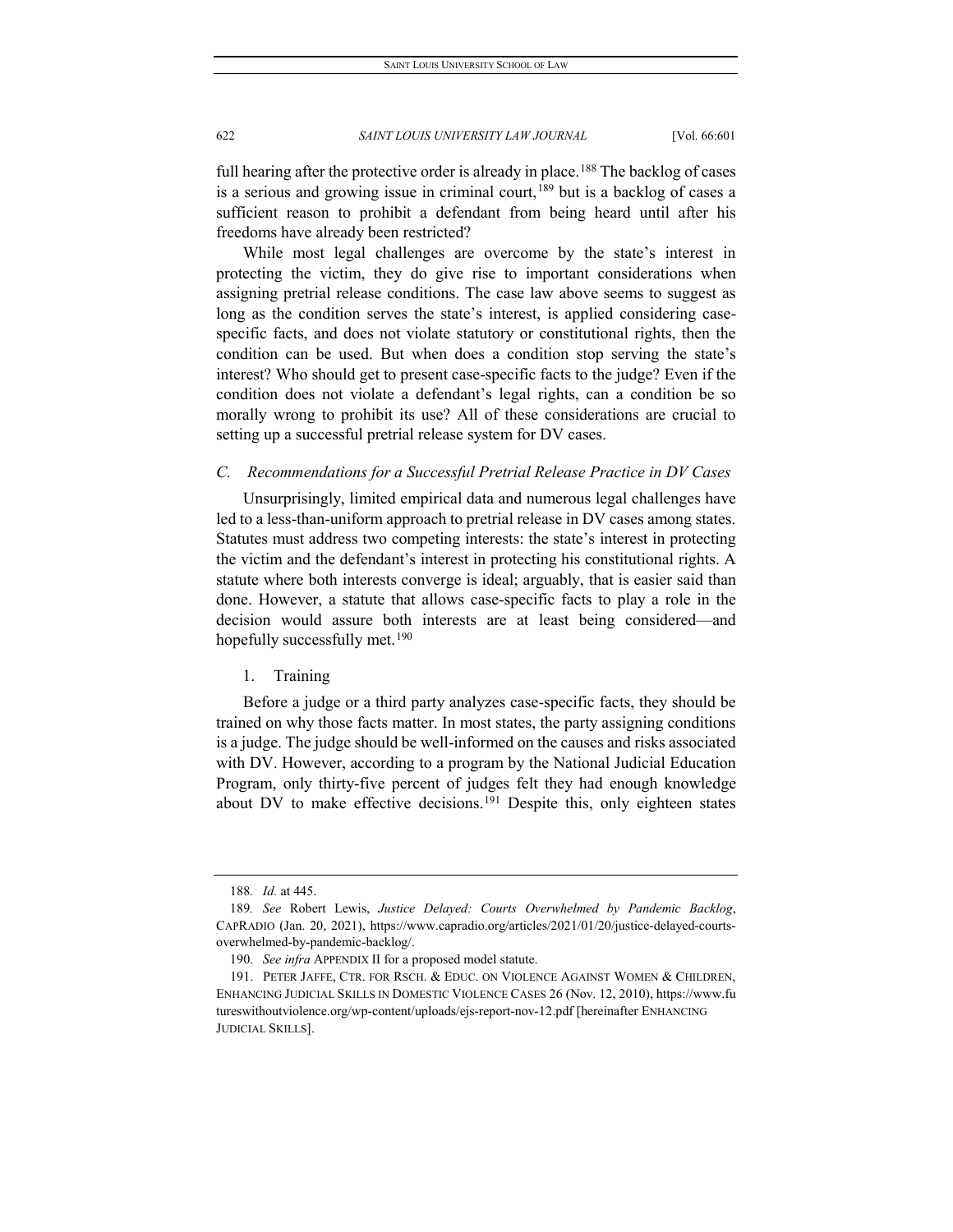full hearing after the protective order is already in place.<sup>[188](#page-22-0)</sup> The backlog of cases is a serious and growing issue in criminal court,  $189$  but is a backlog of cases a sufficient reason to prohibit a defendant from being heard until after his freedoms have already been restricted?

While most legal challenges are overcome by the state's interest in protecting the victim, they do give rise to important considerations when assigning pretrial release conditions. The case law above seems to suggest as long as the condition serves the state's interest, is applied considering casespecific facts, and does not violate statutory or constitutional rights, then the condition can be used. But when does a condition stop serving the state's interest? Who should get to present case-specific facts to the judge? Even if the condition does not violate a defendant's legal rights, can a condition be so morally wrong to prohibit its use? All of these considerations are crucial to setting up a successful pretrial release system for DV cases.

#### *C. Recommendations for a Successful Pretrial Release Practice in DV Cases*

Unsurprisingly, limited empirical data and numerous legal challenges have led to a less-than-uniform approach to pretrial release in DV cases among states. Statutes must address two competing interests: the state's interest in protecting the victim and the defendant's interest in protecting his constitutional rights. A statute where both interests converge is ideal; arguably, that is easier said than done. However, a statute that allows case-specific facts to play a role in the decision would assure both interests are at least being considered—and hopefully successfully met.<sup>[190](#page-22-2)</sup>

## 1. Training

Before a judge or a third party analyzes case-specific facts, they should be trained on why those facts matter. In most states, the party assigning conditions is a judge. The judge should be well-informed on the causes and risks associated with DV. However, according to a program by the National Judicial Education Program, only thirty-five percent of judges felt they had enough knowledge about DV to make effective decisions.<sup>[191](#page-22-3)</sup> Despite this, only eighteen states

<sup>188</sup>*. Id.* at 445.

<span id="page-22-1"></span><span id="page-22-0"></span><sup>189</sup>*. See* Robert Lewis, *Justice Delayed: Courts Overwhelmed by Pandemic Backlog*, CAPRADIO (Jan. 20, 2021), https://www.capradio.org/articles/2021/01/20/justice-delayed-courtsoverwhelmed-by-pandemic-backlog/.

<sup>190</sup>*. See infra* APPENDIX II for a proposed model statute.

<span id="page-22-3"></span><span id="page-22-2"></span><sup>191.</sup> PETER JAFFE, CTR. FOR RSCH. & EDUC. ON VIOLENCE AGAINST WOMEN & CHILDREN, ENHANCING JUDICIAL SKILLS IN DOMESTIC VIOLENCE CASES 26 (Nov. 12, 2010), https://www.fu tureswithoutviolence.org/wp-content/uploads/ejs-report-nov-12.pdf [hereinafter ENHANCING JUDICIAL SKILLS].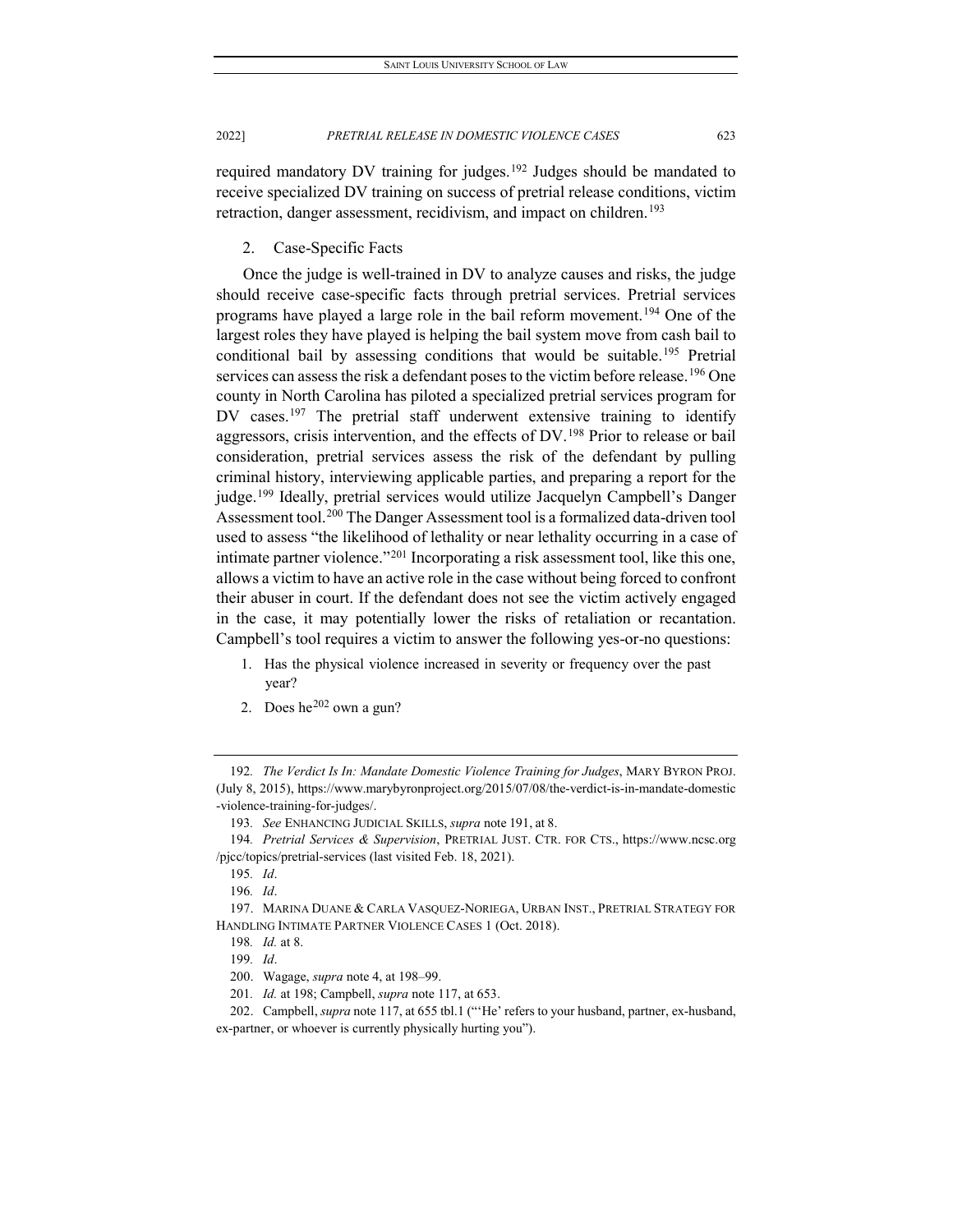required mandatory DV training for judges.<sup>[192](#page-23-0)</sup> Judges should be mandated to receive specialized DV training on success of pretrial release conditions, victim retraction, danger assessment, recidivism, and impact on children.<sup>[193](#page-23-1)</sup>

2. Case-Specific Facts

Once the judge is well-trained in DV to analyze causes and risks, the judge should receive case-specific facts through pretrial services. Pretrial services programs have played a large role in the bail reform movement.<sup>[194](#page-23-2)</sup> One of the largest roles they have played is helping the bail system move from cash bail to conditional bail by assessing conditions that would be suitable.<sup>[195](#page-23-3)</sup> Pretrial services can assess the risk a defendant poses to the victim before release.<sup>[196](#page-23-4)</sup> One county in North Carolina has piloted a specialized pretrial services program for DV cases.<sup>[197](#page-23-5)</sup> The pretrial staff underwent extensive training to identify aggressors, crisis intervention, and the effects of DV.[198](#page-23-6) Prior to release or bail consideration, pretrial services assess the risk of the defendant by pulling criminal history, interviewing applicable parties, and preparing a report for the judge.<sup>199</sup> Ideally, pretrial services would utilize Jacquelyn Campbell's Danger Assessment tool.[200](#page-23-8) The Danger Assessment tool is a formalized data-driven tool used to assess "the likelihood of lethality or near lethality occurring in a case of intimate partner violence."[201](#page-23-9) Incorporating a risk assessment tool, like this one, allows a victim to have an active role in the case without being forced to confront their abuser in court. If the defendant does not see the victim actively engaged in the case, it may potentially lower the risks of retaliation or recantation. Campbell's tool requires a victim to answer the following yes-or-no questions:

- 1. Has the physical violence increased in severity or frequency over the past year?
- 2. Does  $he^{202}$  $he^{202}$  $he^{202}$  own a gun?

201*. Id.* at 198; Campbell, *supra* note 117, at 653.

<span id="page-23-0"></span><sup>192</sup>*. The Verdict Is In: Mandate Domestic Violence Training for Judges*, MARY BYRON PROJ. (July 8, 2015), https://www.marybyronproject.org/2015/07/08/the-verdict-is-in-mandate-domestic -violence-training-for-judges/.

<sup>193</sup>*. See* ENHANCING JUDICIAL SKILLS, *supra* note 191, at 8.

<span id="page-23-3"></span><span id="page-23-2"></span><span id="page-23-1"></span><sup>194</sup>*. Pretrial Services & Supervision*, PRETRIAL JUST. CTR. FOR CTS., https://www.ncsc.org /pjcc/topics/pretrial-services (last visited Feb. 18, 2021).

<sup>195</sup>*. Id*.

<sup>196</sup>*. Id*.

<span id="page-23-7"></span><span id="page-23-6"></span><span id="page-23-5"></span><span id="page-23-4"></span><sup>197.</sup> MARINA DUANE & CARLA VASQUEZ-NORIEGA, URBAN INST., PRETRIAL STRATEGY FOR HANDLING INTIMATE PARTNER VIOLENCE CASES 1 (Oct. 2018).

<sup>198</sup>*. Id.* at 8.

<sup>199</sup>*. Id*.

<sup>200.</sup> Wagage, *supra* note 4, at 198–99.

<span id="page-23-10"></span><span id="page-23-9"></span><span id="page-23-8"></span><sup>202.</sup> Campbell, *supra* note 117, at 655 tbl.1 ("'He' refers to your husband, partner, ex-husband, ex-partner, or whoever is currently physically hurting you").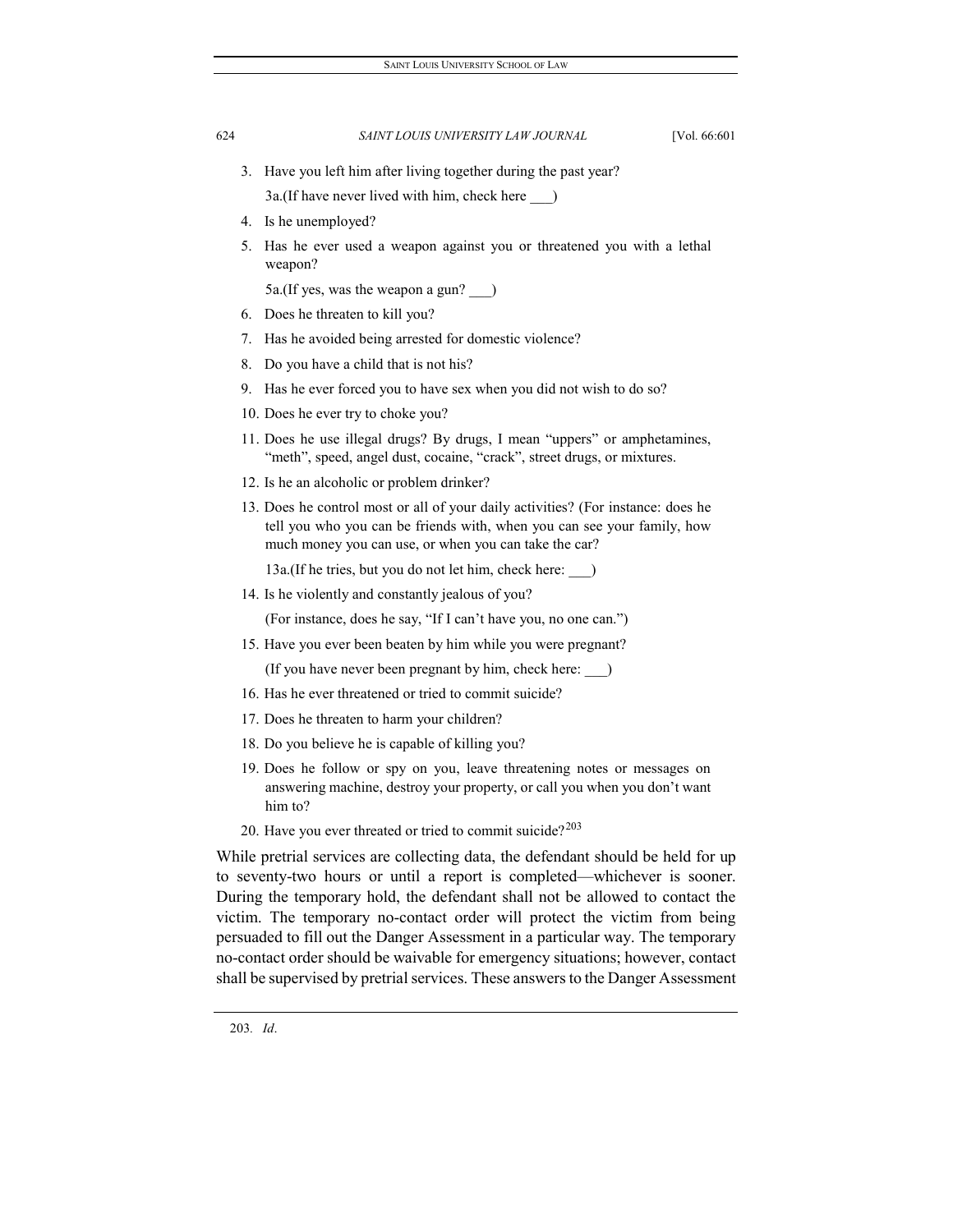- 3. Have you left him after living together during the past year? 3a.(If have never lived with him, check here \_\_\_)
- 4. Is he unemployed?
- 5. Has he ever used a weapon against you or threatened you with a lethal weapon?

5a.(If yes, was the weapon a gun? \_\_\_)

- 6. Does he threaten to kill you?
- 7. Has he avoided being arrested for domestic violence?
- 8. Do you have a child that is not his?
- 9. Has he ever forced you to have sex when you did not wish to do so?
- 10. Does he ever try to choke you?
- 11. Does he use illegal drugs? By drugs, I mean "uppers" or amphetamines, "meth", speed, angel dust, cocaine, "crack", street drugs, or mixtures.
- 12. Is he an alcoholic or problem drinker?
- 13. Does he control most or all of your daily activities? (For instance: does he tell you who you can be friends with, when you can see your family, how much money you can use, or when you can take the car?

13a.(If he tries, but you do not let him, check here: \_\_\_)

14. Is he violently and constantly jealous of you?

(For instance, does he say, "If I can't have you, no one can.")

15. Have you ever been beaten by him while you were pregnant?

(If you have never been pregnant by him, check here: \_\_\_)

- 16. Has he ever threatened or tried to commit suicide?
- 17. Does he threaten to harm your children?
- 18. Do you believe he is capable of killing you?
- 19. Does he follow or spy on you, leave threatening notes or messages on answering machine, destroy your property, or call you when you don't want him to?
- 20. Have you ever threated or tried to commit suicide? $203$

<span id="page-24-0"></span>While pretrial services are collecting data, the defendant should be held for up to seventy-two hours or until a report is completed—whichever is sooner. During the temporary hold, the defendant shall not be allowed to contact the victim. The temporary no-contact order will protect the victim from being persuaded to fill out the Danger Assessment in a particular way. The temporary no-contact order should be waivable for emergency situations; however, contact shall be supervised by pretrial services. These answers to the Danger Assessment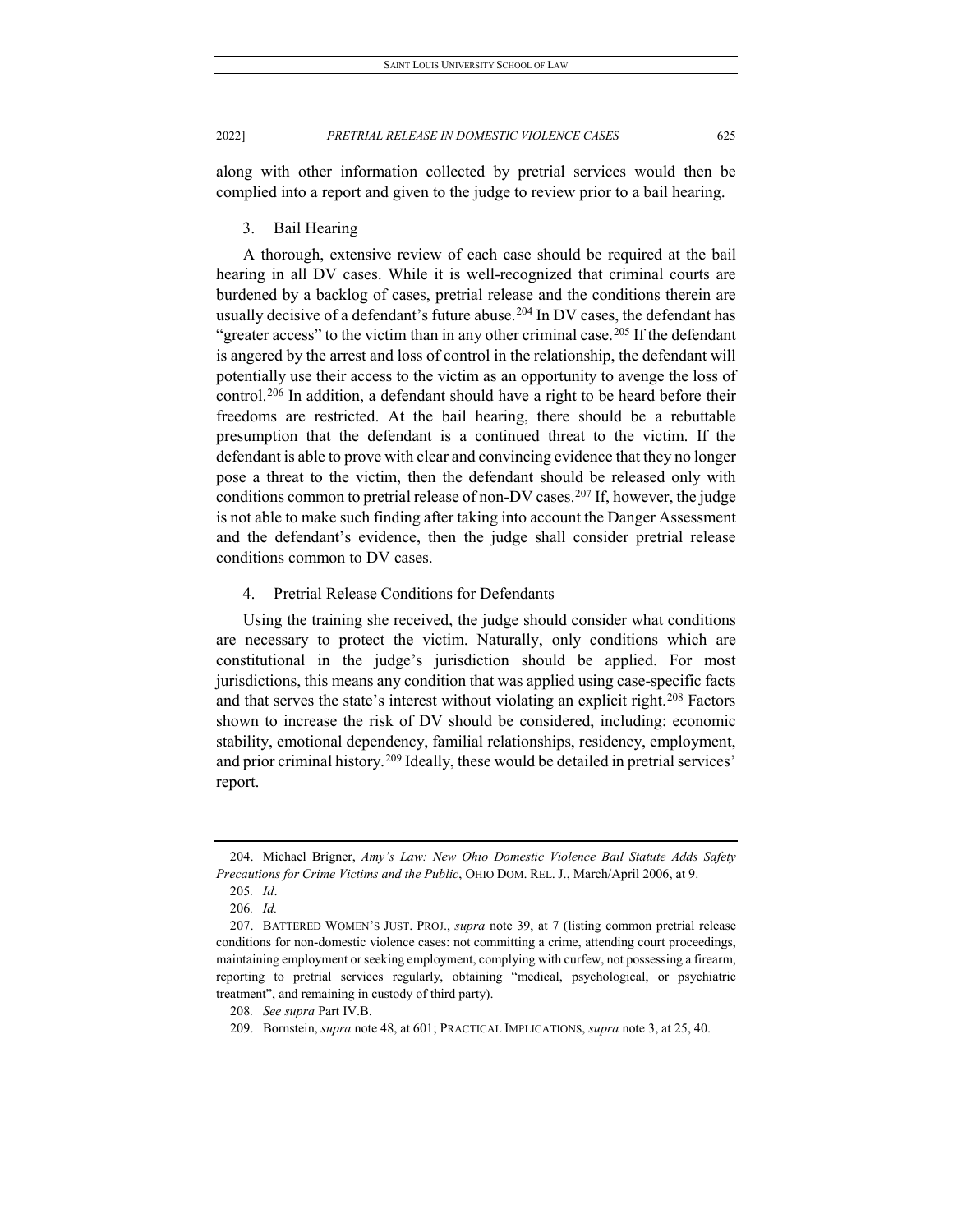along with other information collected by pretrial services would then be complied into a report and given to the judge to review prior to a bail hearing.

3. Bail Hearing

A thorough, extensive review of each case should be required at the bail hearing in all DV cases. While it is well-recognized that criminal courts are burdened by a backlog of cases, pretrial release and the conditions therein are usually decisive of a defendant's future abuse.<sup>[204](#page-25-0)</sup> In DV cases, the defendant has "greater access" to the victim than in any other criminal case.<sup>205</sup> If the defendant is angered by the arrest and loss of control in the relationship, the defendant will potentially use their access to the victim as an opportunity to avenge the loss of control.[206](#page-25-2) In addition, a defendant should have a right to be heard before their freedoms are restricted. At the bail hearing, there should be a rebuttable presumption that the defendant is a continued threat to the victim. If the defendant is able to prove with clear and convincing evidence that they no longer pose a threat to the victim, then the defendant should be released only with conditions common to pretrial release of non-DV cases.<sup>[207](#page-25-3)</sup> If, however, the judge is not able to make such finding after taking into account the Danger Assessment and the defendant's evidence, then the judge shall consider pretrial release conditions common to DV cases.

4. Pretrial Release Conditions for Defendants

Using the training she received, the judge should consider what conditions are necessary to protect the victim. Naturally, only conditions which are constitutional in the judge's jurisdiction should be applied. For most jurisdictions, this means any condition that was applied using case-specific facts and that serves the state's interest without violating an explicit right.<sup>[208](#page-25-4)</sup> Factors shown to increase the risk of DV should be considered, including: economic stability, emotional dependency, familial relationships, residency, employment, and prior criminal history.<sup>[209](#page-25-5)</sup> Ideally, these would be detailed in pretrial services' report.

<span id="page-25-1"></span><span id="page-25-0"></span><sup>204.</sup> Michael Brigner, *Amy's Law: New Ohio Domestic Violence Bail Statute Adds Safety Precautions for Crime Victims and the Public*, OHIO DOM. REL. J., March/April 2006, at 9.

<sup>205</sup>*. Id*.

<sup>206</sup>*. Id.*

<span id="page-25-3"></span><span id="page-25-2"></span><sup>207.</sup> BATTERED WOMEN'S JUST. PROJ., *supra* note 39, at 7 (listing common pretrial release conditions for non-domestic violence cases: not committing a crime, attending court proceedings, maintaining employment or seeking employment, complying with curfew, not possessing a firearm, reporting to pretrial services regularly, obtaining "medical, psychological, or psychiatric treatment", and remaining in custody of third party).

<sup>208</sup>*. See supra* Part IV.B.

<span id="page-25-5"></span><span id="page-25-4"></span><sup>209.</sup> Bornstein, *supra* note 48, at 601; PRACTICAL IMPLICATIONS, *supra* note 3, at 25, 40.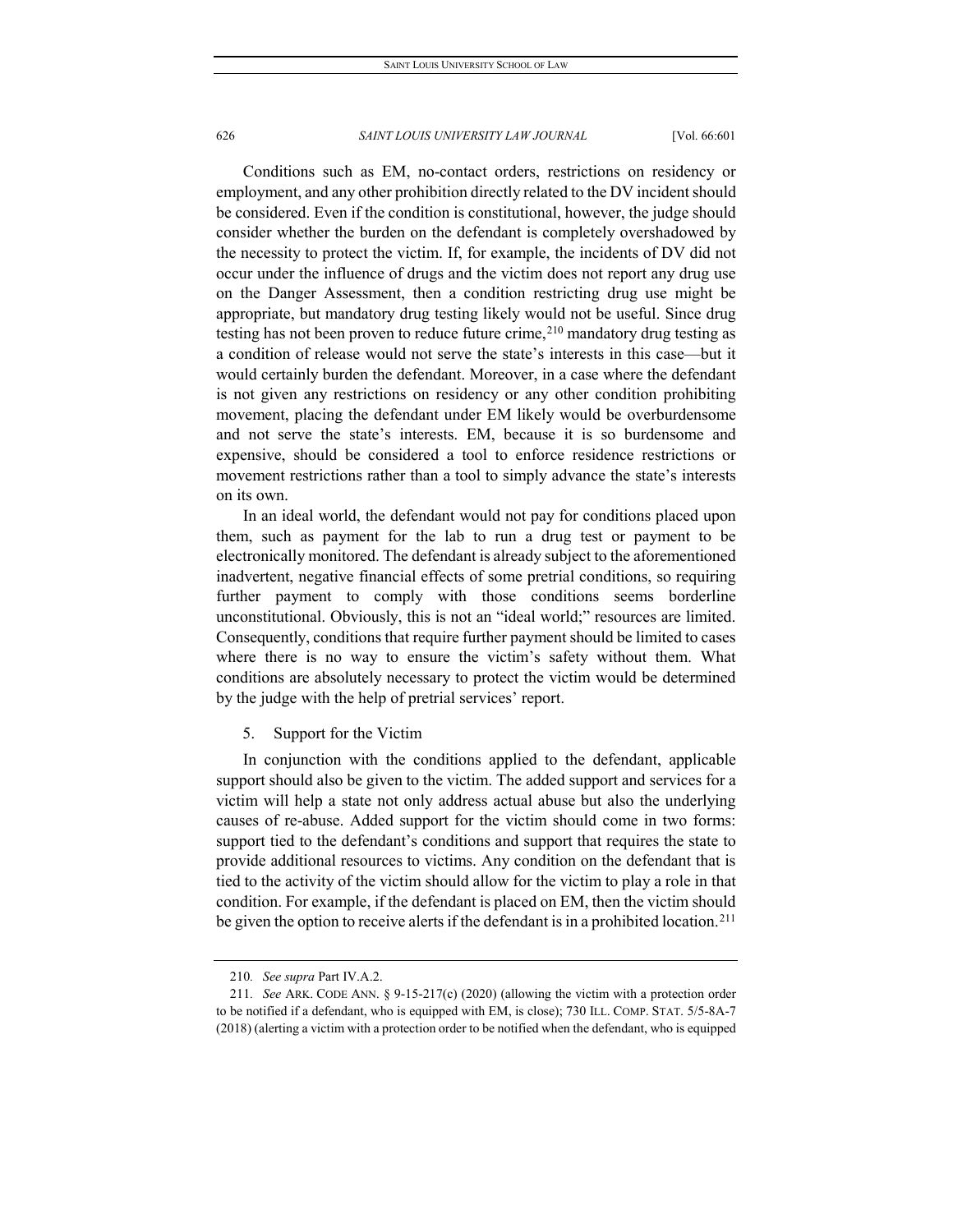Conditions such as EM, no-contact orders, restrictions on residency or employment, and any other prohibition directly related to the DV incident should be considered. Even if the condition is constitutional, however, the judge should consider whether the burden on the defendant is completely overshadowed by the necessity to protect the victim. If, for example, the incidents of DV did not occur under the influence of drugs and the victim does not report any drug use on the Danger Assessment, then a condition restricting drug use might be appropriate, but mandatory drug testing likely would not be useful. Since drug testing has not been proven to reduce future crime,  $210$  mandatory drug testing as a condition of release would not serve the state's interests in this case—but it would certainly burden the defendant. Moreover, in a case where the defendant is not given any restrictions on residency or any other condition prohibiting movement, placing the defendant under EM likely would be overburdensome and not serve the state's interests. EM, because it is so burdensome and expensive, should be considered a tool to enforce residence restrictions or movement restrictions rather than a tool to simply advance the state's interests on its own.

In an ideal world, the defendant would not pay for conditions placed upon them, such as payment for the lab to run a drug test or payment to be electronically monitored. The defendant is already subject to the aforementioned inadvertent, negative financial effects of some pretrial conditions, so requiring further payment to comply with those conditions seems borderline unconstitutional. Obviously, this is not an "ideal world;" resources are limited. Consequently, conditions that require further payment should be limited to cases where there is no way to ensure the victim's safety without them. What conditions are absolutely necessary to protect the victim would be determined by the judge with the help of pretrial services' report.

5. Support for the Victim

In conjunction with the conditions applied to the defendant, applicable support should also be given to the victim. The added support and services for a victim will help a state not only address actual abuse but also the underlying causes of re-abuse. Added support for the victim should come in two forms: support tied to the defendant's conditions and support that requires the state to provide additional resources to victims. Any condition on the defendant that is tied to the activity of the victim should allow for the victim to play a role in that condition. For example, if the defendant is placed on EM, then the victim should be given the option to receive alerts if the defendant is in a prohibited location.<sup>[211](#page-26-1)</sup>

<sup>210</sup>*. See supra* Part IV.A.2.

<span id="page-26-1"></span><span id="page-26-0"></span><sup>211</sup>*. See* ARK. CODE ANN. § 9-15-217(c) (2020) (allowing the victim with a protection order to be notified if a defendant, who is equipped with EM, is close); 730 ILL. COMP. STAT. 5/5-8A-7 (2018) (alerting a victim with a protection order to be notified when the defendant, who is equipped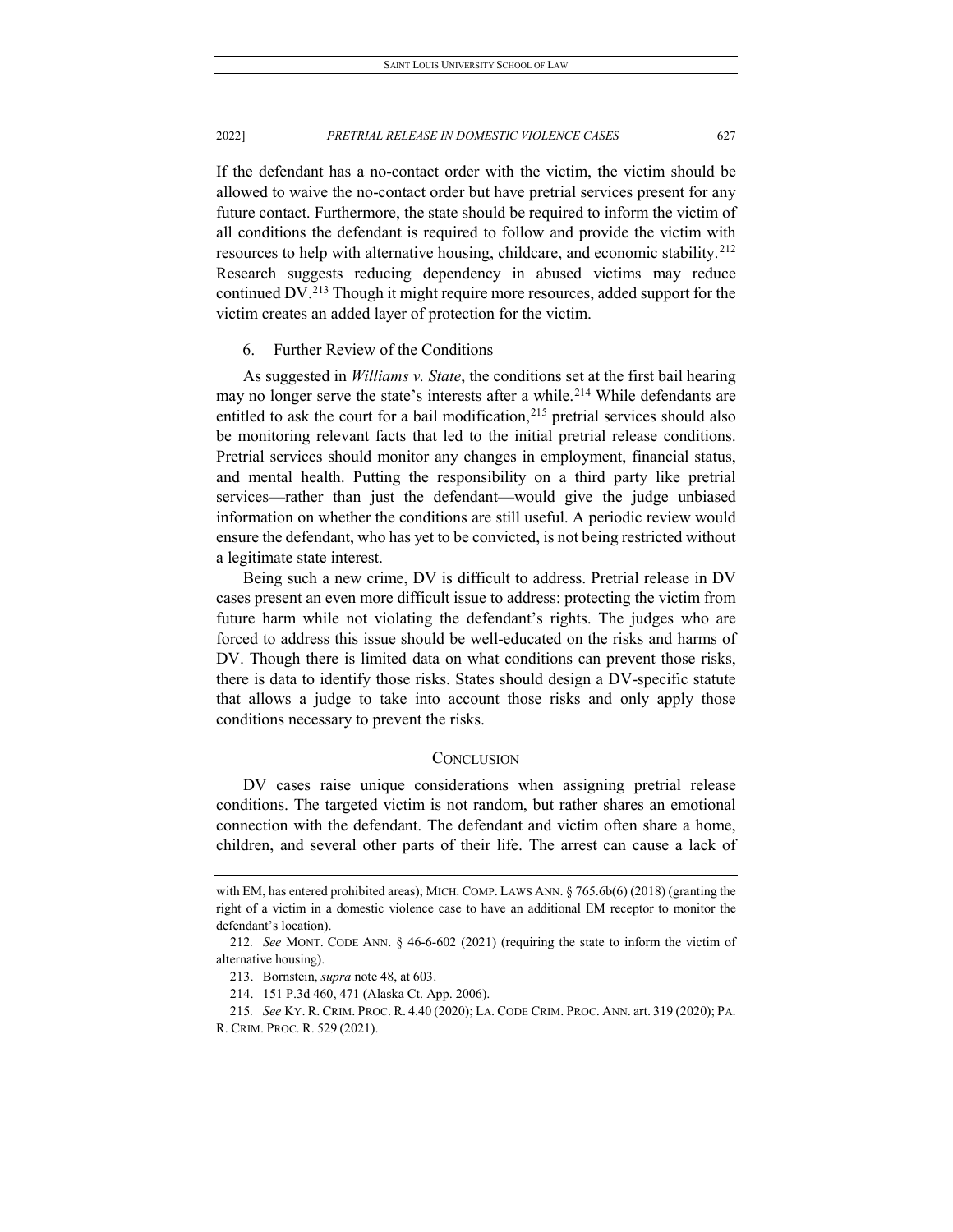If the defendant has a no-contact order with the victim, the victim should be allowed to waive the no-contact order but have pretrial services present for any future contact. Furthermore, the state should be required to inform the victim of all conditions the defendant is required to follow and provide the victim with resources to help with alternative housing, childcare, and economic stability.<sup>[212](#page-27-0)</sup> Research suggests reducing dependency in abused victims may reduce continued DV.[213](#page-27-1) Though it might require more resources, added support for the victim creates an added layer of protection for the victim.

#### 6. Further Review of the Conditions

As suggested in *Williams v. State*, the conditions set at the first bail hearing may no longer serve the state's interests after a while.<sup>[214](#page-27-2)</sup> While defendants are entitled to ask the court for a bail modification, $^{215}$  $^{215}$  $^{215}$  pretrial services should also be monitoring relevant facts that led to the initial pretrial release conditions. Pretrial services should monitor any changes in employment, financial status, and mental health. Putting the responsibility on a third party like pretrial services—rather than just the defendant—would give the judge unbiased information on whether the conditions are still useful. A periodic review would ensure the defendant, who has yet to be convicted, is not being restricted without a legitimate state interest.

Being such a new crime, DV is difficult to address. Pretrial release in DV cases present an even more difficult issue to address: protecting the victim from future harm while not violating the defendant's rights. The judges who are forced to address this issue should be well-educated on the risks and harms of DV. Though there is limited data on what conditions can prevent those risks, there is data to identify those risks. States should design a DV-specific statute that allows a judge to take into account those risks and only apply those conditions necessary to prevent the risks.

#### **CONCLUSION**

DV cases raise unique considerations when assigning pretrial release conditions. The targeted victim is not random, but rather shares an emotional connection with the defendant. The defendant and victim often share a home, children, and several other parts of their life. The arrest can cause a lack of

with EM, has entered prohibited areas); MICH. COMP. LAWS ANN. § 765.6b(6) (2018) (granting the right of a victim in a domestic violence case to have an additional EM receptor to monitor the defendant's location).

<span id="page-27-1"></span><span id="page-27-0"></span><sup>212</sup>*. See* MONT. CODE ANN. § 46-6-602 (2021) (requiring the state to inform the victim of alternative housing).

<sup>213.</sup> Bornstein, *supra* note 48, at 603.

<sup>214.</sup> 151 P.3d 460, 471 (Alaska Ct. App. 2006).

<span id="page-27-3"></span><span id="page-27-2"></span><sup>215</sup>*. See* KY. R. CRIM. PROC. R. 4.40 (2020); LA. CODE CRIM. PROC. ANN. art. 319 (2020); PA. R. CRIM. PROC. R. 529 (2021).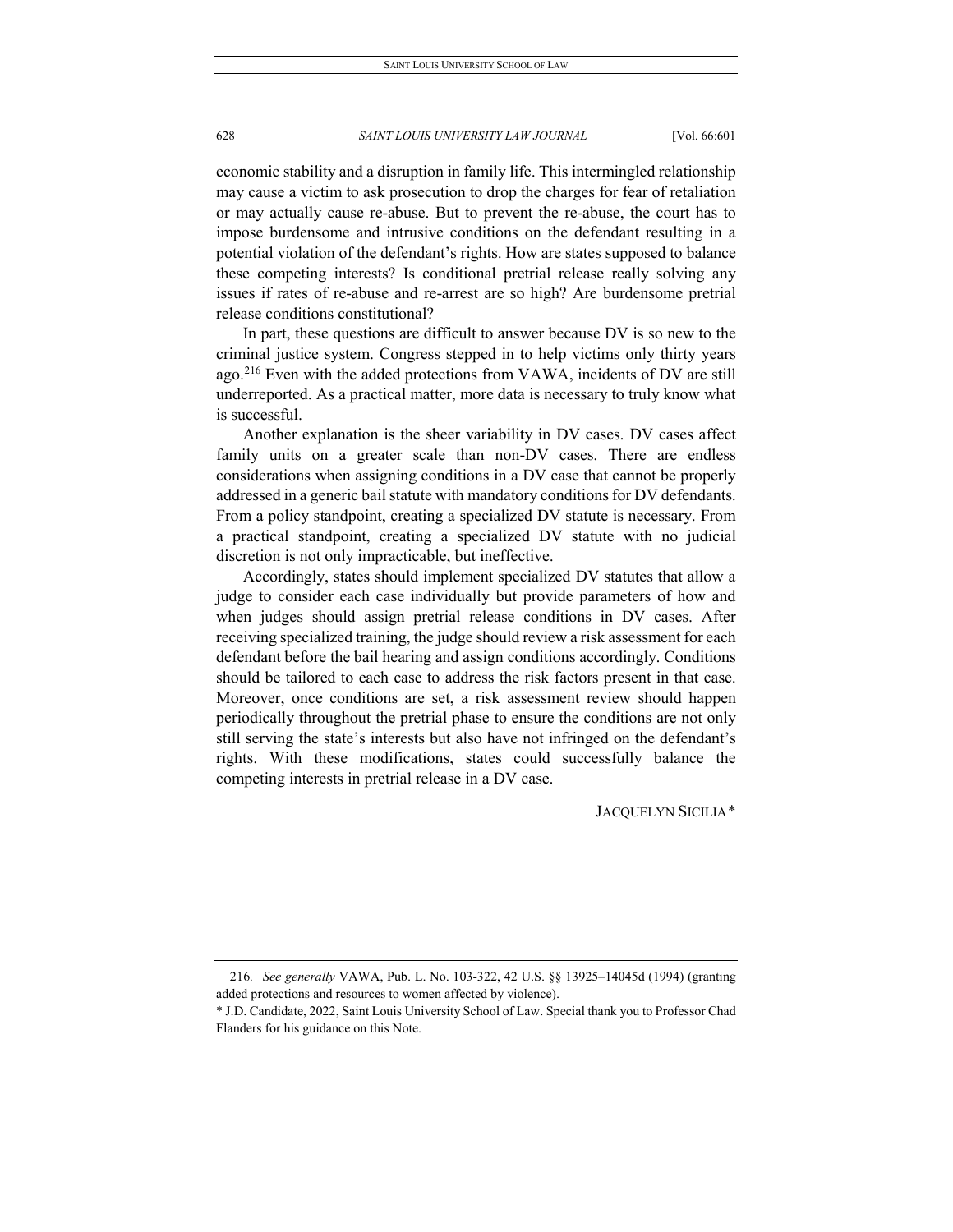economic stability and a disruption in family life. This intermingled relationship may cause a victim to ask prosecution to drop the charges for fear of retaliation or may actually cause re-abuse. But to prevent the re-abuse, the court has to impose burdensome and intrusive conditions on the defendant resulting in a potential violation of the defendant's rights. How are states supposed to balance these competing interests? Is conditional pretrial release really solving any issues if rates of re-abuse and re-arrest are so high? Are burdensome pretrial release conditions constitutional?

In part, these questions are difficult to answer because DV is so new to the criminal justice system. Congress stepped in to help victims only thirty years ago.<sup>[216](#page-28-0)</sup> Even with the added protections from VAWA, incidents of DV are still underreported. As a practical matter, more data is necessary to truly know what is successful.

Another explanation is the sheer variability in DV cases. DV cases affect family units on a greater scale than non-DV cases. There are endless considerations when assigning conditions in a DV case that cannot be properly addressed in a generic bail statute with mandatory conditions for DV defendants. From a policy standpoint, creating a specialized DV statute is necessary. From a practical standpoint, creating a specialized DV statute with no judicial discretion is not only impracticable, but ineffective.

Accordingly, states should implement specialized DV statutes that allow a judge to consider each case individually but provide parameters of how and when judges should assign pretrial release conditions in DV cases. After receiving specialized training, the judge should review a risk assessment for each defendant before the bail hearing and assign conditions accordingly. Conditions should be tailored to each case to address the risk factors present in that case. Moreover, once conditions are set, a risk assessment review should happen periodically throughout the pretrial phase to ensure the conditions are not only still serving the state's interests but also have not infringed on the defendant's rights. With these modifications, states could successfully balance the competing interests in pretrial release in a DV case.

JACQUELYN SICILIA[\\*](#page-28-1)

<span id="page-28-0"></span><sup>216</sup>*. See generally* VAWA, Pub. L. No. 103-322, 42 U.S. §§ 13925–14045d (1994) (granting added protections and resources to women affected by violence).

<span id="page-28-1"></span><sup>\*</sup> J.D. Candidate, 2022, Saint Louis University School of Law. Special thank you to Professor Chad Flanders for his guidance on this Note.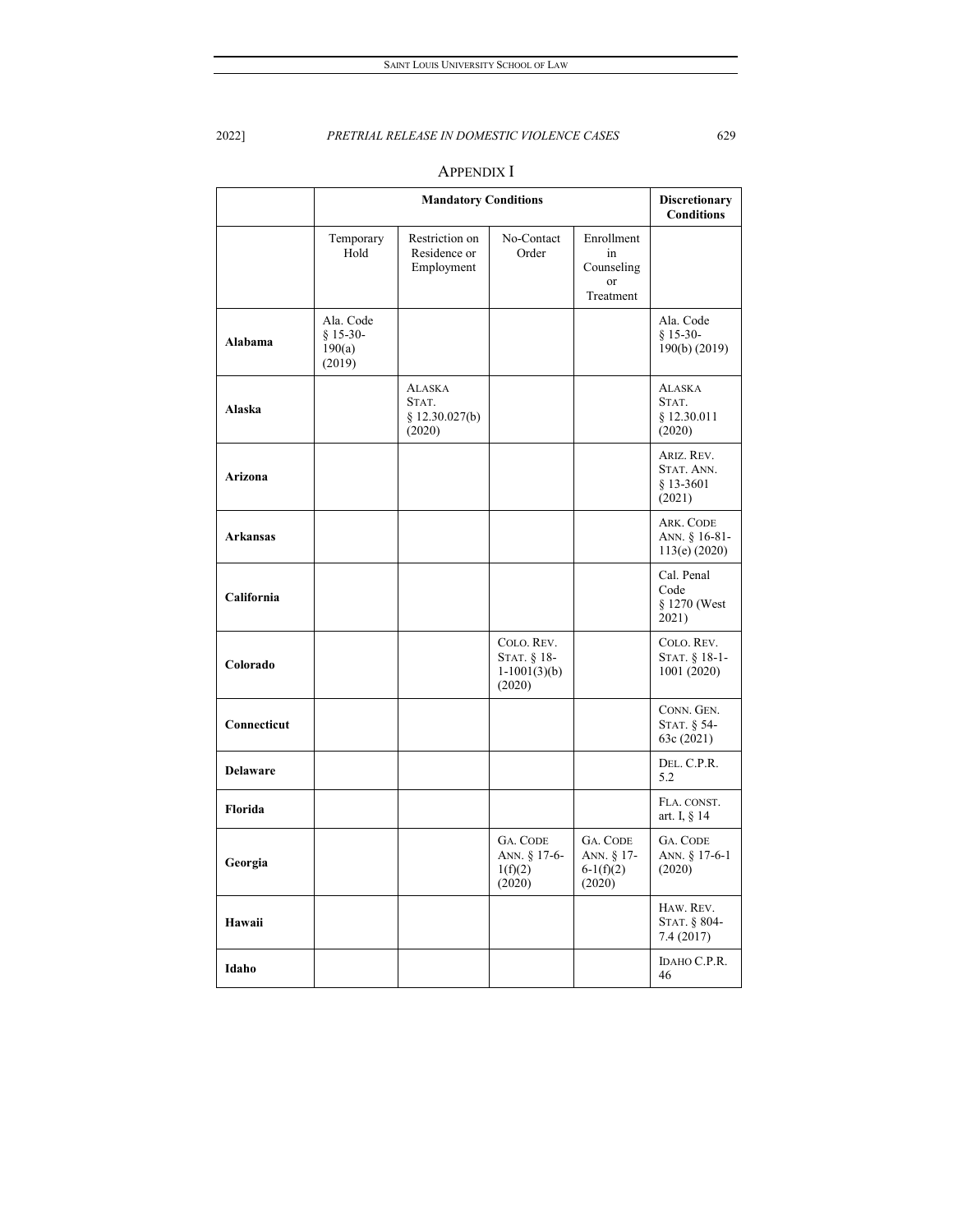|                 | <b>Mandatory Conditions</b>                 |                                                    |                                                       |                                                          | <b>Discretionary</b><br><b>Conditions</b>        |
|-----------------|---------------------------------------------|----------------------------------------------------|-------------------------------------------------------|----------------------------------------------------------|--------------------------------------------------|
|                 | Temporary<br>Hold                           | Restriction on<br>Residence or<br>Employment       | No-Contact<br>Order                                   | Enrollment<br>in<br>Counseling<br><b>or</b><br>Treatment |                                                  |
| Alabama         | Ala. Code<br>$§ 15-30-$<br>190(a)<br>(2019) |                                                    |                                                       |                                                          | Ala. Code<br>$$15-30-$<br>190(b) (2019)          |
| <b>Alaska</b>   |                                             | <b>ALASKA</b><br>STAT.<br>§ 12.30.027(b)<br>(2020) |                                                       |                                                          | <b>ALASKA</b><br>STAT.<br>\$12.30.011<br>(2020)  |
| Arizona         |                                             |                                                    |                                                       |                                                          | ARIZ. REV.<br>STAT. ANN.<br>$$13-3601$<br>(2021) |
| <b>Arkansas</b> |                                             |                                                    |                                                       |                                                          | ARK. CODE<br>ANN. § 16-81-<br>113(e) (2020)      |
| California      |                                             |                                                    |                                                       |                                                          | Cal. Penal<br>Code<br>§ 1270 (West<br>2021)      |
| Colorado        |                                             |                                                    | COLO. REV.<br>STAT. § 18-<br>$1-1001(3)(b)$<br>(2020) |                                                          | COLO. REV.<br>STAT. § 18-1-<br>1001 (2020)       |
| Connecticut     |                                             |                                                    |                                                       |                                                          | CONN. GEN.<br>STAT. § 54-<br>63c (2021)          |
| Delaware        |                                             |                                                    |                                                       |                                                          | DEL. C.P.R.<br>5.2                               |
| Florida         |                                             |                                                    |                                                       |                                                          | FLA. CONST.<br>art. I, § 14                      |
| Georgia         |                                             |                                                    | <b>GA. CODE</b><br>ANN. § 17-6-<br>1(f)(2)<br>(2020)  | GA. CODE<br>ANN. § 17-<br>$6-1(f)(2)$<br>(2020)          | GA. CODE<br>ANN. § 17-6-1<br>(2020)              |
| Hawaii          |                                             |                                                    |                                                       |                                                          | HAW. REV.<br>STAT. § 804-<br>7.4(2017)           |
| Idaho           |                                             |                                                    |                                                       |                                                          | IDAHO C.P.R.<br>46                               |

# APPENDIX I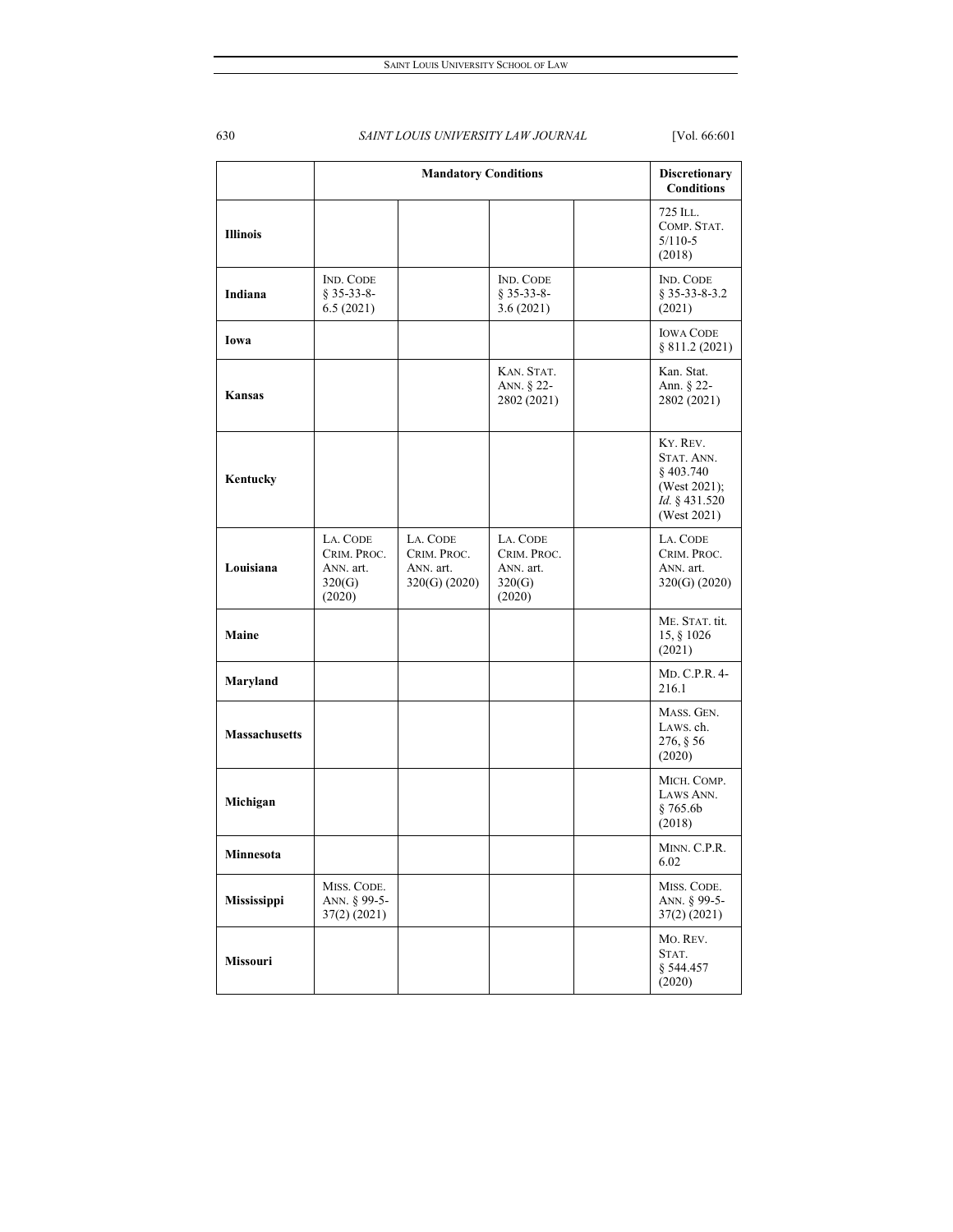|                      | <b>Mandatory Conditions</b>                              |                                                         |                                                          | Discretionary<br><b>Conditions</b>                                                 |
|----------------------|----------------------------------------------------------|---------------------------------------------------------|----------------------------------------------------------|------------------------------------------------------------------------------------|
| <b>Illinois</b>      |                                                          |                                                         |                                                          | 725 ILL.<br>COMP. STAT.<br>$5/110-5$<br>(2018)                                     |
| Indiana              | <b>IND. CODE</b><br>$§ 35-33-8-$<br>6.5(2021)            |                                                         | <b>IND. CODE</b><br>$§$ 35-33-8-<br>3.6(2021)            | <b>IND. CODE</b><br>\$35-33-8-3.2<br>(2021)                                        |
| Iowa                 |                                                          |                                                         |                                                          | <b>IOWA CODE</b><br>§ 811.2 (2021)                                                 |
| Kansas               |                                                          |                                                         | KAN. STAT.<br>ANN. § 22-<br>2802 (2021)                  | Kan. Stat.<br>Ann. § 22-<br>2802 (2021)                                            |
| Kentucky             |                                                          |                                                         |                                                          | KY. REV.<br>STAT. ANN.<br>§403.740<br>(West 2021);<br>Id. § 431.520<br>(West 2021) |
| Louisiana            | LA. CODE<br>CRIM. PROC.<br>ANN. art.<br>320(G)<br>(2020) | LA. CODE<br>CRIM. PROC.<br>ANN. art.<br>$320(G)$ (2020) | LA. CODE<br>CRIM. PROC.<br>ANN. art.<br>320(G)<br>(2020) | LA. CODE<br>CRIM. PROC.<br>ANN. art.<br>320(G) (2020)                              |
| Maine                |                                                          |                                                         |                                                          | ME. STAT. tit.<br>15, § 1026<br>(2021)                                             |
| Maryland             |                                                          |                                                         |                                                          | MD. C.P.R. 4-<br>216.1                                                             |
| <b>Massachusetts</b> |                                                          |                                                         |                                                          | MASS. GEN.<br>LAWS. ch.<br>276, § 56<br>(2020)                                     |
| Michigan             |                                                          |                                                         |                                                          | MICH. COMP.<br>LAWS ANN.<br>§ 765.6b<br>(2018)                                     |
| Minnesota            |                                                          |                                                         |                                                          | MINN. C.P.R.<br>6.02                                                               |
| Mississippi          | MISS. CODE.<br>ANN. § 99-5-<br>37(2) (2021)              |                                                         |                                                          | MISS. CODE.<br>ANN. § 99-5-<br>37(2) (2021)                                        |
| Missouri             |                                                          |                                                         |                                                          | Mo. REV.<br>STAT.<br>§ 544.457<br>(2020)                                           |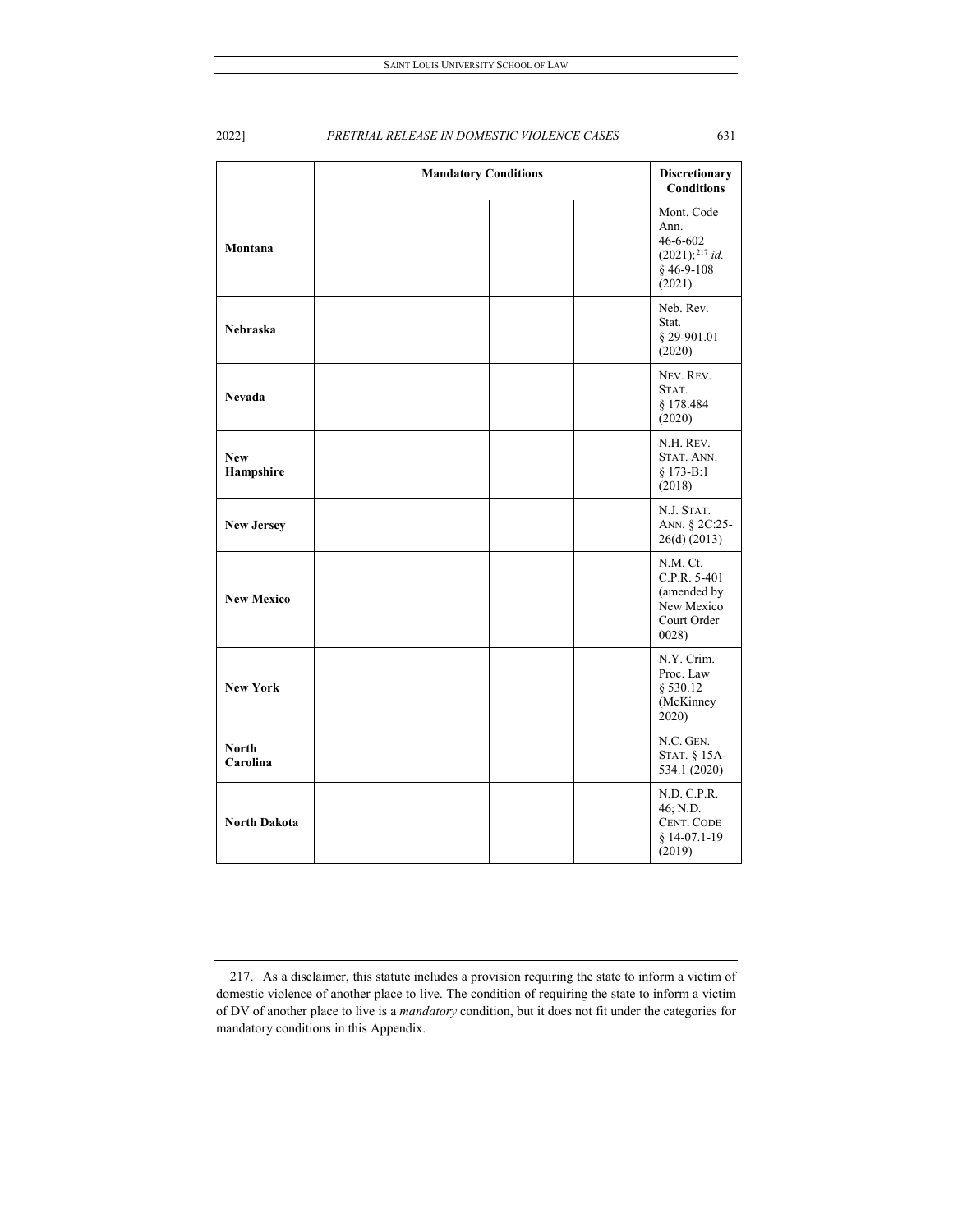|                          | <b>Mandatory Conditions</b> | Discretionary<br><b>Conditions</b>                                                    |
|--------------------------|-----------------------------|---------------------------------------------------------------------------------------|
| Montana                  |                             | Mont. Code<br>Ann.<br>$46 - 6 - 602$<br>$(2021);^{217}$ id.<br>$§$ 46-9-108<br>(2021) |
| <b>Nebraska</b>          |                             | Neb. Rev.<br>Stat.<br>§ 29-901.01<br>(2020)                                           |
| <b>Nevada</b>            |                             | NEV. REV.<br>STAT.<br>§ 178.484<br>(2020)                                             |
| <b>New</b><br>Hampshire  |                             | N.H. REV.<br>STAT. ANN.<br>§ 173-B:1<br>(2018)                                        |
| <b>New Jersey</b>        |                             | N.J. STAT.<br>ANN. § 2C:25-<br>26(d) (2013)                                           |
| <b>New Mexico</b>        |                             | N.M. Ct.<br>C.P.R. 5-401<br>(amended by<br>New Mexico<br>Court Order<br>0028          |
| <b>New York</b>          |                             | N.Y. Crim.<br>Proc. Law<br>§ 530.12<br>(McKinney<br>2020)                             |
| <b>North</b><br>Carolina |                             | N.C. GEN.<br>STAT. § 15A-<br>534.1 (2020)                                             |
| <b>North Dakota</b>      |                             | N.D. C.P.R.<br>46; N.D.<br><b>CENT. CODE</b><br>$§ 14-07.1-19$<br>(2019)              |

<span id="page-31-0"></span><sup>217.</sup> As a disclaimer, this statute includes a provision requiring the state to inform a victim of domestic violence of another place to live. The condition of requiring the state to inform a victim of DV of another place to live is a *mandatory* condition, but it does not fit under the categories for mandatory conditions in this Appendix.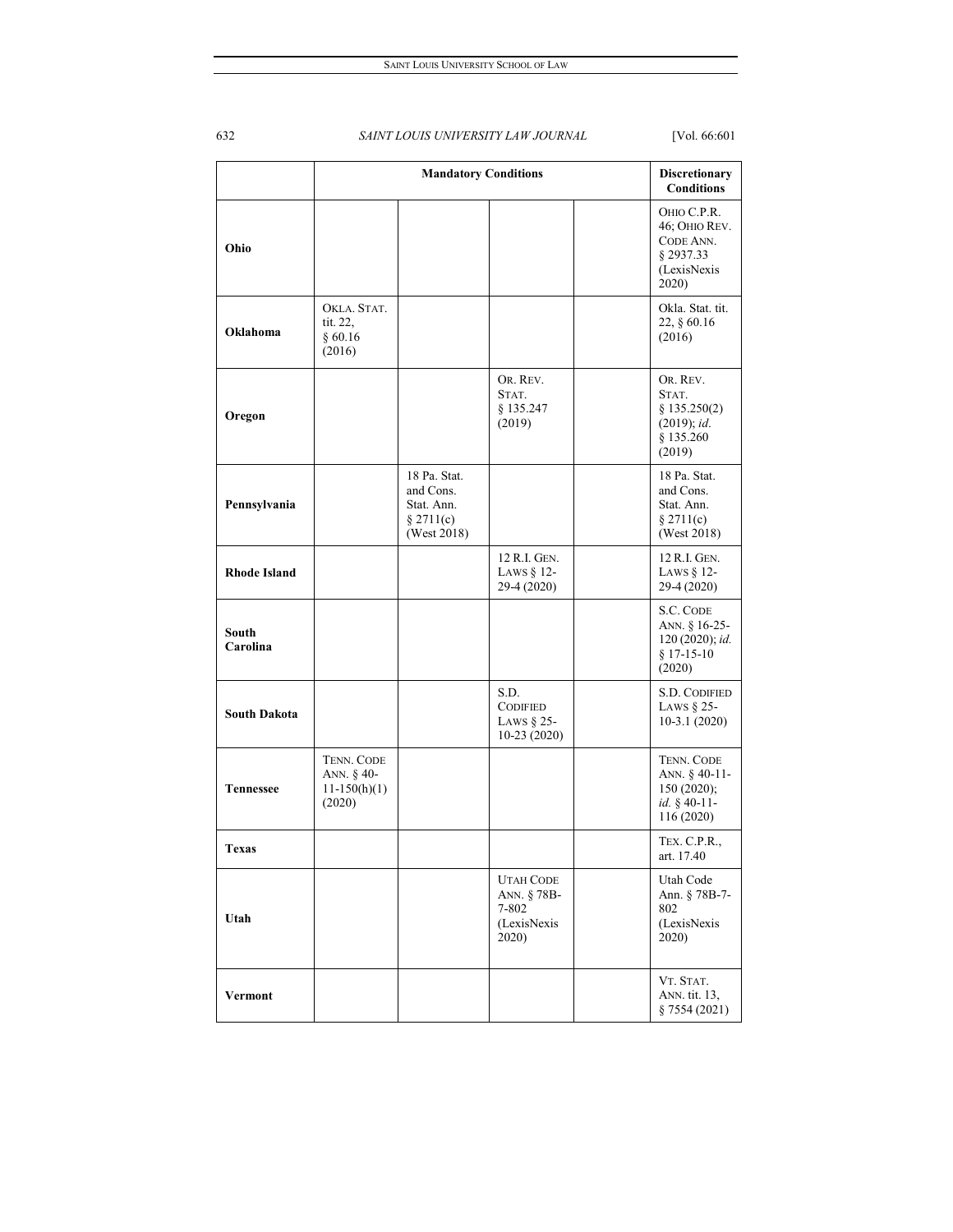|                     | <b>Mandatory Conditions</b>                          |                                                                     |                                                                  |  | <b>Discretionary</b><br><b>Conditions</b>                                      |
|---------------------|------------------------------------------------------|---------------------------------------------------------------------|------------------------------------------------------------------|--|--------------------------------------------------------------------------------|
| Ohio                |                                                      |                                                                     |                                                                  |  | OHIO C.P.R.<br>46; OHIO REV.<br>CODE ANN.<br>§ 2937.33<br>(LexisNexis<br>2020) |
| Oklahoma            | OKLA. STAT.<br>tit. 22,<br>§ 60.16<br>(2016)         |                                                                     |                                                                  |  | Okla. Stat. tit.<br>22, § 60.16<br>(2016)                                      |
| Oregon              |                                                      |                                                                     | OR. REV.<br>STAT.<br>§ 135.247<br>(2019)                         |  | OR. REV.<br>STAT.<br>§ 135.250(2)<br>(2019); id.<br>§ 135.260<br>(2019)        |
| Pennsylvania        |                                                      | 18 Pa. Stat.<br>and Cons.<br>Stat. Ann.<br>§ 2711(c)<br>(West 2018) |                                                                  |  | 18 Pa. Stat.<br>and Cons.<br>Stat. Ann.<br>§ 2711(c)<br>(West 2018)            |
| <b>Rhode Island</b> |                                                      |                                                                     | 12 R.I. GEN.<br>LAWS § 12-<br>29-4 (2020)                        |  | 12 R.I. GEN.<br>LAWS $§$ 12-<br>29-4 (2020)                                    |
| South<br>Carolina   |                                                      |                                                                     |                                                                  |  | S.C. CODE<br>ANN. § 16-25-<br>120 (2020); id.<br>$§ 17-15-10$<br>(2020)        |
| <b>South Dakota</b> |                                                      |                                                                     | S.D.<br><b>CODIFIED</b><br>LAWS § 25-<br>$10-23(2020)$           |  | <b>S.D. CODIFIED</b><br>LAWS $§$ 25-<br>$10-3.1(2020)$                         |
| <b>Tennessee</b>    | TENN. CODE<br>ANN. § 40-<br>$11-150(h)(1)$<br>(2020) |                                                                     |                                                                  |  | TENN. CODE<br>ANN. § 40-11-<br>150(2020);<br>id. § 40-11-<br>116 (2020)        |
| Texas               |                                                      |                                                                     |                                                                  |  | TEX. C.P.R.,<br>art. 17.40                                                     |
| Utah                |                                                      |                                                                     | <b>UTAH CODE</b><br>ANN. § 78B-<br>7-802<br>(LexisNexis<br>2020) |  | Utah Code<br>Ann. § 78B-7-<br>802<br>(LexisNexis<br>2020)                      |
| Vermont             |                                                      |                                                                     |                                                                  |  | VT. STAT.<br>ANN. tit. 13,<br>§ 7554 (2021)                                    |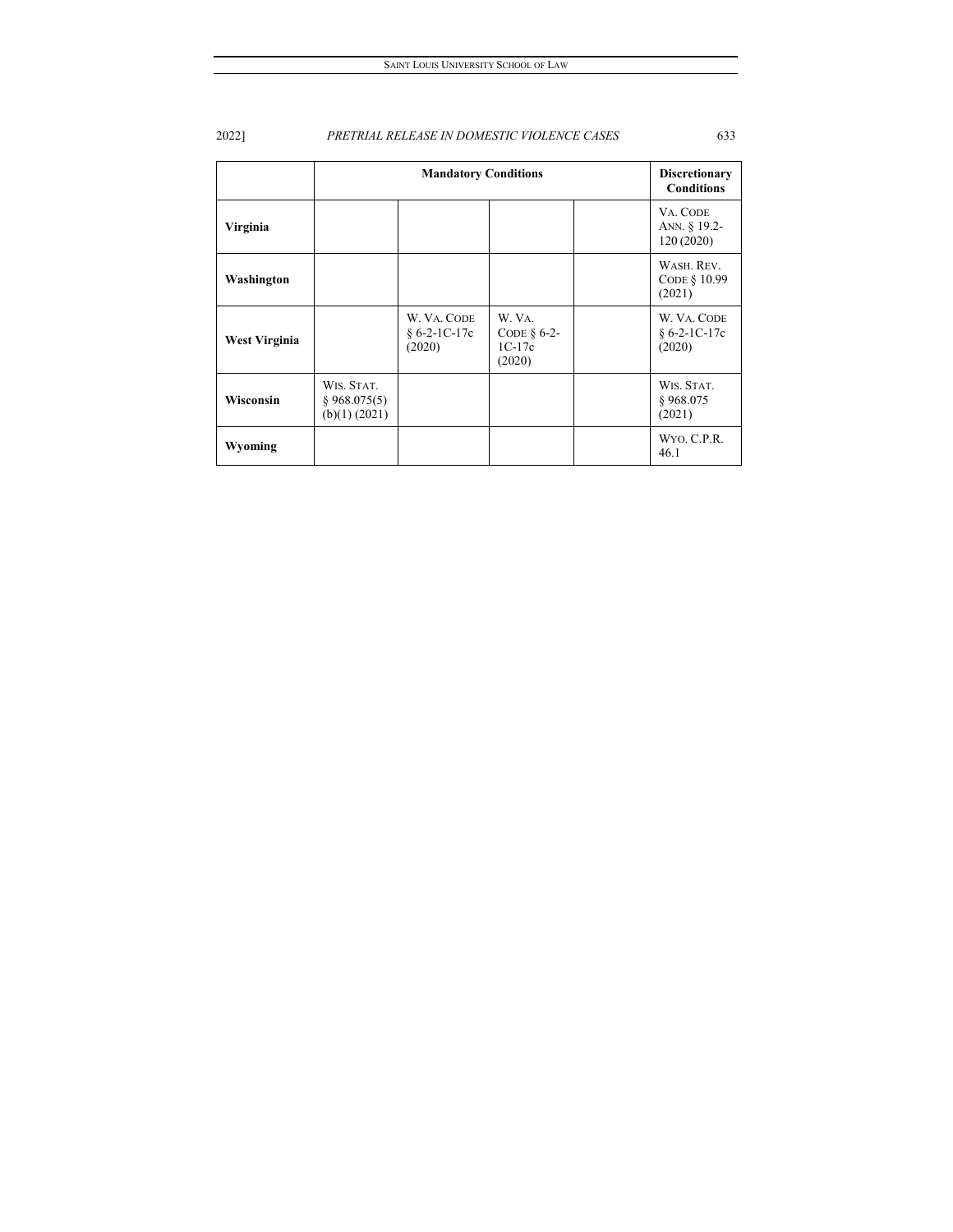|                      | <b>Mandatory Conditions</b>                 |                                         |                                               |  | <b>Discretionary</b><br><b>Conditions</b> |
|----------------------|---------------------------------------------|-----------------------------------------|-----------------------------------------------|--|-------------------------------------------|
| Virginia             |                                             |                                         |                                               |  | VA. CODE<br>ANN. § 19.2-<br>120 (2020)    |
| Washington           |                                             |                                         |                                               |  | WASH, REV.<br>CODE § 10.99<br>(2021)      |
| <b>West Virginia</b> |                                             | W. VA. CODE<br>$§ 6-2-1C-17c$<br>(2020) | W. VA.<br>CODE $§$ 6-2-<br>$1C-17c$<br>(2020) |  | W. VA. CODE<br>$§ 6-2-1C-17c$<br>(2020)   |
| <b>Wisconsin</b>     | WIS. STAT.<br>§ 968.075(5)<br>(b)(1) (2021) |                                         |                                               |  | WIS. STAT.<br>§968.075<br>(2021)          |
| Wyoming              |                                             |                                         |                                               |  | WYO. C.P.R.<br>46.1                       |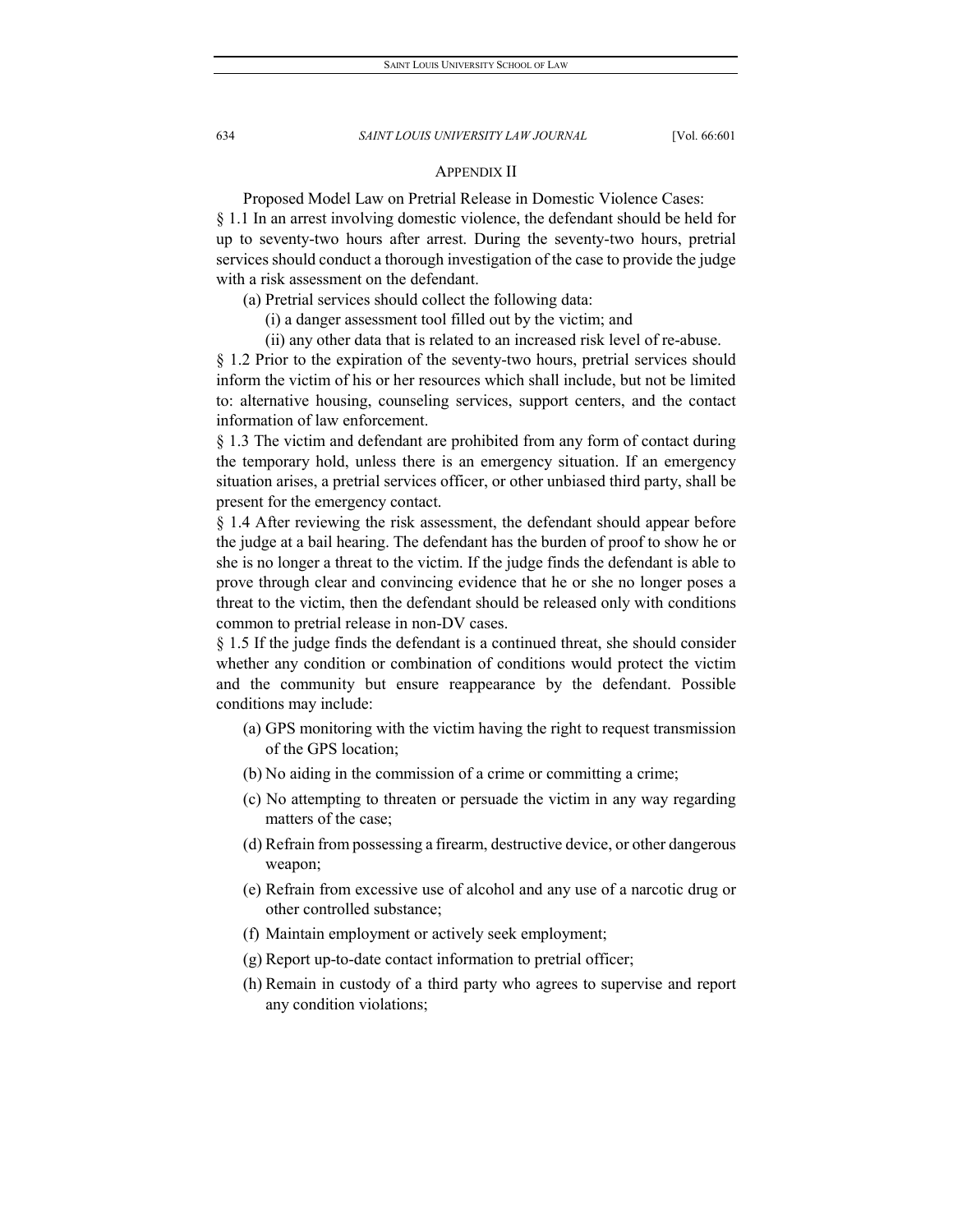#### APPENDIX II

Proposed Model Law on Pretrial Release in Domestic Violence Cases: § 1.1 In an arrest involving domestic violence, the defendant should be held for up to seventy-two hours after arrest. During the seventy-two hours, pretrial services should conduct a thorough investigation of the case to provide the judge with a risk assessment on the defendant.

(a) Pretrial services should collect the following data:

- (i) a danger assessment tool filled out by the victim; and
- (ii) any other data that is related to an increased risk level of re-abuse.

§ 1.2 Prior to the expiration of the seventy-two hours, pretrial services should inform the victim of his or her resources which shall include, but not be limited to: alternative housing, counseling services, support centers, and the contact information of law enforcement.

§ 1.3 The victim and defendant are prohibited from any form of contact during the temporary hold, unless there is an emergency situation. If an emergency situation arises, a pretrial services officer, or other unbiased third party, shall be present for the emergency contact.

§ 1.4 After reviewing the risk assessment, the defendant should appear before the judge at a bail hearing. The defendant has the burden of proof to show he or she is no longer a threat to the victim. If the judge finds the defendant is able to prove through clear and convincing evidence that he or she no longer poses a threat to the victim, then the defendant should be released only with conditions common to pretrial release in non-DV cases.

§ 1.5 If the judge finds the defendant is a continued threat, she should consider whether any condition or combination of conditions would protect the victim and the community but ensure reappearance by the defendant. Possible conditions may include:

- (a) GPS monitoring with the victim having the right to request transmission of the GPS location;
- (b) No aiding in the commission of a crime or committing a crime;
- (c) No attempting to threaten or persuade the victim in any way regarding matters of the case;
- (d) Refrain from possessing a firearm, destructive device, or other dangerous weapon;
- (e) Refrain from excessive use of alcohol and any use of a narcotic drug or other controlled substance;
- (f) Maintain employment or actively seek employment;
- (g) Report up-to-date contact information to pretrial officer;
- (h) Remain in custody of a third party who agrees to supervise and report any condition violations;